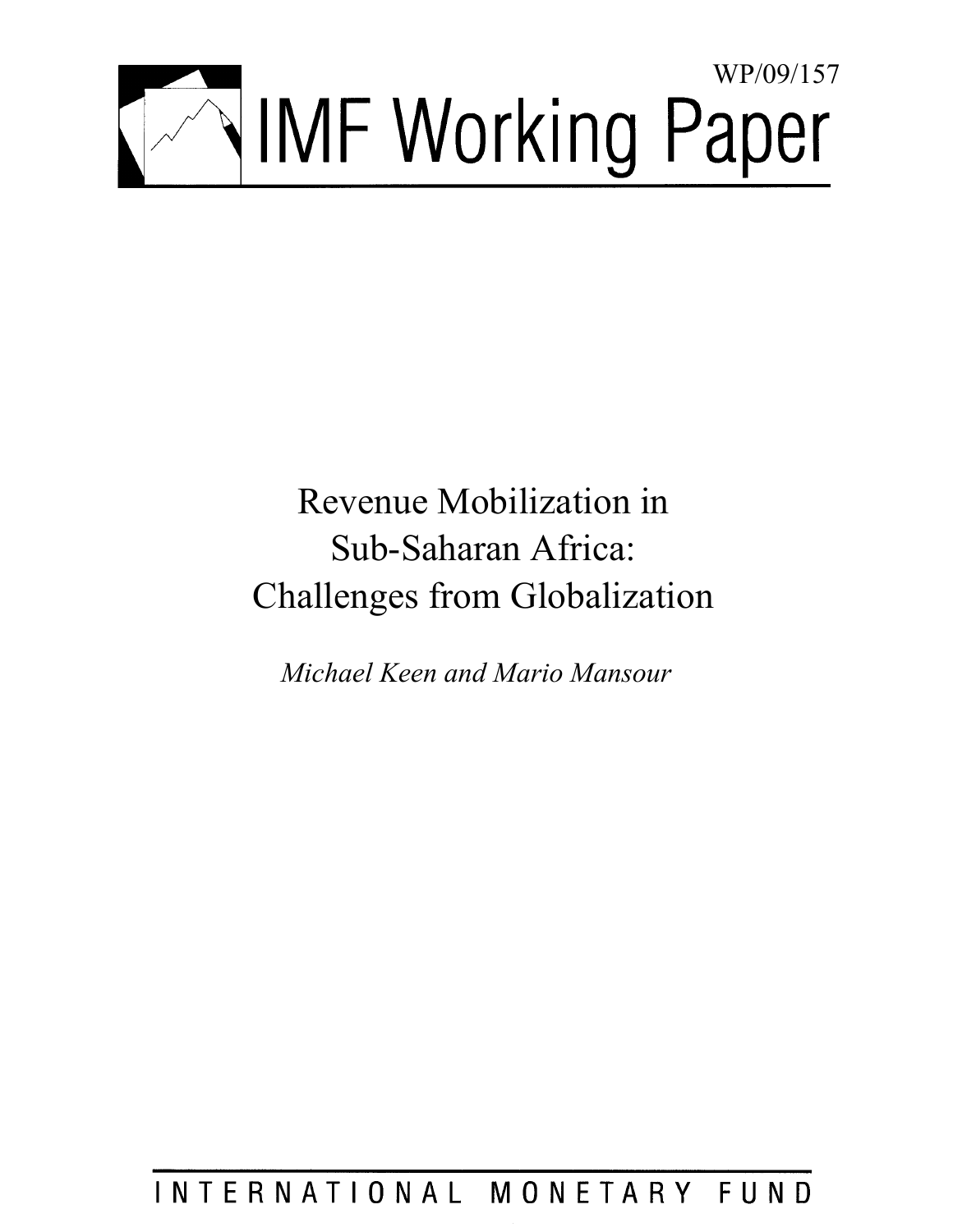

# Revenue Mobilization in Sub-Saharan Africa: Challenges from Globalization

*Michael Keen and Mario Mansour* 

## INTERNATIONAL MONETARY FUND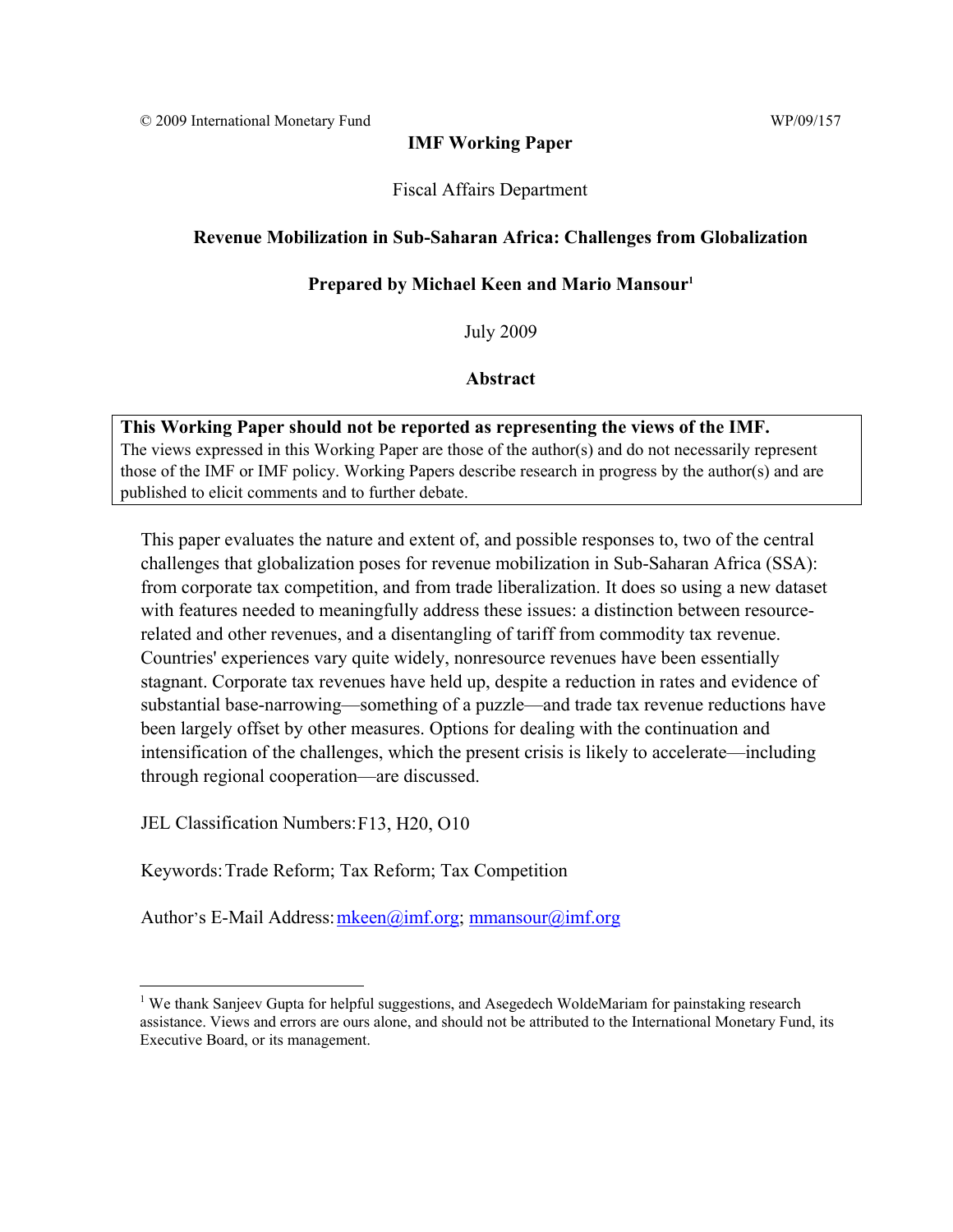#### **IMF Working Paper**

Fiscal Affairs Department

#### **Revenue Mobilization in Sub-Saharan Africa: Challenges from Globalization**

#### **Prepared by Michael Keen and Mario Mansour1**

July 2009

#### **Abstract**

#### **This Working Paper should not be reported as representing the views of the IMF.**

The views expressed in this Working Paper are those of the author(s) and do not necessarily represent those of the IMF or IMF policy. Working Papers describe research in progress by the author(s) and are published to elicit comments and to further debate.

This paper evaluates the nature and extent of, and possible responses to, two of the central challenges that globalization poses for revenue mobilization in Sub-Saharan Africa (SSA): from corporate tax competition, and from trade liberalization. It does so using a new dataset with features needed to meaningfully address these issues: a distinction between resourcerelated and other revenues, and a disentangling of tariff from commodity tax revenue. Countries' experiences vary quite widely, nonresource revenues have been essentially stagnant. Corporate tax revenues have held up, despite a reduction in rates and evidence of substantial base-narrowing—something of a puzzle—and trade tax revenue reductions have been largely offset by other measures. Options for dealing with the continuation and intensification of the challenges, which the present crisis is likely to accelerate—including through regional cooperation—are discussed.

JEL Classification Numbers: F13, H20, O10

1

Keywords: Trade Reform; Tax Reform; Tax Competition

Author's E-Mail Address: mkeen@imf.org; mmansour@imf.org

<sup>&</sup>lt;sup>1</sup> We thank Sanjeev Gupta for helpful suggestions, and Asegedech WoldeMariam for painstaking research assistance. Views and errors are ours alone, and should not be attributed to the International Monetary Fund, its Executive Board, or its management.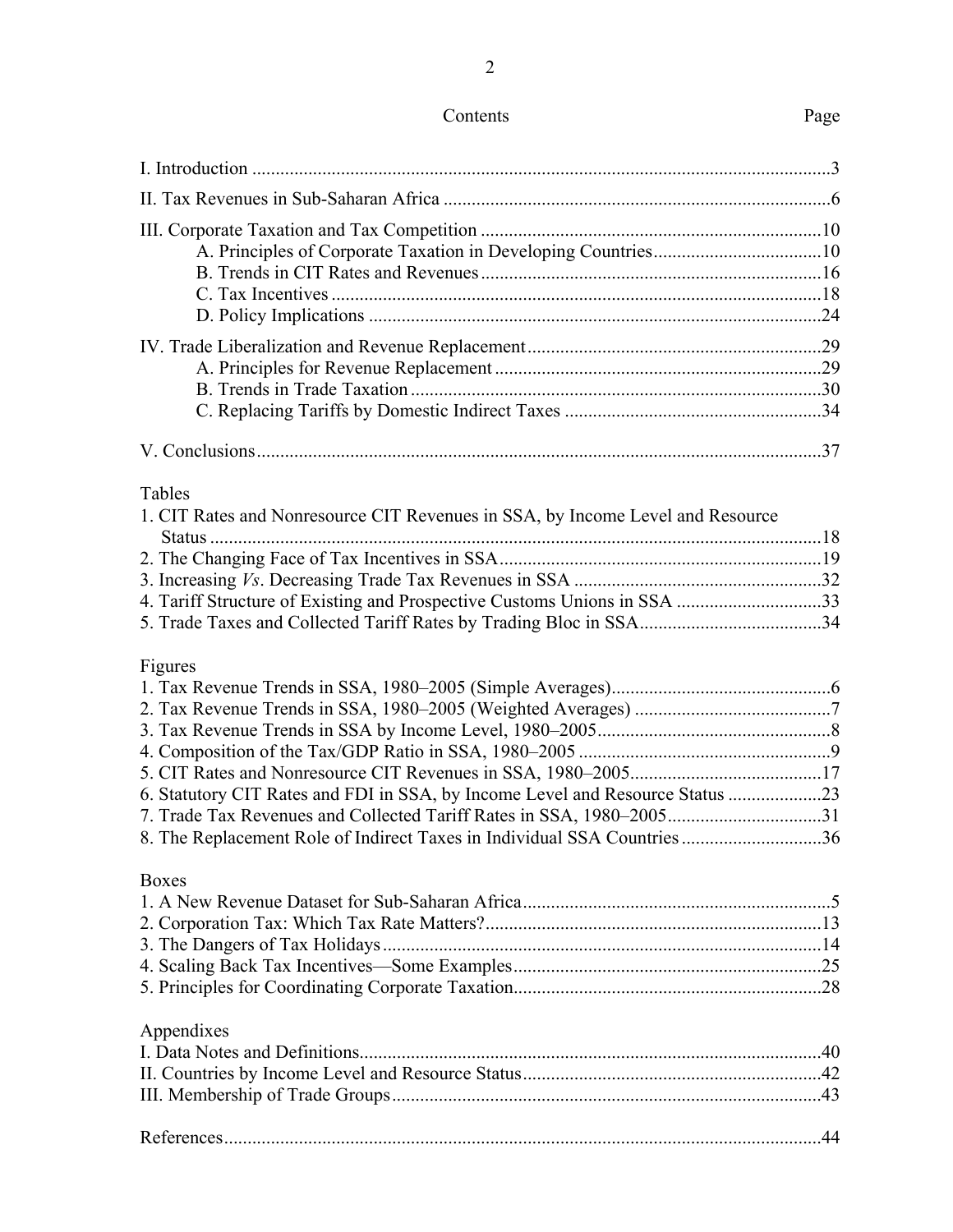|                                                                                | -24 |
|--------------------------------------------------------------------------------|-----|
|                                                                                |     |
|                                                                                |     |
|                                                                                |     |
|                                                                                |     |
|                                                                                |     |
| Tables                                                                         |     |
| 1. CIT Rates and Nonresource CIT Revenues in SSA, by Income Level and Resource |     |
|                                                                                | 18  |

Figures

| 6. Statutory CIT Rates and FDI in SSA, by Income Level and Resource Status |  |
|----------------------------------------------------------------------------|--|
|                                                                            |  |
| 8. The Replacement Role of Indirect Taxes in Individual SSA Countries36    |  |
|                                                                            |  |

#### Boxes

## Appendixes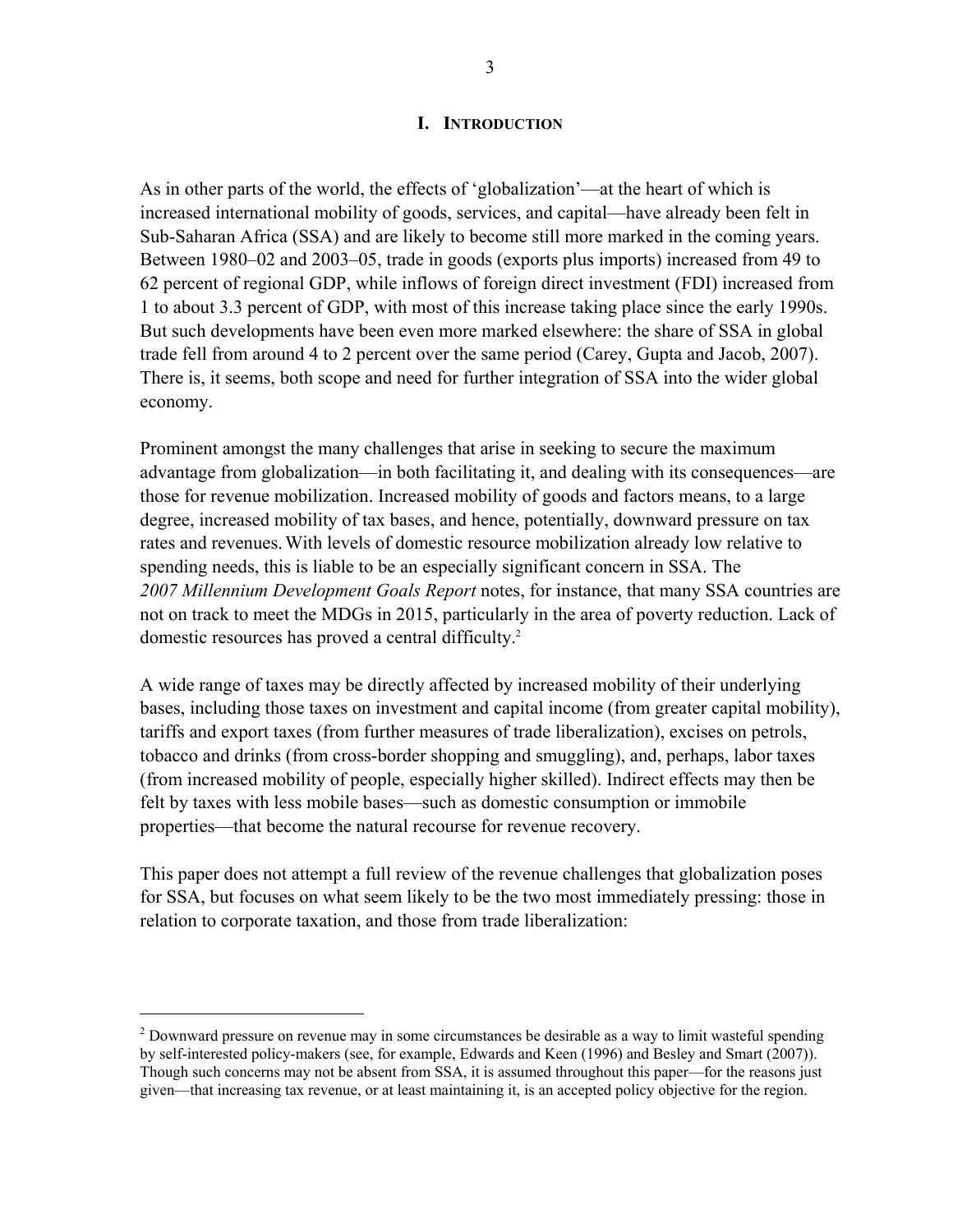#### **I. INTRODUCTION**

As in other parts of the world, the effects of 'globalization'—at the heart of which is increased international mobility of goods, services, and capital—have already been felt in Sub-Saharan Africa (SSA) and are likely to become still more marked in the coming years. Between 1980–02 and 2003–05, trade in goods (exports plus imports) increased from 49 to 62 percent of regional GDP, while inflows of foreign direct investment (FDI) increased from 1 to about 3.3 percent of GDP, with most of this increase taking place since the early 1990s. But such developments have been even more marked elsewhere: the share of SSA in global trade fell from around 4 to 2 percent over the same period (Carey, Gupta and Jacob, 2007). There is, it seems, both scope and need for further integration of SSA into the wider global economy.

Prominent amongst the many challenges that arise in seeking to secure the maximum advantage from globalization—in both facilitating it, and dealing with its consequences—are those for revenue mobilization. Increased mobility of goods and factors means, to a large degree, increased mobility of tax bases, and hence, potentially, downward pressure on tax rates and revenues.With levels of domestic resource mobilization already low relative to spending needs, this is liable to be an especially significant concern in SSA. The *2007 Millennium Development Goals Report* notes, for instance, that many SSA countries are not on track to meet the MDGs in 2015, particularly in the area of poverty reduction. Lack of domestic resources has proved a central difficulty.<sup>2</sup>

A wide range of taxes may be directly affected by increased mobility of their underlying bases, including those taxes on investment and capital income (from greater capital mobility), tariffs and export taxes (from further measures of trade liberalization), excises on petrols, tobacco and drinks (from cross-border shopping and smuggling), and, perhaps, labor taxes (from increased mobility of people, especially higher skilled). Indirect effects may then be felt by taxes with less mobile bases—such as domestic consumption or immobile properties—that become the natural recourse for revenue recovery.

This paper does not attempt a full review of the revenue challenges that globalization poses for SSA, but focuses on what seem likely to be the two most immediately pressing: those in relation to corporate taxation, and those from trade liberalization:

 $\overline{a}$ 

 $2^{2}$  Downward pressure on revenue may in some circumstances be desirable as a way to limit wasteful spending by self-interested policy-makers (see, for example, Edwards and Keen (1996) and Besley and Smart (2007)). Though such concerns may not be absent from SSA, it is assumed throughout this paper—for the reasons just given—that increasing tax revenue, or at least maintaining it, is an accepted policy objective for the region.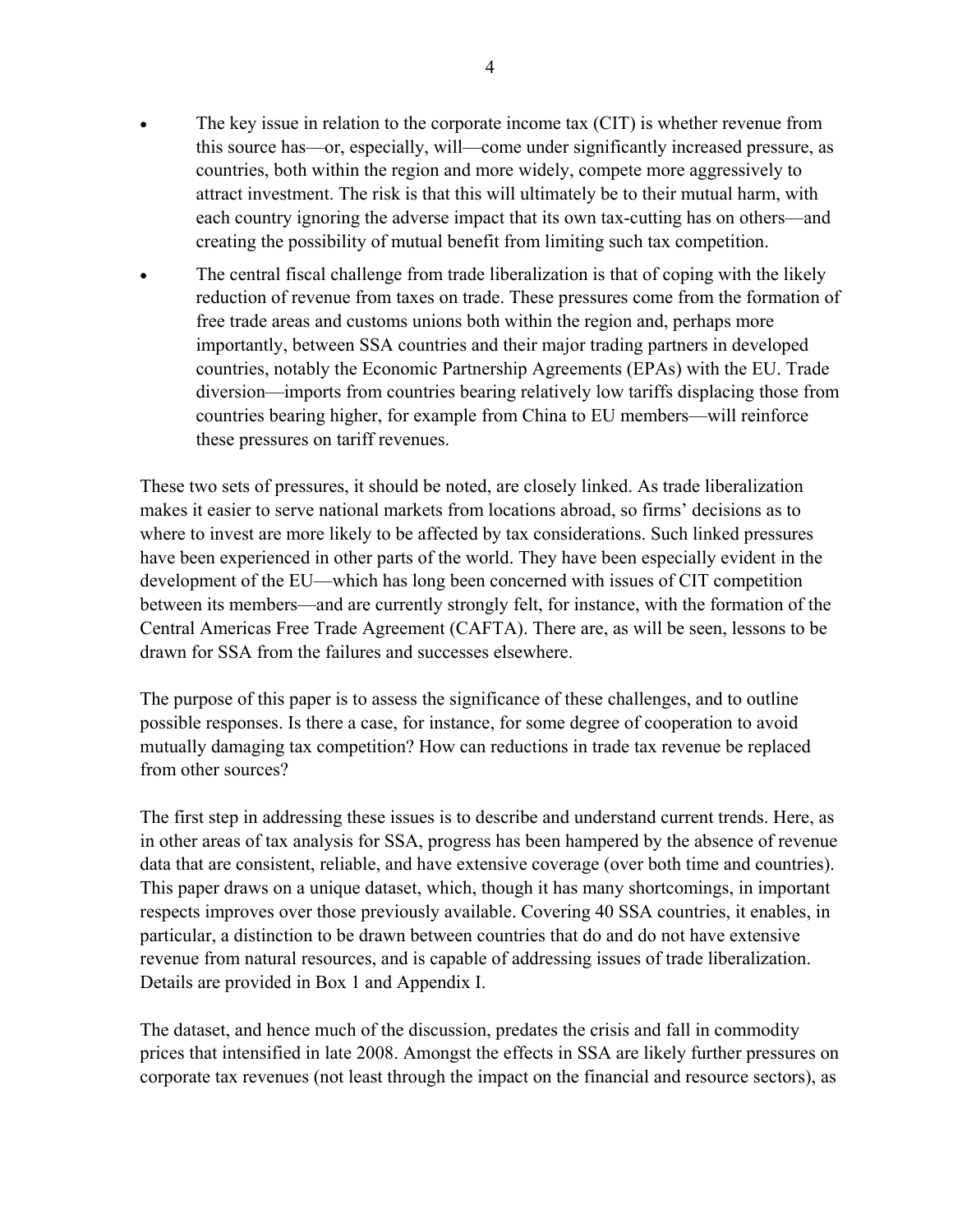- The key issue in relation to the corporate income tax (CIT) is whether revenue from this source has—or, especially, will—come under significantly increased pressure, as countries, both within the region and more widely, compete more aggressively to attract investment. The risk is that this will ultimately be to their mutual harm, with each country ignoring the adverse impact that its own tax-cutting has on others—and creating the possibility of mutual benefit from limiting such tax competition.
- The central fiscal challenge from trade liberalization is that of coping with the likely reduction of revenue from taxes on trade. These pressures come from the formation of free trade areas and customs unions both within the region and, perhaps more importantly, between SSA countries and their major trading partners in developed countries, notably the Economic Partnership Agreements (EPAs) with the EU. Trade diversion—imports from countries bearing relatively low tariffs displacing those from countries bearing higher, for example from China to EU members—will reinforce these pressures on tariff revenues.

These two sets of pressures, it should be noted, are closely linked. As trade liberalization makes it easier to serve national markets from locations abroad, so firms' decisions as to where to invest are more likely to be affected by tax considerations. Such linked pressures have been experienced in other parts of the world. They have been especially evident in the development of the EU—which has long been concerned with issues of CIT competition between its members—and are currently strongly felt, for instance, with the formation of the Central Americas Free Trade Agreement (CAFTA). There are, as will be seen, lessons to be drawn for SSA from the failures and successes elsewhere.

The purpose of this paper is to assess the significance of these challenges, and to outline possible responses. Is there a case, for instance, for some degree of cooperation to avoid mutually damaging tax competition? How can reductions in trade tax revenue be replaced from other sources?

The first step in addressing these issues is to describe and understand current trends. Here, as in other areas of tax analysis for SSA, progress has been hampered by the absence of revenue data that are consistent, reliable, and have extensive coverage (over both time and countries). This paper draws on a unique dataset, which, though it has many shortcomings, in important respects improves over those previously available. Covering 40 SSA countries, it enables, in particular, a distinction to be drawn between countries that do and do not have extensive revenue from natural resources, and is capable of addressing issues of trade liberalization. Details are provided in Box 1 and Appendix I.

The dataset, and hence much of the discussion, predates the crisis and fall in commodity prices that intensified in late 2008. Amongst the effects in SSA are likely further pressures on corporate tax revenues (not least through the impact on the financial and resource sectors), as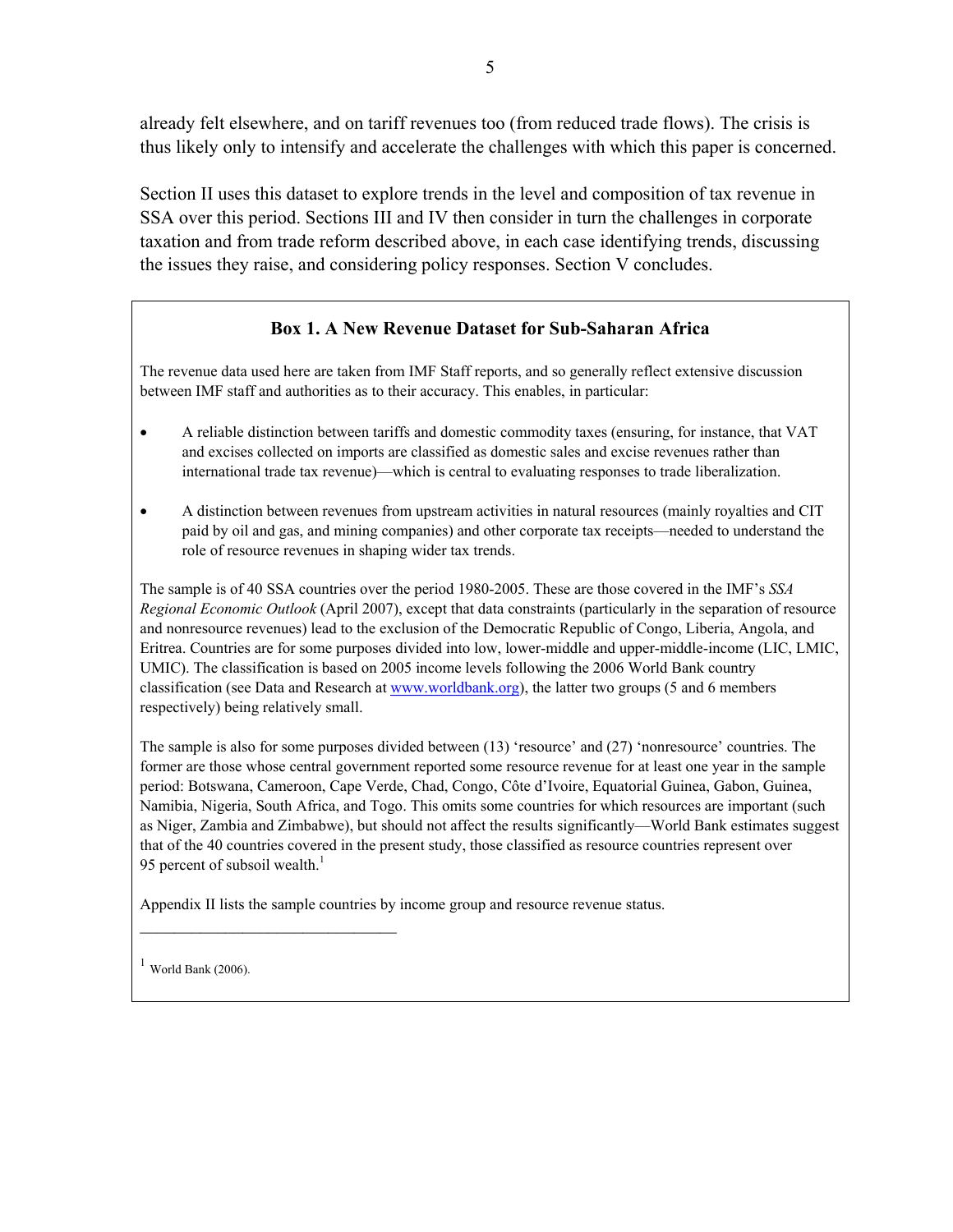already felt elsewhere, and on tariff revenues too (from reduced trade flows). The crisis is thus likely only to intensify and accelerate the challenges with which this paper is concerned.

Section II uses this dataset to explore trends in the level and composition of tax revenue in SSA over this period. Sections III and IV then consider in turn the challenges in corporate taxation and from trade reform described above, in each case identifying trends, discussing the issues they raise, and considering policy responses. Section V concludes.

#### **Box 1. A New Revenue Dataset for Sub-Saharan Africa**

The revenue data used here are taken from IMF Staff reports, and so generally reflect extensive discussion between IMF staff and authorities as to their accuracy. This enables, in particular:

- A reliable distinction between tariffs and domestic commodity taxes (ensuring, for instance, that VAT and excises collected on imports are classified as domestic sales and excise revenues rather than international trade tax revenue)—which is central to evaluating responses to trade liberalization.
- A distinction between revenues from upstream activities in natural resources (mainly royalties and CIT paid by oil and gas, and mining companies) and other corporate tax receipts—needed to understand the role of resource revenues in shaping wider tax trends.

The sample is of 40 SSA countries over the period 1980-2005. These are those covered in the IMF's *SSA Regional Economic Outlook* (April 2007), except that data constraints (particularly in the separation of resource and nonresource revenues) lead to the exclusion of the Democratic Republic of Congo, Liberia, Angola, and Eritrea. Countries are for some purposes divided into low, lower-middle and upper-middle-income (LIC, LMIC, UMIC). The classification is based on 2005 income levels following the 2006 World Bank country classification (see Data and Research at www.worldbank.org), the latter two groups (5 and 6 members respectively) being relatively small.

The sample is also for some purposes divided between (13) 'resource' and (27) 'nonresource' countries. The former are those whose central government reported some resource revenue for at least one year in the sample period: Botswana, Cameroon, Cape Verde, Chad, Congo, Côte d'Ivoire, Equatorial Guinea, Gabon, Guinea, Namibia, Nigeria, South Africa, and Togo. This omits some countries for which resources are important (such as Niger, Zambia and Zimbabwe), but should not affect the results significantly—World Bank estimates suggest that of the 40 countries covered in the present study, those classified as resource countries represent over 95 percent of subsoil wealth. $<sup>1</sup>$ </sup>

Appendix II lists the sample countries by income group and resource revenue status.

 $1$  World Bank (2006).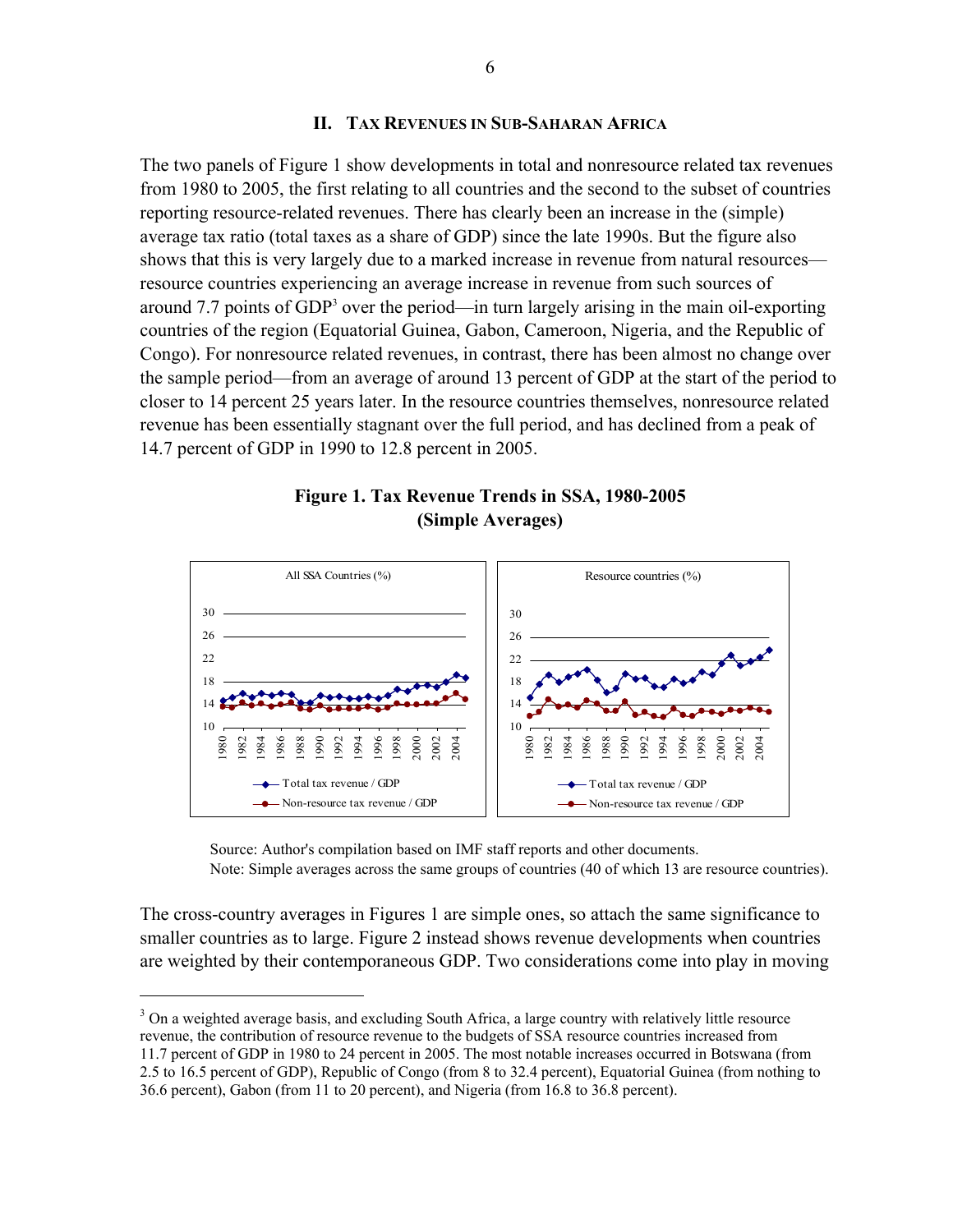#### **II. TAX REVENUES IN SUB-SAHARAN AFRICA**

The two panels of Figure 1 show developments in total and nonresource related tax revenues from 1980 to 2005, the first relating to all countries and the second to the subset of countries reporting resource-related revenues. There has clearly been an increase in the (simple) average tax ratio (total taxes as a share of GDP) since the late 1990s. But the figure also shows that this is very largely due to a marked increase in revenue from natural resources resource countries experiencing an average increase in revenue from such sources of around 7.7 points of GDP<sup>3</sup> over the period—in turn largely arising in the main oil-exporting countries of the region (Equatorial Guinea, Gabon, Cameroon, Nigeria, and the Republic of Congo). For nonresource related revenues, in contrast, there has been almost no change over the sample period—from an average of around 13 percent of GDP at the start of the period to closer to 14 percent 25 years later. In the resource countries themselves, nonresource related revenue has been essentially stagnant over the full period, and has declined from a peak of 14.7 percent of GDP in 1990 to 12.8 percent in 2005.





Source: Author's compilation based on IMF staff reports and other documents. Note: Simple averages across the same groups of countries (40 of which 13 are resource countries).

The cross-country averages in Figures 1 are simple ones, so attach the same significance to smaller countries as to large. Figure 2 instead shows revenue developments when countries are weighted by their contemporaneous GDP. Two considerations come into play in moving

<sup>3</sup> On a weighted average basis, and excluding South Africa, a large country with relatively little resource revenue, the contribution of resource revenue to the budgets of SSA resource countries increased from 11.7 percent of GDP in 1980 to 24 percent in 2005. The most notable increases occurred in Botswana (from 2.5 to 16.5 percent of GDP), Republic of Congo (from 8 to 32.4 percent), Equatorial Guinea (from nothing to

1

<sup>36.6</sup> percent), Gabon (from 11 to 20 percent), and Nigeria (from 16.8 to 36.8 percent).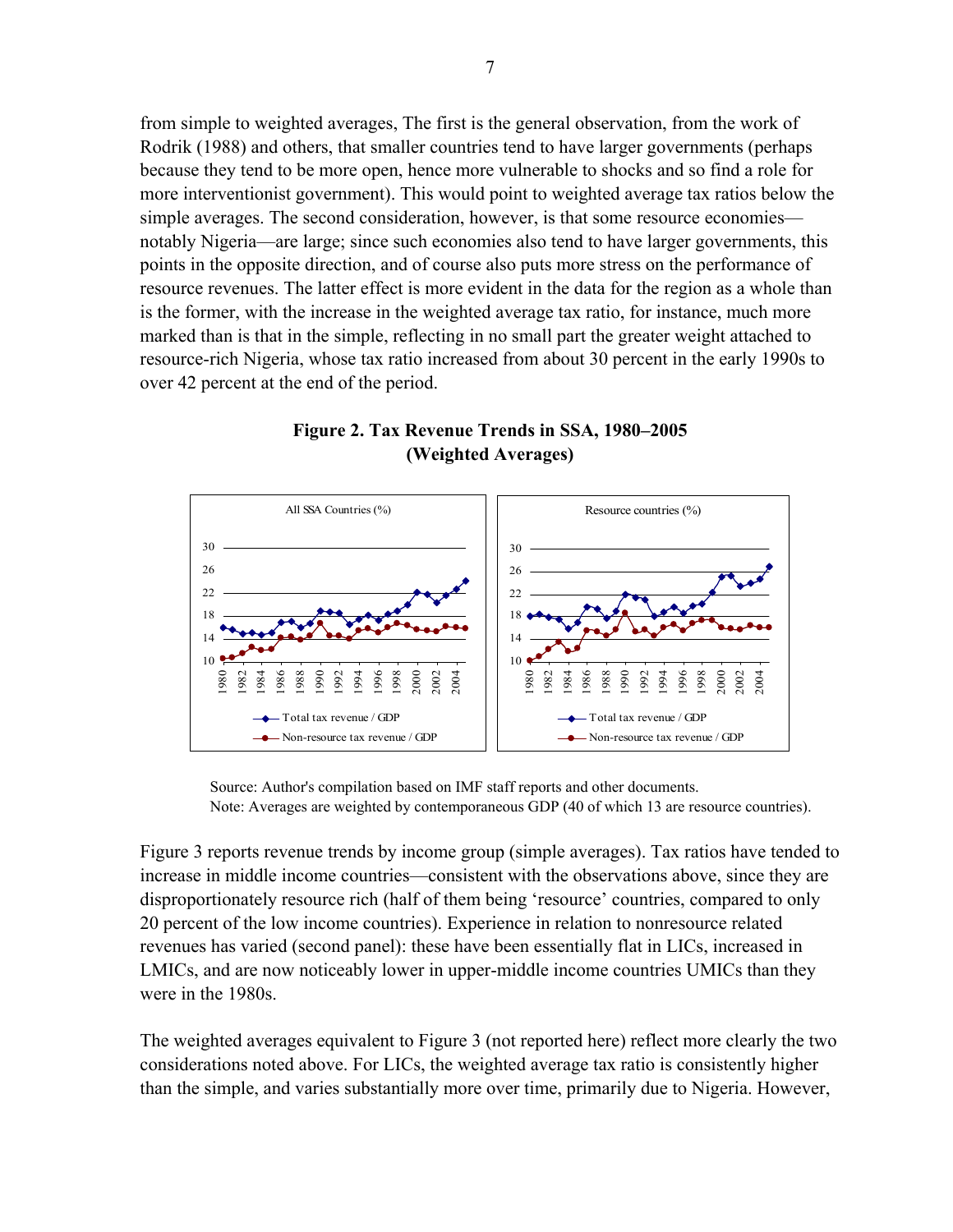from simple to weighted averages, The first is the general observation, from the work of Rodrik (1988) and others, that smaller countries tend to have larger governments (perhaps because they tend to be more open, hence more vulnerable to shocks and so find a role for more interventionist government). This would point to weighted average tax ratios below the simple averages. The second consideration, however, is that some resource economies notably Nigeria—are large; since such economies also tend to have larger governments, this points in the opposite direction, and of course also puts more stress on the performance of resource revenues. The latter effect is more evident in the data for the region as a whole than is the former, with the increase in the weighted average tax ratio, for instance, much more marked than is that in the simple, reflecting in no small part the greater weight attached to resource-rich Nigeria, whose tax ratio increased from about 30 percent in the early 1990s to over 42 percent at the end of the period.



#### **Figure 2. Tax Revenue Trends in SSA, 1980–2005 (Weighted Averages)**

Source: Author's compilation based on IMF staff reports and other documents. Note: Averages are weighted by contemporaneous GDP (40 of which 13 are resource countries).

Figure 3 reports revenue trends by income group (simple averages). Tax ratios have tended to increase in middle income countries—consistent with the observations above, since they are disproportionately resource rich (half of them being 'resource' countries, compared to only 20 percent of the low income countries). Experience in relation to nonresource related revenues has varied (second panel): these have been essentially flat in LICs, increased in LMICs, and are now noticeably lower in upper-middle income countries UMICs than they were in the 1980s.

The weighted averages equivalent to Figure 3 (not reported here) reflect more clearly the two considerations noted above. For LICs, the weighted average tax ratio is consistently higher than the simple, and varies substantially more over time, primarily due to Nigeria. However,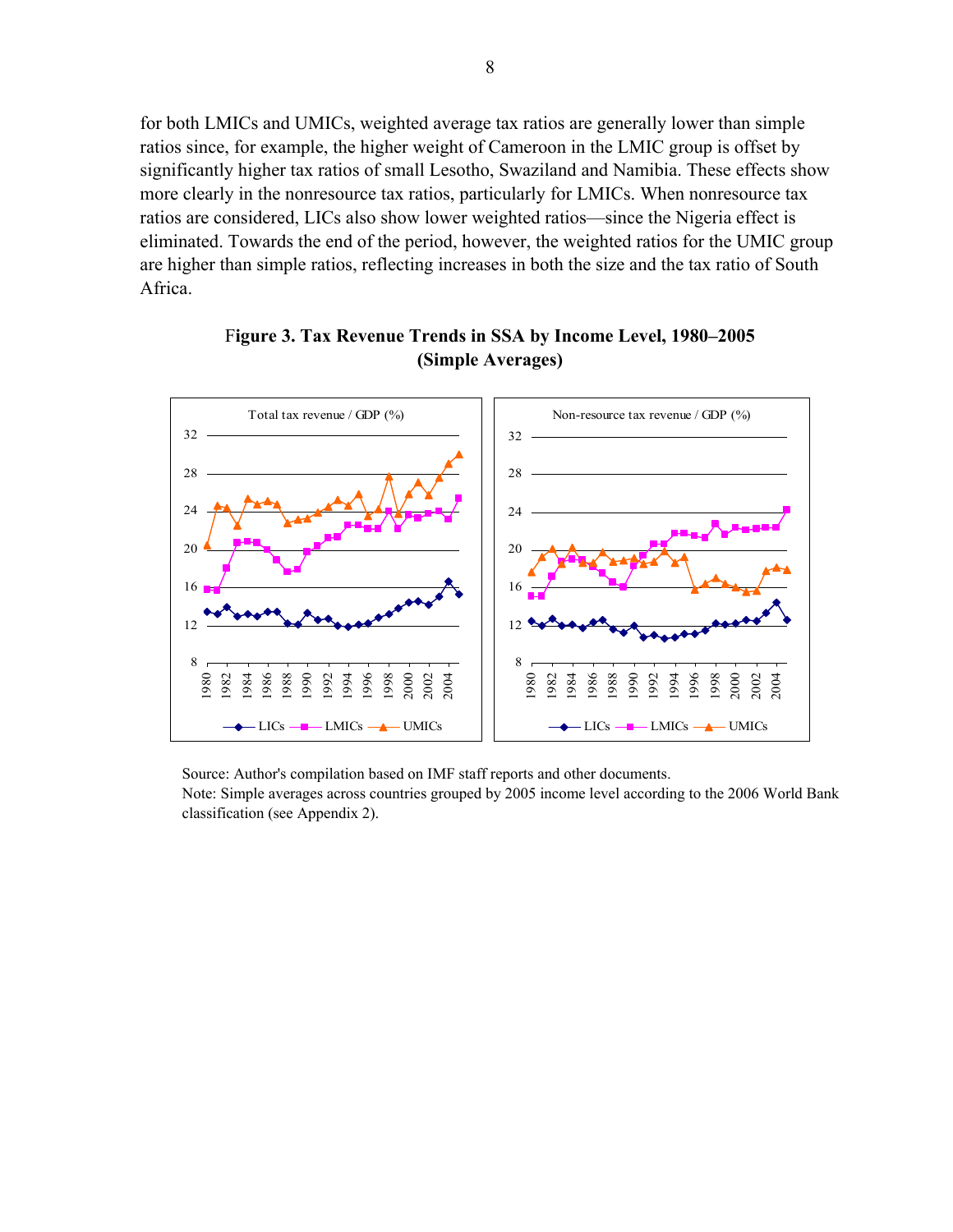for both LMICs and UMICs, weighted average tax ratios are generally lower than simple ratios since, for example, the higher weight of Cameroon in the LMIC group is offset by significantly higher tax ratios of small Lesotho, Swaziland and Namibia. These effects show more clearly in the nonresource tax ratios, particularly for LMICs. When nonresource tax ratios are considered, LICs also show lower weighted ratios—since the Nigeria effect is eliminated. Towards the end of the period, however, the weighted ratios for the UMIC group are higher than simple ratios, reflecting increases in both the size and the tax ratio of South Africa.



F**igure 3. Tax Revenue Trends in SSA by Income Level, 1980–2005 (Simple Averages)** 

Source: Author's compilation based on IMF staff reports and other documents.

Note: Simple averages across countries grouped by 2005 income level according to the 2006 World Bank classification (see Appendix 2).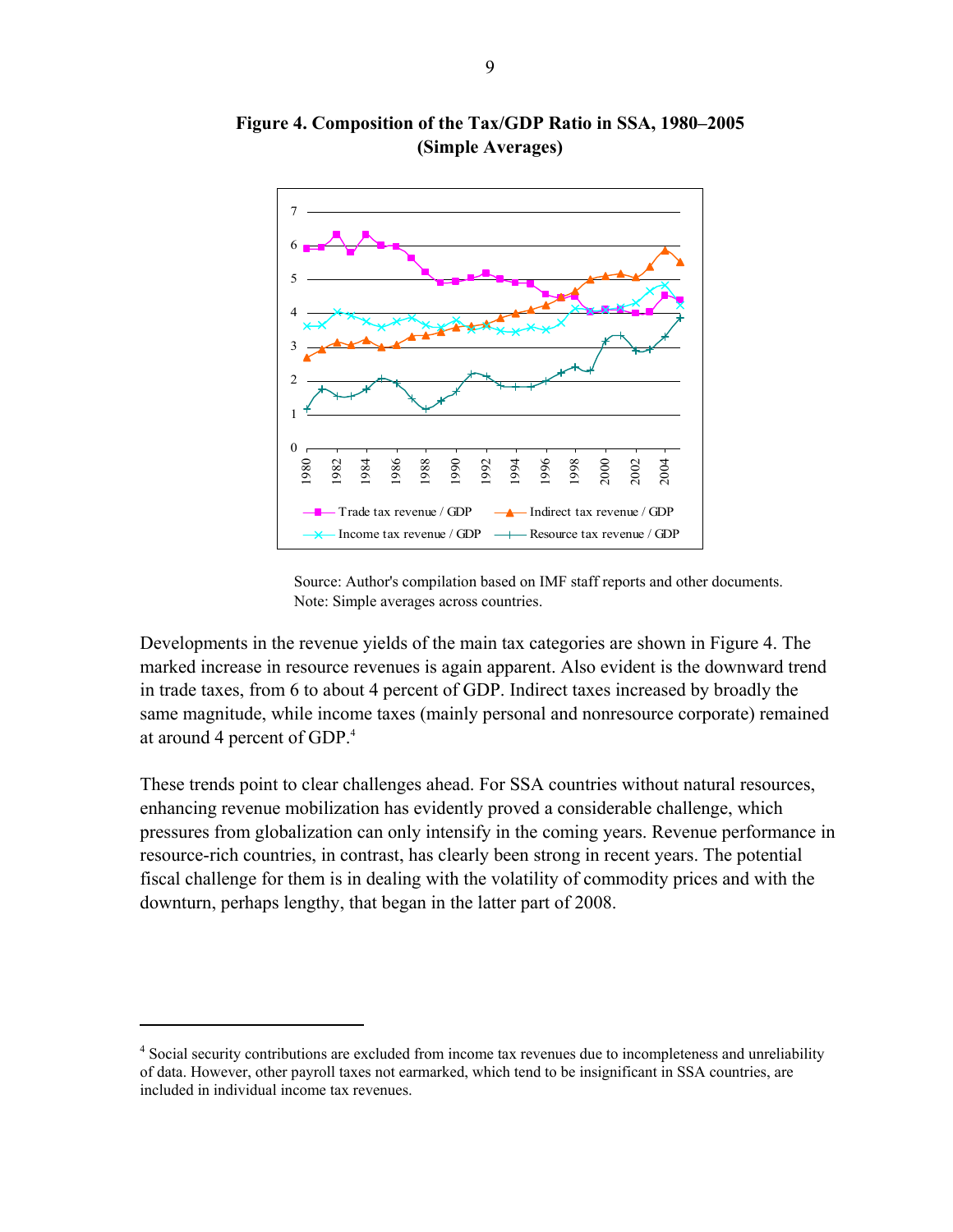

**Figure 4. Composition of the Tax/GDP Ratio in SSA, 1980–2005 (Simple Averages)** 



Developments in the revenue yields of the main tax categories are shown in Figure 4. The marked increase in resource revenues is again apparent. Also evident is the downward trend in trade taxes, from 6 to about 4 percent of GDP. Indirect taxes increased by broadly the same magnitude, while income taxes (mainly personal and nonresource corporate) remained at around 4 percent of GDP.4

These trends point to clear challenges ahead. For SSA countries without natural resources, enhancing revenue mobilization has evidently proved a considerable challenge, which pressures from globalization can only intensify in the coming years. Revenue performance in resource-rich countries, in contrast, has clearly been strong in recent years. The potential fiscal challenge for them is in dealing with the volatility of commodity prices and with the downturn, perhaps lengthy, that began in the latter part of 2008.

 $\overline{a}$ 

<sup>&</sup>lt;sup>4</sup> Social security contributions are excluded from income tax revenues due to incompleteness and unreliability of data. However, other payroll taxes not earmarked, which tend to be insignificant in SSA countries, are included in individual income tax revenues.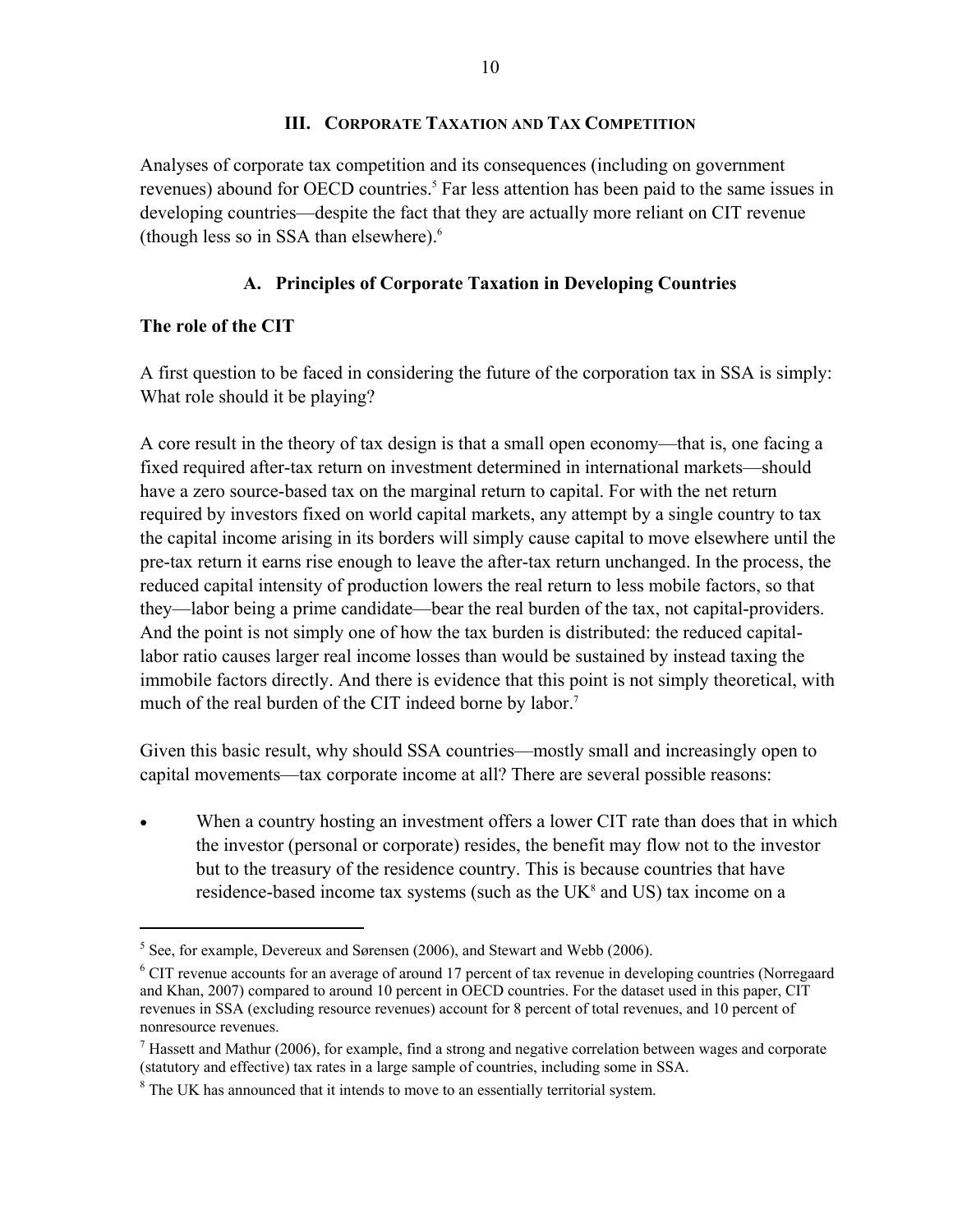#### **III. CORPORATE TAXATION AND TAX COMPETITION**

Analyses of corporate tax competition and its consequences (including on government revenues) abound for OECD countries.<sup>5</sup> Far less attention has been paid to the same issues in developing countries—despite the fact that they are actually more reliant on CIT revenue (though less so in SSA than elsewhere). $6\overline{6}$ 

#### **A. Principles of Corporate Taxation in Developing Countries**

#### **The role of the CIT**

 $\overline{a}$ 

A first question to be faced in considering the future of the corporation tax in SSA is simply: What role should it be playing?

A core result in the theory of tax design is that a small open economy—that is, one facing a fixed required after-tax return on investment determined in international markets—should have a zero source-based tax on the marginal return to capital. For with the net return required by investors fixed on world capital markets, any attempt by a single country to tax the capital income arising in its borders will simply cause capital to move elsewhere until the pre-tax return it earns rise enough to leave the after-tax return unchanged. In the process, the reduced capital intensity of production lowers the real return to less mobile factors, so that they—labor being a prime candidate—bear the real burden of the tax, not capital-providers. And the point is not simply one of how the tax burden is distributed: the reduced capitallabor ratio causes larger real income losses than would be sustained by instead taxing the immobile factors directly. And there is evidence that this point is not simply theoretical, with much of the real burden of the CIT indeed borne by labor.<sup>7</sup>

Given this basic result, why should SSA countries—mostly small and increasingly open to capital movements—tax corporate income at all? There are several possible reasons:

 When a country hosting an investment offers a lower CIT rate than does that in which the investor (personal or corporate) resides, the benefit may flow not to the investor but to the treasury of the residence country. This is because countries that have residence-based income tax systems (such as the  $UK<sup>8</sup>$  and US) tax income on a

 $<sup>5</sup>$  See, for example, Devereux and Sørensen (2006), and Stewart and Webb (2006).</sup>

<sup>&</sup>lt;sup>6</sup> CIT revenue accounts for an average of around 17 percent of tax revenue in developing countries (Norregaard and Khan, 2007) compared to around 10 percent in OECD countries. For the dataset used in this paper, CIT revenues in SSA (excluding resource revenues) account for 8 percent of total revenues, and 10 percent of nonresource revenues.

<sup>&</sup>lt;sup>7</sup> Hassett and Mathur (2006), for example, find a strong and negative correlation between wages and corporate (statutory and effective) tax rates in a large sample of countries, including some in SSA.

<sup>&</sup>lt;sup>8</sup> The UK has announced that it intends to move to an essentially territorial system.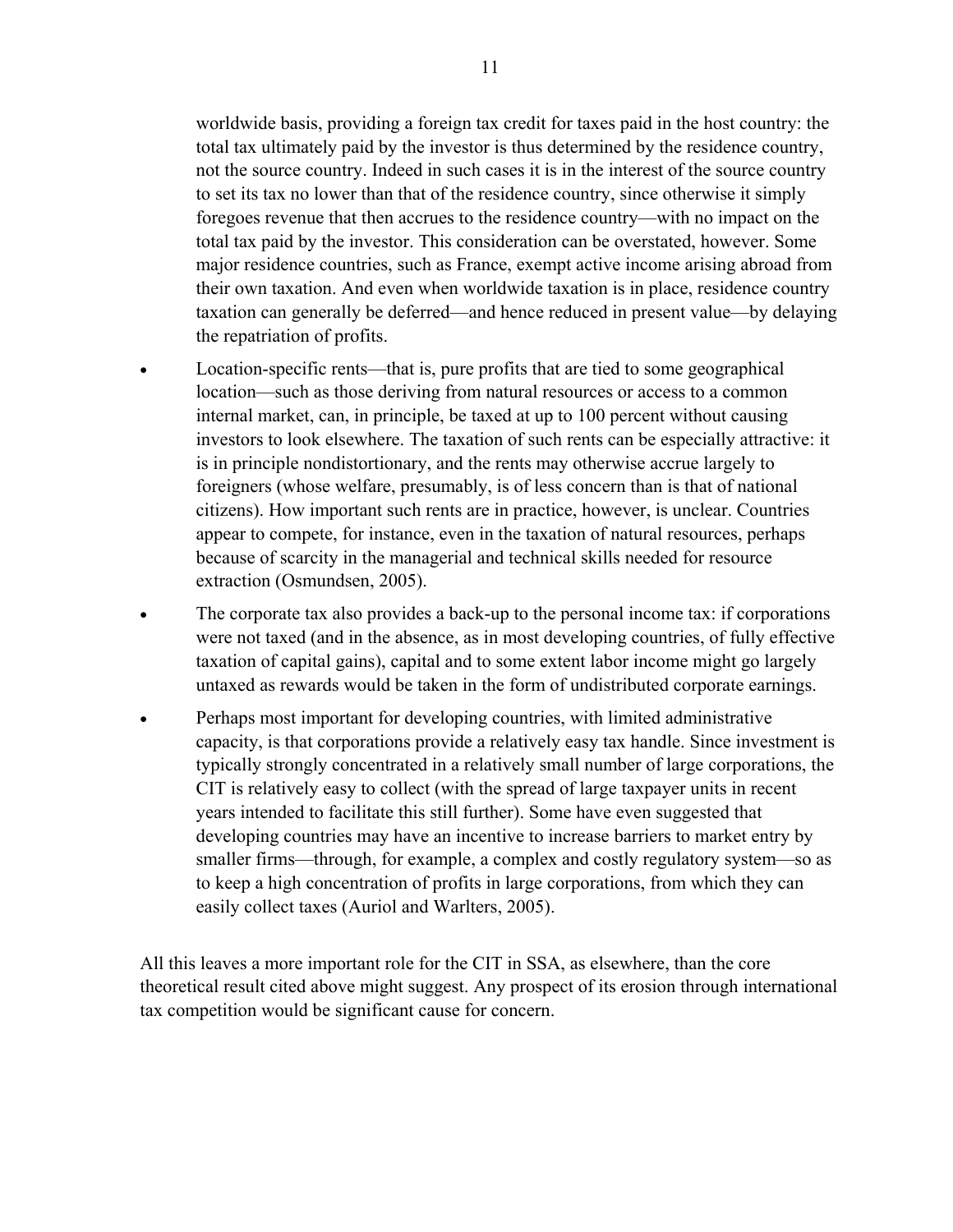worldwide basis, providing a foreign tax credit for taxes paid in the host country: the total tax ultimately paid by the investor is thus determined by the residence country, not the source country. Indeed in such cases it is in the interest of the source country to set its tax no lower than that of the residence country, since otherwise it simply foregoes revenue that then accrues to the residence country—with no impact on the total tax paid by the investor. This consideration can be overstated, however. Some major residence countries, such as France, exempt active income arising abroad from their own taxation. And even when worldwide taxation is in place, residence country taxation can generally be deferred—and hence reduced in present value—by delaying the repatriation of profits.

- Location-specific rents—that is, pure profits that are tied to some geographical location—such as those deriving from natural resources or access to a common internal market, can, in principle, be taxed at up to 100 percent without causing investors to look elsewhere. The taxation of such rents can be especially attractive: it is in principle nondistortionary, and the rents may otherwise accrue largely to foreigners (whose welfare, presumably, is of less concern than is that of national citizens). How important such rents are in practice, however, is unclear. Countries appear to compete, for instance, even in the taxation of natural resources, perhaps because of scarcity in the managerial and technical skills needed for resource extraction (Osmundsen, 2005).
- The corporate tax also provides a back-up to the personal income tax: if corporations were not taxed (and in the absence, as in most developing countries, of fully effective taxation of capital gains), capital and to some extent labor income might go largely untaxed as rewards would be taken in the form of undistributed corporate earnings.
- Perhaps most important for developing countries, with limited administrative capacity, is that corporations provide a relatively easy tax handle. Since investment is typically strongly concentrated in a relatively small number of large corporations, the CIT is relatively easy to collect (with the spread of large taxpayer units in recent years intended to facilitate this still further). Some have even suggested that developing countries may have an incentive to increase barriers to market entry by smaller firms—through, for example, a complex and costly regulatory system—so as to keep a high concentration of profits in large corporations, from which they can easily collect taxes (Auriol and Warlters, 2005).

All this leaves a more important role for the CIT in SSA, as elsewhere, than the core theoretical result cited above might suggest. Any prospect of its erosion through international tax competition would be significant cause for concern.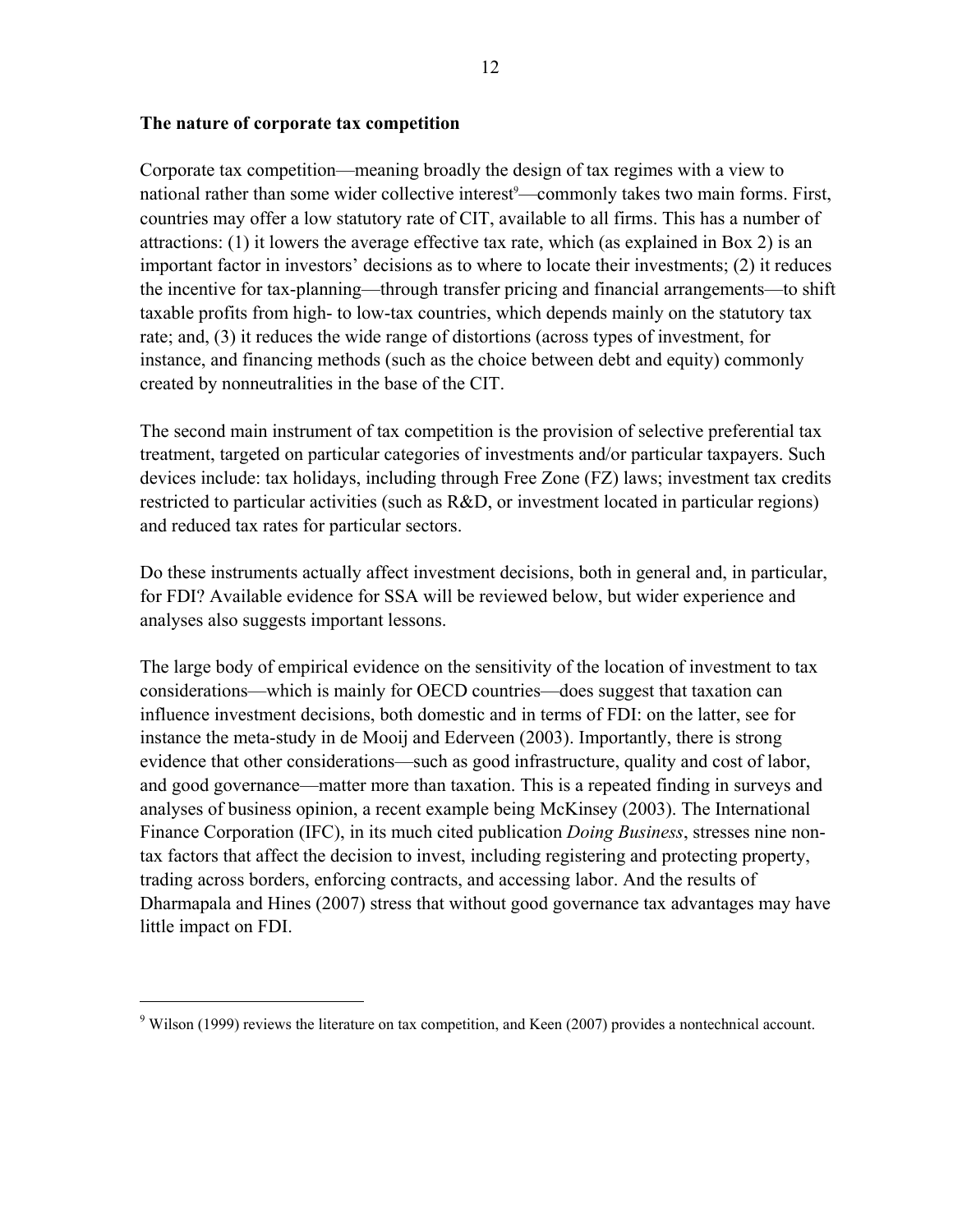#### **The nature of corporate tax competition**

 $\overline{a}$ 

Corporate tax competition—meaning broadly the design of tax regimes with a view to national rather than some wider collective interest<sup>9</sup>—commonly takes two main forms. First, countries may offer a low statutory rate of CIT, available to all firms. This has a number of attractions: (1) it lowers the average effective tax rate, which (as explained in Box 2) is an important factor in investors' decisions as to where to locate their investments; (2) it reduces the incentive for tax-planning—through transfer pricing and financial arrangements—to shift taxable profits from high- to low-tax countries, which depends mainly on the statutory tax rate; and, (3) it reduces the wide range of distortions (across types of investment, for instance, and financing methods (such as the choice between debt and equity) commonly created by nonneutralities in the base of the CIT.

The second main instrument of tax competition is the provision of selective preferential tax treatment, targeted on particular categories of investments and/or particular taxpayers. Such devices include: tax holidays, including through Free Zone (FZ) laws; investment tax credits restricted to particular activities (such as R&D, or investment located in particular regions) and reduced tax rates for particular sectors.

Do these instruments actually affect investment decisions, both in general and, in particular, for FDI? Available evidence for SSA will be reviewed below, but wider experience and analyses also suggests important lessons.

The large body of empirical evidence on the sensitivity of the location of investment to tax considerations—which is mainly for OECD countries—does suggest that taxation can influence investment decisions, both domestic and in terms of FDI: on the latter, see for instance the meta-study in de Mooij and Ederveen (2003). Importantly, there is strong evidence that other considerations—such as good infrastructure, quality and cost of labor, and good governance—matter more than taxation. This is a repeated finding in surveys and analyses of business opinion, a recent example being McKinsey (2003). The International Finance Corporation (IFC), in its much cited publication *Doing Business*, stresses nine nontax factors that affect the decision to invest, including registering and protecting property, trading across borders, enforcing contracts, and accessing labor. And the results of Dharmapala and Hines (2007) stress that without good governance tax advantages may have little impact on FDI.

<sup>&</sup>lt;sup>9</sup> Wilson (1999) reviews the literature on tax competition, and Keen (2007) provides a nontechnical account.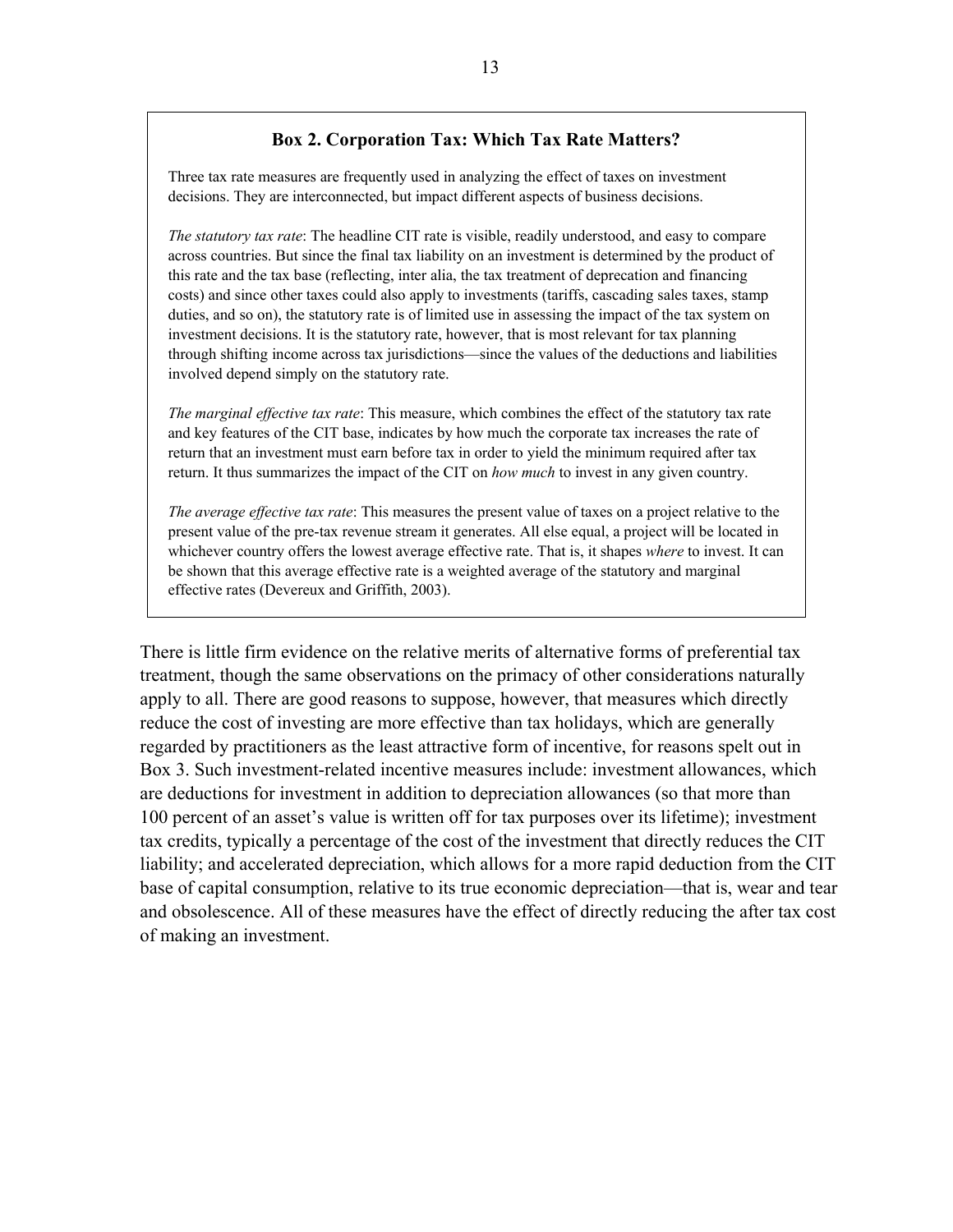#### **Box 2. Corporation Tax: Which Tax Rate Matters?**

Three tax rate measures are frequently used in analyzing the effect of taxes on investment decisions. They are interconnected, but impact different aspects of business decisions.

*The statutory tax rate*: The headline CIT rate is visible, readily understood, and easy to compare across countries. But since the final tax liability on an investment is determined by the product of this rate and the tax base (reflecting, inter alia, the tax treatment of deprecation and financing costs) and since other taxes could also apply to investments (tariffs, cascading sales taxes, stamp duties, and so on), the statutory rate is of limited use in assessing the impact of the tax system on investment decisions. It is the statutory rate, however, that is most relevant for tax planning through shifting income across tax jurisdictions—since the values of the deductions and liabilities involved depend simply on the statutory rate.

*The marginal effective tax rate*: This measure, which combines the effect of the statutory tax rate and key features of the CIT base, indicates by how much the corporate tax increases the rate of return that an investment must earn before tax in order to yield the minimum required after tax return. It thus summarizes the impact of the CIT on *how much* to invest in any given country.

*The average effective tax rate*: This measures the present value of taxes on a project relative to the present value of the pre-tax revenue stream it generates. All else equal, a project will be located in whichever country offers the lowest average effective rate. That is, it shapes *where* to invest. It can be shown that this average effective rate is a weighted average of the statutory and marginal effective rates (Devereux and Griffith, 2003).

There is little firm evidence on the relative merits of alternative forms of preferential tax treatment, though the same observations on the primacy of other considerations naturally apply to all. There are good reasons to suppose, however, that measures which directly reduce the cost of investing are more effective than tax holidays, which are generally regarded by practitioners as the least attractive form of incentive, for reasons spelt out in Box 3. Such investment-related incentive measures include: investment allowances, which are deductions for investment in addition to depreciation allowances (so that more than 100 percent of an asset's value is written off for tax purposes over its lifetime); investment tax credits, typically a percentage of the cost of the investment that directly reduces the CIT liability; and accelerated depreciation, which allows for a more rapid deduction from the CIT base of capital consumption, relative to its true economic depreciation—that is, wear and tear and obsolescence. All of these measures have the effect of directly reducing the after tax cost of making an investment.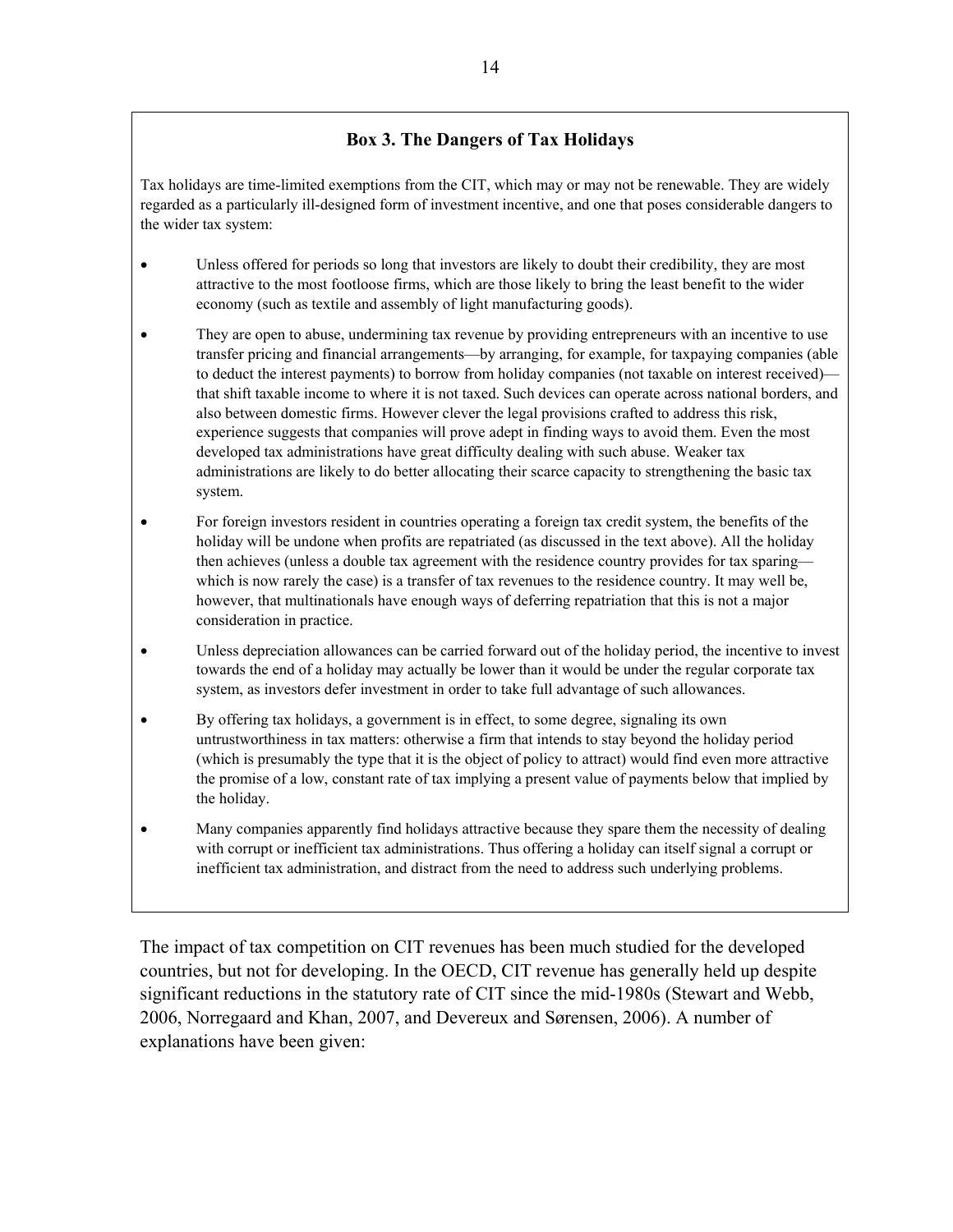#### **Box 3. The Dangers of Tax Holidays**

Tax holidays are time-limited exemptions from the CIT, which may or may not be renewable. They are widely regarded as a particularly ill-designed form of investment incentive, and one that poses considerable dangers to the wider tax system:

- Unless offered for periods so long that investors are likely to doubt their credibility, they are most attractive to the most footloose firms, which are those likely to bring the least benefit to the wider economy (such as textile and assembly of light manufacturing goods).
- They are open to abuse, undermining tax revenue by providing entrepreneurs with an incentive to use transfer pricing and financial arrangements—by arranging, for example, for taxpaying companies (able to deduct the interest payments) to borrow from holiday companies (not taxable on interest received) that shift taxable income to where it is not taxed. Such devices can operate across national borders, and also between domestic firms. However clever the legal provisions crafted to address this risk, experience suggests that companies will prove adept in finding ways to avoid them. Even the most developed tax administrations have great difficulty dealing with such abuse. Weaker tax administrations are likely to do better allocating their scarce capacity to strengthening the basic tax system.
- For foreign investors resident in countries operating a foreign tax credit system, the benefits of the holiday will be undone when profits are repatriated (as discussed in the text above). All the holiday then achieves (unless a double tax agreement with the residence country provides for tax sparing which is now rarely the case) is a transfer of tax revenues to the residence country. It may well be, however, that multinationals have enough ways of deferring repatriation that this is not a major consideration in practice.
- Unless depreciation allowances can be carried forward out of the holiday period, the incentive to invest towards the end of a holiday may actually be lower than it would be under the regular corporate tax system, as investors defer investment in order to take full advantage of such allowances.
- By offering tax holidays, a government is in effect, to some degree, signaling its own untrustworthiness in tax matters: otherwise a firm that intends to stay beyond the holiday period (which is presumably the type that it is the object of policy to attract) would find even more attractive the promise of a low, constant rate of tax implying a present value of payments below that implied by the holiday.
- Many companies apparently find holidays attractive because they spare them the necessity of dealing with corrupt or inefficient tax administrations. Thus offering a holiday can itself signal a corrupt or inefficient tax administration, and distract from the need to address such underlying problems.

The impact of tax competition on CIT revenues has been much studied for the developed countries, but not for developing. In the OECD, CIT revenue has generally held up despite significant reductions in the statutory rate of CIT since the mid-1980s (Stewart and Webb, 2006, Norregaard and Khan, 2007, and Devereux and Sørensen, 2006). A number of explanations have been given: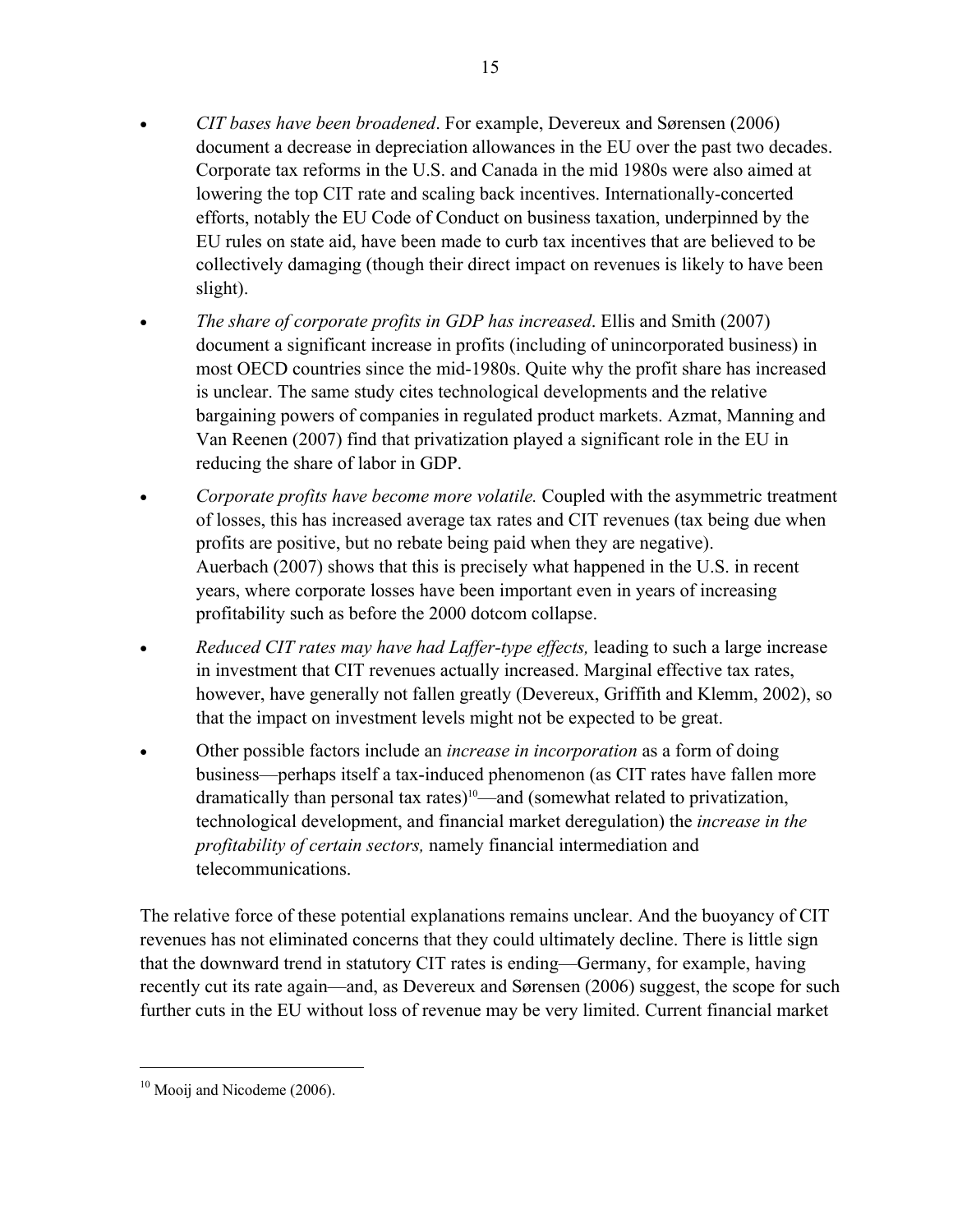- *CIT bases have been broadened*. For example, Devereux and Sørensen (2006) document a decrease in depreciation allowances in the EU over the past two decades. Corporate tax reforms in the U.S. and Canada in the mid 1980s were also aimed at lowering the top CIT rate and scaling back incentives. Internationally-concerted efforts, notably the EU Code of Conduct on business taxation, underpinned by the EU rules on state aid, have been made to curb tax incentives that are believed to be collectively damaging (though their direct impact on revenues is likely to have been slight).
- *The share of corporate profits in GDP has increased*. Ellis and Smith (2007) document a significant increase in profits (including of unincorporated business) in most OECD countries since the mid-1980s. Quite why the profit share has increased is unclear. The same study cites technological developments and the relative bargaining powers of companies in regulated product markets. Azmat, Manning and Van Reenen (2007) find that privatization played a significant role in the EU in reducing the share of labor in GDP.
- *Corporate profits have become more volatile.* Coupled with the asymmetric treatment of losses, this has increased average tax rates and CIT revenues (tax being due when profits are positive, but no rebate being paid when they are negative). Auerbach (2007) shows that this is precisely what happened in the U.S. in recent years, where corporate losses have been important even in years of increasing profitability such as before the 2000 dotcom collapse.
- *Reduced CIT rates may have had Laffer-type effects,* leading to such a large increase in investment that CIT revenues actually increased. Marginal effective tax rates, however, have generally not fallen greatly (Devereux, Griffith and Klemm, 2002), so that the impact on investment levels might not be expected to be great.
- Other possible factors include an *increase in incorporation* as a form of doing business—perhaps itself a tax-induced phenomenon (as CIT rates have fallen more dramatically than personal tax rates)<sup>10</sup>—and (somewhat related to privatization, technological development, and financial market deregulation) the *increase in the profitability of certain sectors,* namely financial intermediation and telecommunications.

The relative force of these potential explanations remains unclear. And the buoyancy of CIT revenues has not eliminated concerns that they could ultimately decline. There is little sign that the downward trend in statutory CIT rates is ending—Germany, for example, having recently cut its rate again—and, as Devereux and Sørensen (2006) suggest, the scope for such further cuts in the EU without loss of revenue may be very limited. Current financial market

 $\overline{a}$ 

 $10$  Mooij and Nicodeme (2006).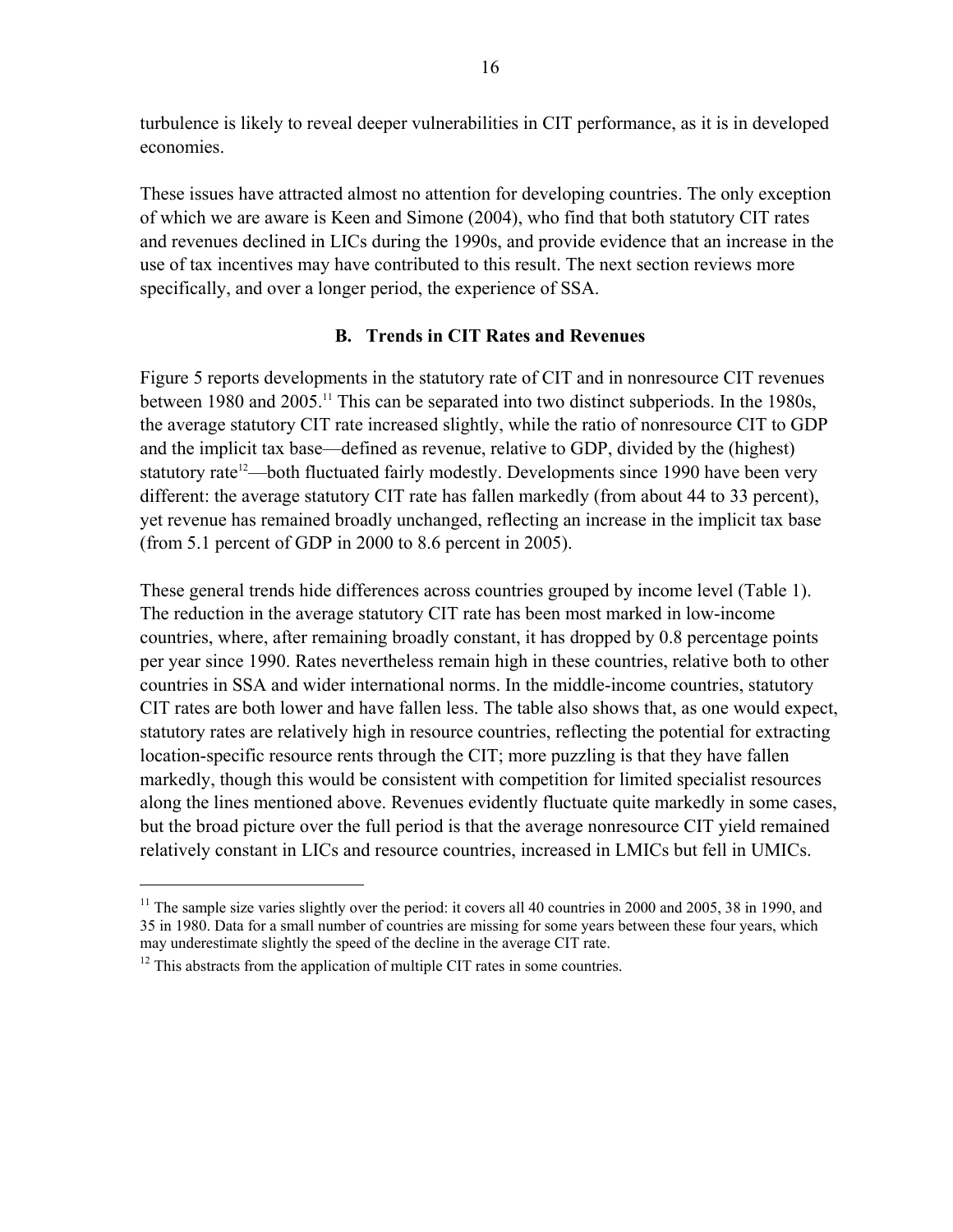turbulence is likely to reveal deeper vulnerabilities in CIT performance, as it is in developed economies.

These issues have attracted almost no attention for developing countries. The only exception of which we are aware is Keen and Simone (2004), who find that both statutory CIT rates and revenues declined in LICs during the 1990s, and provide evidence that an increase in the use of tax incentives may have contributed to this result. The next section reviews more specifically, and over a longer period, the experience of SSA.

#### **B. Trends in CIT Rates and Revenues**

Figure 5 reports developments in the statutory rate of CIT and in nonresource CIT revenues between 1980 and 2005.<sup>11</sup> This can be separated into two distinct subperiods. In the 1980s, the average statutory CIT rate increased slightly, while the ratio of nonresource CIT to GDP and the implicit tax base—defined as revenue, relative to GDP, divided by the (highest) statutory rate<sup>12</sup>—both fluctuated fairly modestly. Developments since 1990 have been very different: the average statutory CIT rate has fallen markedly (from about 44 to 33 percent), yet revenue has remained broadly unchanged, reflecting an increase in the implicit tax base (from 5.1 percent of GDP in 2000 to 8.6 percent in 2005).

These general trends hide differences across countries grouped by income level (Table 1). The reduction in the average statutory CIT rate has been most marked in low-income countries, where, after remaining broadly constant, it has dropped by 0.8 percentage points per year since 1990. Rates nevertheless remain high in these countries, relative both to other countries in SSA and wider international norms. In the middle-income countries, statutory CIT rates are both lower and have fallen less. The table also shows that, as one would expect, statutory rates are relatively high in resource countries, reflecting the potential for extracting location-specific resource rents through the CIT; more puzzling is that they have fallen markedly, though this would be consistent with competition for limited specialist resources along the lines mentioned above. Revenues evidently fluctuate quite markedly in some cases, but the broad picture over the full period is that the average nonresource CIT yield remained relatively constant in LICs and resource countries, increased in LMICs but fell in UMICs.

 $\overline{a}$ 

<sup>&</sup>lt;sup>11</sup> The sample size varies slightly over the period: it covers all 40 countries in 2000 and 2005, 38 in 1990, and 35 in 1980. Data for a small number of countries are missing for some years between these four years, which may underestimate slightly the speed of the decline in the average CIT rate.

 $12$  This abstracts from the application of multiple CIT rates in some countries.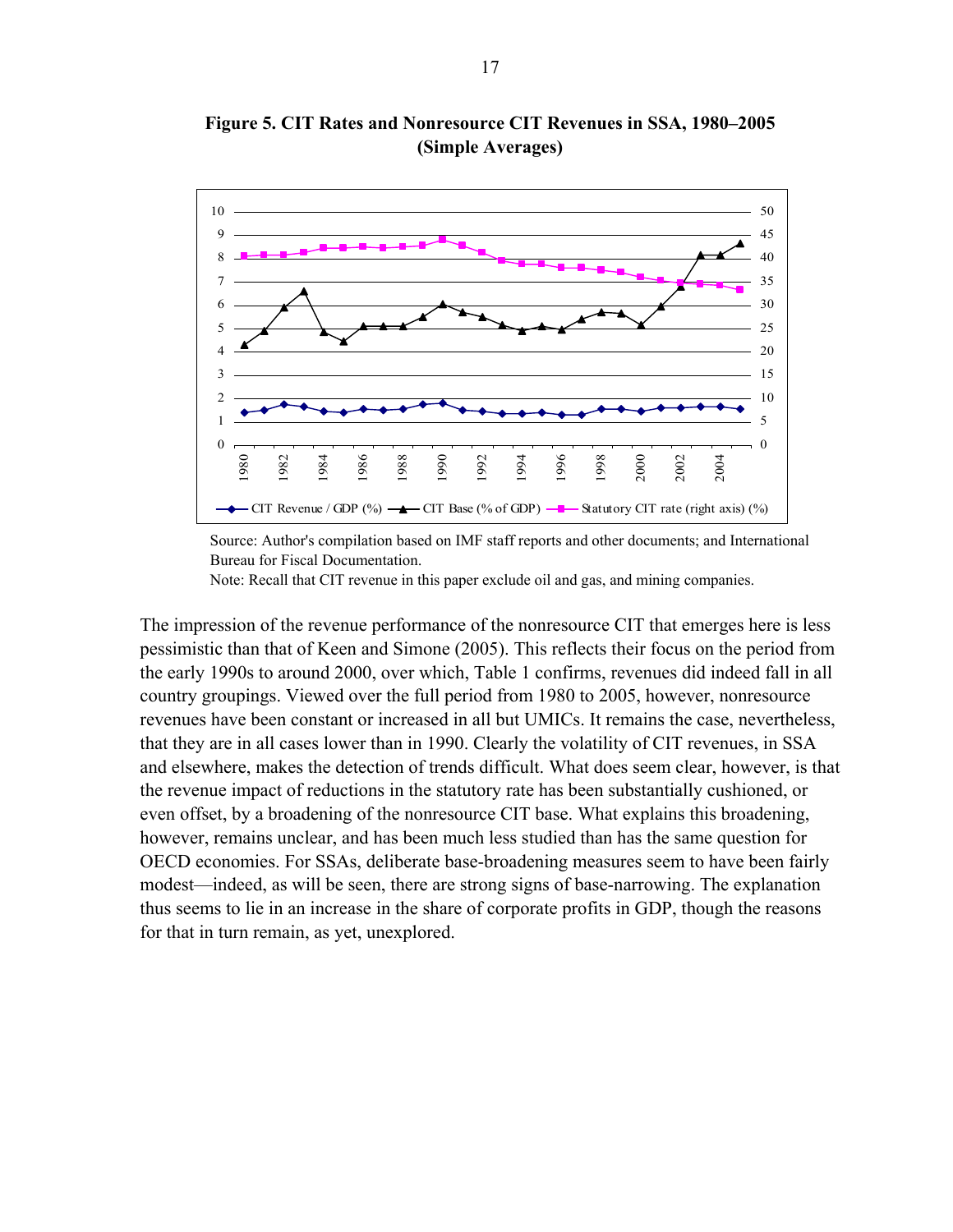

**Figure 5. CIT Rates and Nonresource CIT Revenues in SSA, 1980–2005 (Simple Averages)** 

Source: Author's compilation based on IMF staff reports and other documents; and International Bureau for Fiscal Documentation.

Note: Recall that CIT revenue in this paper exclude oil and gas, and mining companies.

The impression of the revenue performance of the nonresource CIT that emerges here is less pessimistic than that of Keen and Simone (2005). This reflects their focus on the period from the early 1990s to around 2000, over which, Table 1 confirms, revenues did indeed fall in all country groupings. Viewed over the full period from 1980 to 2005, however, nonresource revenues have been constant or increased in all but UMICs. It remains the case, nevertheless, that they are in all cases lower than in 1990. Clearly the volatility of CIT revenues, in SSA and elsewhere, makes the detection of trends difficult. What does seem clear, however, is that the revenue impact of reductions in the statutory rate has been substantially cushioned, or even offset, by a broadening of the nonresource CIT base. What explains this broadening, however, remains unclear, and has been much less studied than has the same question for OECD economies. For SSAs, deliberate base-broadening measures seem to have been fairly modest—indeed, as will be seen, there are strong signs of base-narrowing. The explanation thus seems to lie in an increase in the share of corporate profits in GDP, though the reasons for that in turn remain, as yet, unexplored.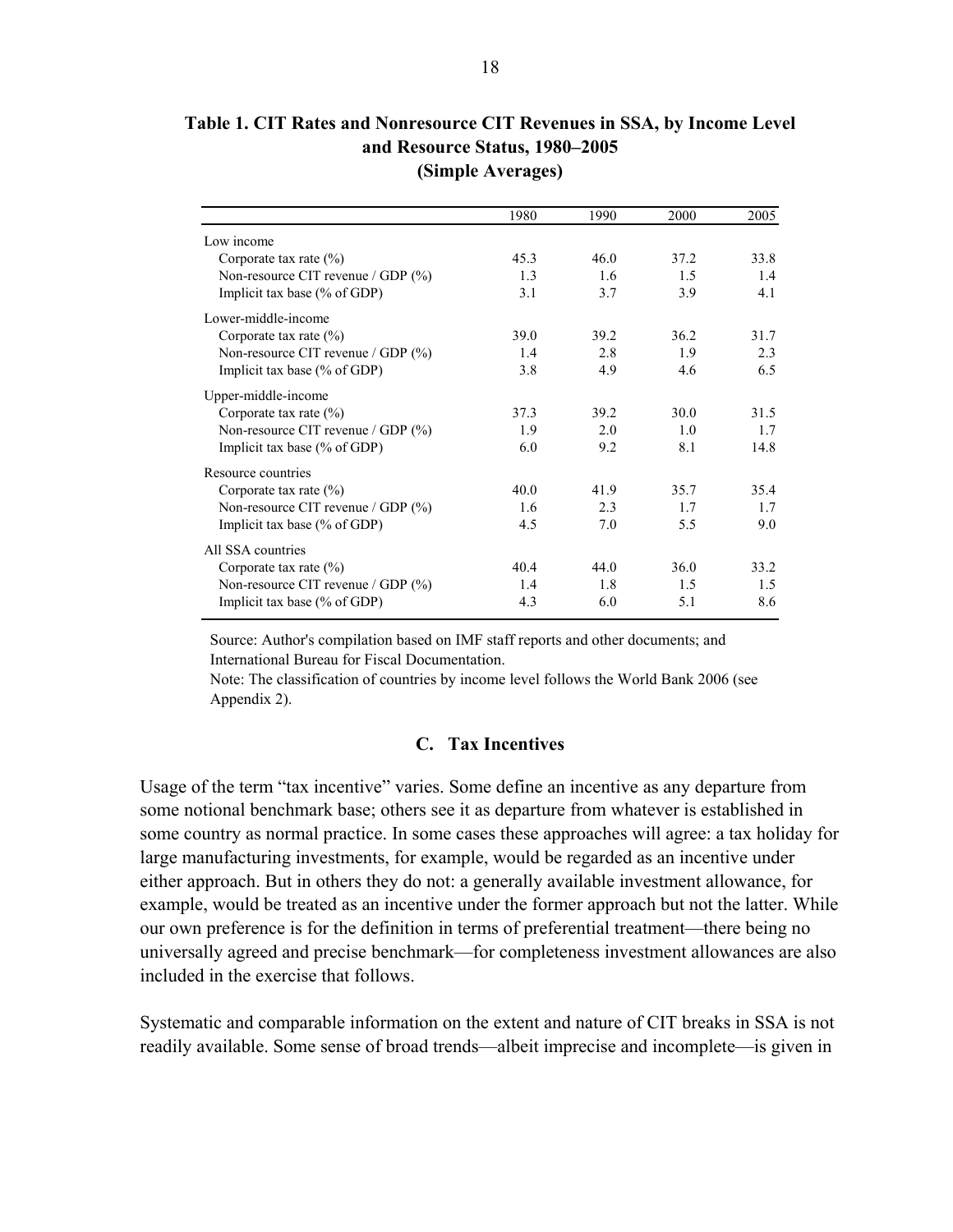**Table 1. CIT Rates and Nonresource CIT Revenues in SSA, by Income Level and Resource Status, 1980–2005 (Simple Averages)** 

|                                    | 1980 | 1990 | 2000 | 2005 |
|------------------------------------|------|------|------|------|
| Low income                         |      |      |      |      |
| Corporate tax rate $(\% )$         | 45.3 | 46.0 | 37.2 | 33.8 |
| Non-resource CIT revenue / GDP (%) | 1.3  | 1.6  | 1.5  | 1.4  |
| Implicit tax base (% of GDP)       | 3.1  | 3.7  | 3.9  | 4.1  |
| Lower-middle-income                |      |      |      |      |
| Corporate tax rate $(\% )$         | 39.0 | 39.2 | 36.2 | 31.7 |
| Non-resource CIT revenue / GDP (%) | 1.4  | 2.8  | 1.9  | 2.3  |
| Implicit tax base $(\%$ of GDP)    | 3.8  | 4.9  | 4.6  | 6.5  |
| Upper-middle-income                |      |      |      |      |
| Corporate tax rate $(\% )$         | 37.3 | 39.2 | 30.0 | 31.5 |
| Non-resource CIT revenue / GDP (%) | 1.9  | 2.0  | 1.0  | 1.7  |
| Implicit tax base $(\%$ of GDP)    | 6.0  | 9.2  | 8.1  | 14.8 |
| Resource countries                 |      |      |      |      |
| Corporate tax rate $(\% )$         | 40.0 | 41.9 | 35.7 | 35.4 |
| Non-resource CIT revenue / GDP (%) | 1.6  | 2.3  | 1.7  | 1.7  |
| Implicit tax base $(\%$ of GDP)    | 4.5  | 7.0  | 5.5  | 9.0  |
| All SSA countries                  |      |      |      |      |
| Corporate tax rate $(\% )$         | 40.4 | 44.0 | 36.0 | 33.2 |
| Non-resource CIT revenue / GDP (%) | 1.4  | 1.8  | 1.5  | 1.5  |
| Implicit tax base $(\%$ of GDP)    | 4.3  | 6.0  | 5.1  | 8.6  |

Source: Author's compilation based on IMF staff reports and other documents; and International Bureau for Fiscal Documentation.

Note: The classification of countries by income level follows the World Bank 2006 (see Appendix 2).

#### **C. Tax Incentives**

Usage of the term "tax incentive" varies. Some define an incentive as any departure from some notional benchmark base; others see it as departure from whatever is established in some country as normal practice. In some cases these approaches will agree: a tax holiday for large manufacturing investments, for example, would be regarded as an incentive under either approach. But in others they do not: a generally available investment allowance, for example, would be treated as an incentive under the former approach but not the latter. While our own preference is for the definition in terms of preferential treatment—there being no universally agreed and precise benchmark—for completeness investment allowances are also included in the exercise that follows.

Systematic and comparable information on the extent and nature of CIT breaks in SSA is not readily available. Some sense of broad trends—albeit imprecise and incomplete—is given in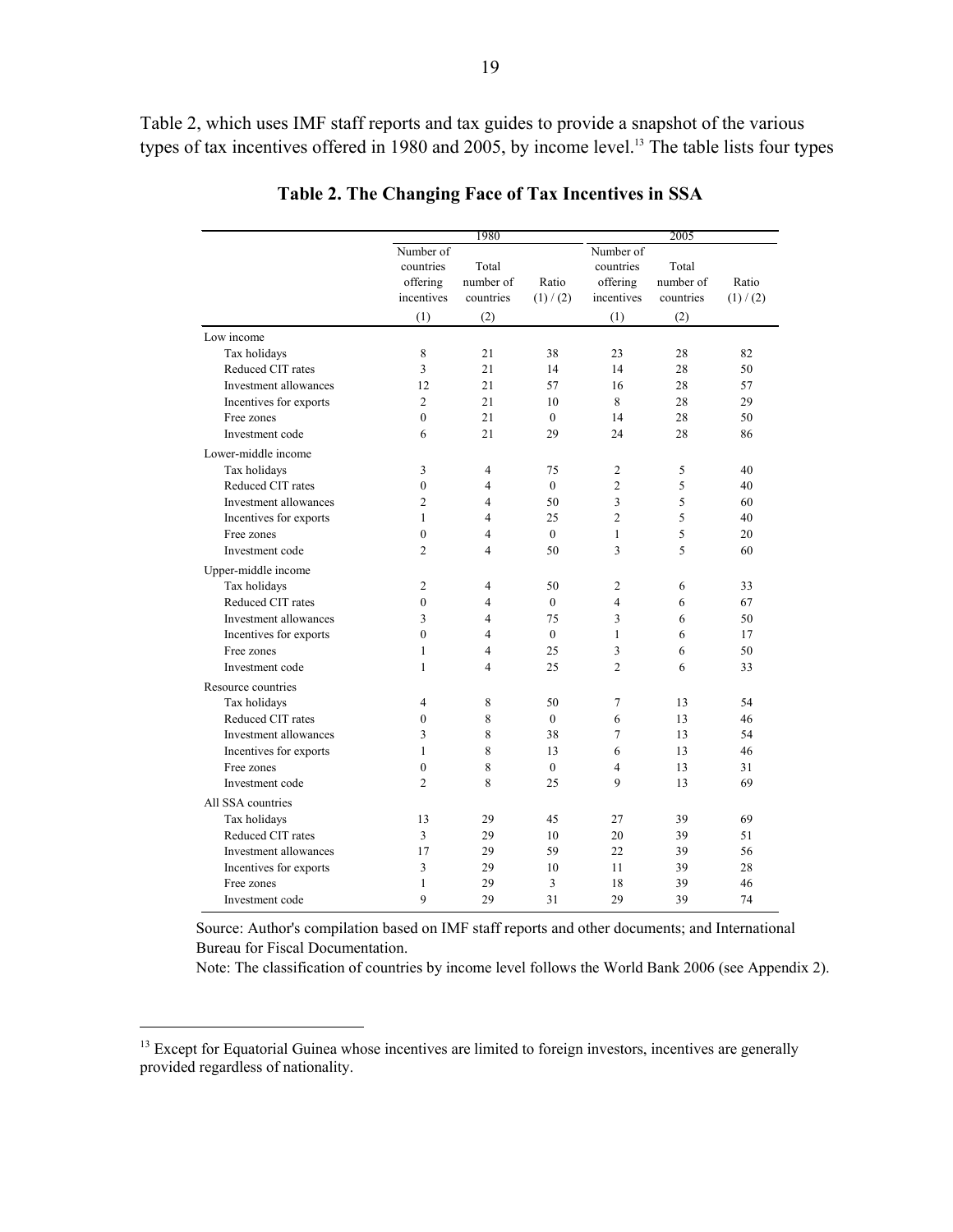Table 2, which uses IMF staff reports and tax guides to provide a snapshot of the various types of tax incentives offered in 1980 and 2005, by income level.<sup>13</sup> The table lists four types

|                        | 1980                                                    |                                        |                    | 2005                                                    |                                        |                    |  |
|------------------------|---------------------------------------------------------|----------------------------------------|--------------------|---------------------------------------------------------|----------------------------------------|--------------------|--|
|                        | Number of<br>countries<br>offering<br>incentives<br>(1) | Total<br>number of<br>countries<br>(2) | Ratio<br>(1) / (2) | Number of<br>countries<br>offering<br>incentives<br>(1) | Total<br>number of<br>countries<br>(2) | Ratio<br>(1) / (2) |  |
| Low income             |                                                         |                                        |                    |                                                         |                                        |                    |  |
| Tax holidays           | 8                                                       | 21                                     | 38                 | 23                                                      | 28                                     | 82                 |  |
| Reduced CIT rates      | 3                                                       | 21                                     | 14                 | 14                                                      | 28                                     | 50                 |  |
| Investment allowances  | 12                                                      | 21                                     | 57                 | 16                                                      | 28                                     | 57                 |  |
| Incentives for exports | $\overline{2}$                                          | 2.1                                    | 10                 | 8                                                       | 28                                     | 29                 |  |
| Free zones             | $\mathbf{0}$                                            | 21                                     | $\Omega$           | 14                                                      | 28                                     | 50                 |  |
| Investment code        | 6                                                       | 21                                     | 29                 | 24                                                      | 28                                     | 86                 |  |
| Lower-middle income    |                                                         |                                        |                    |                                                         |                                        |                    |  |
| Tax holidays           | 3                                                       | $\overline{4}$                         | 75                 | $\overline{c}$                                          | 5                                      | 40                 |  |
| Reduced CIT rates      | $\theta$                                                | 4                                      | $\theta$           | $\overline{c}$                                          | 5                                      | 40                 |  |
| Investment allowances  | $\overline{c}$                                          | 4                                      | 50                 | 3                                                       | 5                                      | 60                 |  |
| Incentives for exports | $\mathbf{1}$                                            | $\overline{4}$                         | 25                 | $\overline{c}$                                          | 5                                      | 40                 |  |
| Free zones             | $\mathbf{0}$                                            | 4                                      | $\theta$           | $\mathbf{1}$                                            | 5                                      | 20                 |  |
| Investment code        | $\overline{c}$                                          | 4                                      | 50                 | 3                                                       | 5                                      | 60                 |  |
| Upper-middle income    |                                                         |                                        |                    |                                                         |                                        |                    |  |
| Tax holidays           | $\overline{2}$                                          | $\overline{4}$                         | 50                 | 2                                                       | 6                                      | 33                 |  |
| Reduced CIT rates      | $\mathbf{0}$                                            | 4                                      | $\mathbf{0}$       | $\overline{4}$                                          | 6                                      | 67                 |  |
| Investment allowances  | 3                                                       | 4                                      | 75                 | 3                                                       | 6                                      | 50                 |  |
| Incentives for exports | $\mathbf{0}$                                            | 4                                      | $\theta$           | $\mathbf{1}$                                            | 6                                      | 17                 |  |
| Free zones             | 1                                                       | 4                                      | 25                 | 3                                                       | 6                                      | 50                 |  |
| Investment code        | $\mathbf{1}$                                            | $\overline{\mathbf{4}}$                | 25                 | $\overline{2}$                                          | 6                                      | 33                 |  |
| Resource countries     |                                                         |                                        |                    |                                                         |                                        |                    |  |
| Tax holidays           | $\overline{4}$                                          | 8                                      | 50                 | 7                                                       | 13                                     | 54                 |  |
| Reduced CIT rates      | $\mathbf{0}$                                            | 8                                      | $\mathbf{0}$       | 6                                                       | 13                                     | 46                 |  |
| Investment allowances  | 3                                                       | 8                                      | 38                 | 7                                                       | 13                                     | 54                 |  |
| Incentives for exports | 1                                                       | 8                                      | 13                 | 6                                                       | 13                                     | 46                 |  |
| Free zones             | $\mathbf{0}$                                            | 8                                      | $\theta$           | $\overline{4}$                                          | 13                                     | 31                 |  |
| Investment code        | $\overline{2}$                                          | 8                                      | 25                 | 9                                                       | 13                                     | 69                 |  |
| All SSA countries      |                                                         |                                        |                    |                                                         |                                        |                    |  |
| Tax holidays           | 13                                                      | 29                                     | 45                 | 27                                                      | 39                                     | 69                 |  |
| Reduced CIT rates      | 3                                                       | 29                                     | 10                 | 20                                                      | 39                                     | 51                 |  |
| Investment allowances  | 17                                                      | 29                                     | 59                 | 22                                                      | 39                                     | 56                 |  |
| Incentives for exports | 3                                                       | 29                                     | 10                 | 11                                                      | 39                                     | 28                 |  |
| Free zones             | $\mathbf{1}$                                            | 29                                     | 3                  | 18                                                      | 39                                     | 46                 |  |
| Investment code        | 9                                                       | 29                                     | 31                 | 29                                                      | 39                                     | 74                 |  |

**Table 2. The Changing Face of Tax Incentives in SSA** 

Source: Author's compilation based on IMF staff reports and other documents; and International Bureau for Fiscal Documentation.

Note: The classification of countries by income level follows the World Bank 2006 (see Appendix 2).

 $\overline{a}$ 

<sup>&</sup>lt;sup>13</sup> Except for Equatorial Guinea whose incentives are limited to foreign investors, incentives are generally provided regardless of nationality.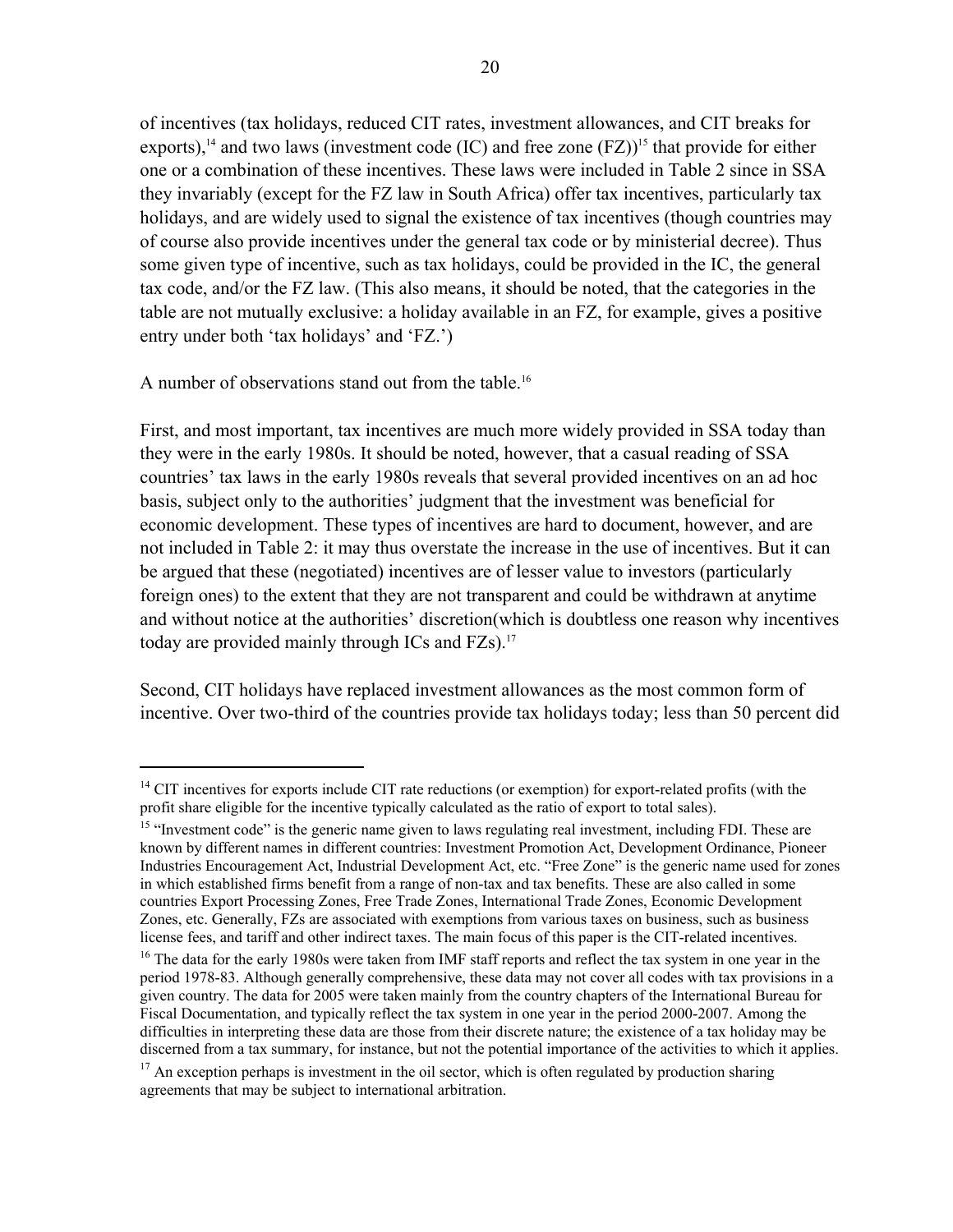of incentives (tax holidays, reduced CIT rates, investment allowances, and CIT breaks for exports),<sup>14</sup> and two laws (investment code (IC) and free zone  $(FZ)$ <sup>15</sup> that provide for either one or a combination of these incentives. These laws were included in Table 2 since in SSA they invariably (except for the FZ law in South Africa) offer tax incentives, particularly tax holidays, and are widely used to signal the existence of tax incentives (though countries may of course also provide incentives under the general tax code or by ministerial decree). Thus some given type of incentive, such as tax holidays, could be provided in the IC, the general tax code, and/or the FZ law. (This also means, it should be noted, that the categories in the table are not mutually exclusive: a holiday available in an FZ, for example, gives a positive entry under both 'tax holidays' and 'FZ.')

A number of observations stand out from the table.<sup>16</sup>

 $\overline{a}$ 

First, and most important, tax incentives are much more widely provided in SSA today than they were in the early 1980s. It should be noted, however, that a casual reading of SSA countries' tax laws in the early 1980s reveals that several provided incentives on an ad hoc basis, subject only to the authorities' judgment that the investment was beneficial for economic development. These types of incentives are hard to document, however, and are not included in Table 2: it may thus overstate the increase in the use of incentives. But it can be argued that these (negotiated) incentives are of lesser value to investors (particularly foreign ones) to the extent that they are not transparent and could be withdrawn at anytime and without notice at the authorities' discretion(which is doubtless one reason why incentives today are provided mainly through ICs and  $FZs$ ).<sup>17</sup>

Second, CIT holidays have replaced investment allowances as the most common form of incentive. Over two-third of the countries provide tax holidays today; less than 50 percent did

 $14$  CIT incentives for exports include CIT rate reductions (or exemption) for export-related profits (with the profit share eligible for the incentive typically calculated as the ratio of export to total sales).

 $15$  "Investment code" is the generic name given to laws regulating real investment, including FDI. These are known by different names in different countries: Investment Promotion Act, Development Ordinance, Pioneer Industries Encouragement Act, Industrial Development Act, etc. "Free Zone" is the generic name used for zones in which established firms benefit from a range of non-tax and tax benefits. These are also called in some countries Export Processing Zones, Free Trade Zones, International Trade Zones, Economic Development Zones, etc. Generally, FZs are associated with exemptions from various taxes on business, such as business license fees, and tariff and other indirect taxes. The main focus of this paper is the CIT-related incentives.<br><sup>16</sup> The data for the early 1980s were taken from IMF staff reports and reflect the tax system in one year in t

period 1978-83. Although generally comprehensive, these data may not cover all codes with tax provisions in a given country. The data for 2005 were taken mainly from the country chapters of the International Bureau for Fiscal Documentation, and typically reflect the tax system in one year in the period 2000-2007. Among the difficulties in interpreting these data are those from their discrete nature; the existence of a tax holiday may be discerned from a tax summary, for instance, but not the potential importance of the activities to which it applies.<br><sup>17</sup> An exception perhaps is investment in the oil sector, which is often regulated by production sharing

agreements that may be subject to international arbitration.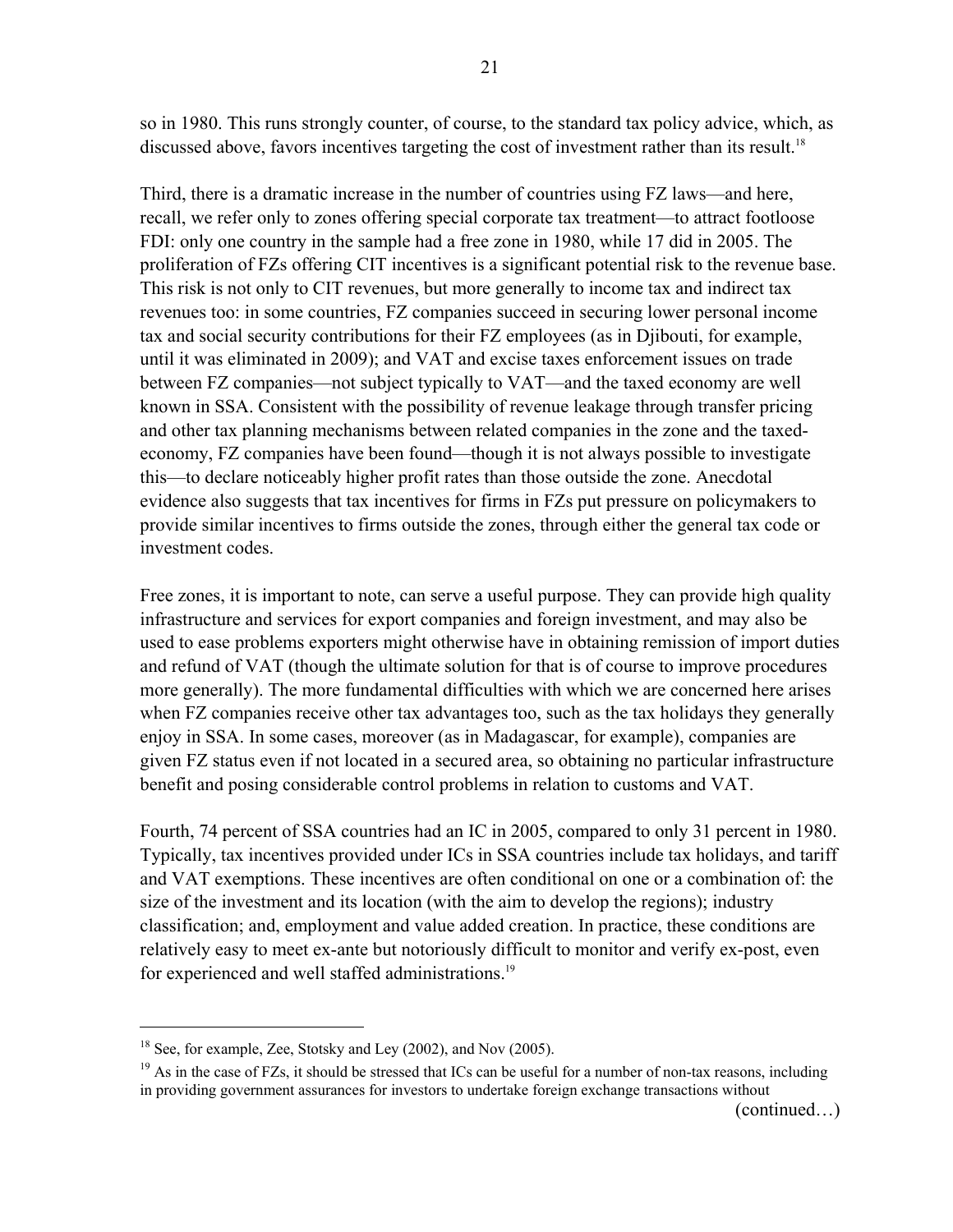so in 1980. This runs strongly counter, of course, to the standard tax policy advice, which, as discussed above, favors incentives targeting the cost of investment rather than its result.<sup>18</sup>

Third, there is a dramatic increase in the number of countries using FZ laws—and here, recall, we refer only to zones offering special corporate tax treatment—to attract footloose FDI: only one country in the sample had a free zone in 1980, while 17 did in 2005. The proliferation of FZs offering CIT incentives is a significant potential risk to the revenue base. This risk is not only to CIT revenues, but more generally to income tax and indirect tax revenues too: in some countries, FZ companies succeed in securing lower personal income tax and social security contributions for their FZ employees (as in Djibouti, for example, until it was eliminated in 2009); and VAT and excise taxes enforcement issues on trade between FZ companies—not subject typically to VAT—and the taxed economy are well known in SSA. Consistent with the possibility of revenue leakage through transfer pricing and other tax planning mechanisms between related companies in the zone and the taxedeconomy, FZ companies have been found—though it is not always possible to investigate this—to declare noticeably higher profit rates than those outside the zone. Anecdotal evidence also suggests that tax incentives for firms in FZs put pressure on policymakers to provide similar incentives to firms outside the zones, through either the general tax code or investment codes.

Free zones, it is important to note, can serve a useful purpose. They can provide high quality infrastructure and services for export companies and foreign investment, and may also be used to ease problems exporters might otherwise have in obtaining remission of import duties and refund of VAT (though the ultimate solution for that is of course to improve procedures more generally). The more fundamental difficulties with which we are concerned here arises when FZ companies receive other tax advantages too, such as the tax holidays they generally enjoy in SSA. In some cases, moreover (as in Madagascar, for example), companies are given FZ status even if not located in a secured area, so obtaining no particular infrastructure benefit and posing considerable control problems in relation to customs and VAT.

Fourth, 74 percent of SSA countries had an IC in 2005, compared to only 31 percent in 1980. Typically, tax incentives provided under ICs in SSA countries include tax holidays, and tariff and VAT exemptions. These incentives are often conditional on one or a combination of: the size of the investment and its location (with the aim to develop the regions); industry classification; and, employment and value added creation. In practice, these conditions are relatively easy to meet ex-ante but notoriously difficult to monitor and verify ex-post, even for experienced and well staffed administrations.<sup>19</sup>

<u>.</u>

(continued…)

<sup>&</sup>lt;sup>18</sup> See, for example, Zee, Stotsky and Ley (2002), and Nov (2005).

 $19$  As in the case of FZs, it should be stressed that ICs can be useful for a number of non-tax reasons, including in providing government assurances for investors to undertake foreign exchange transactions without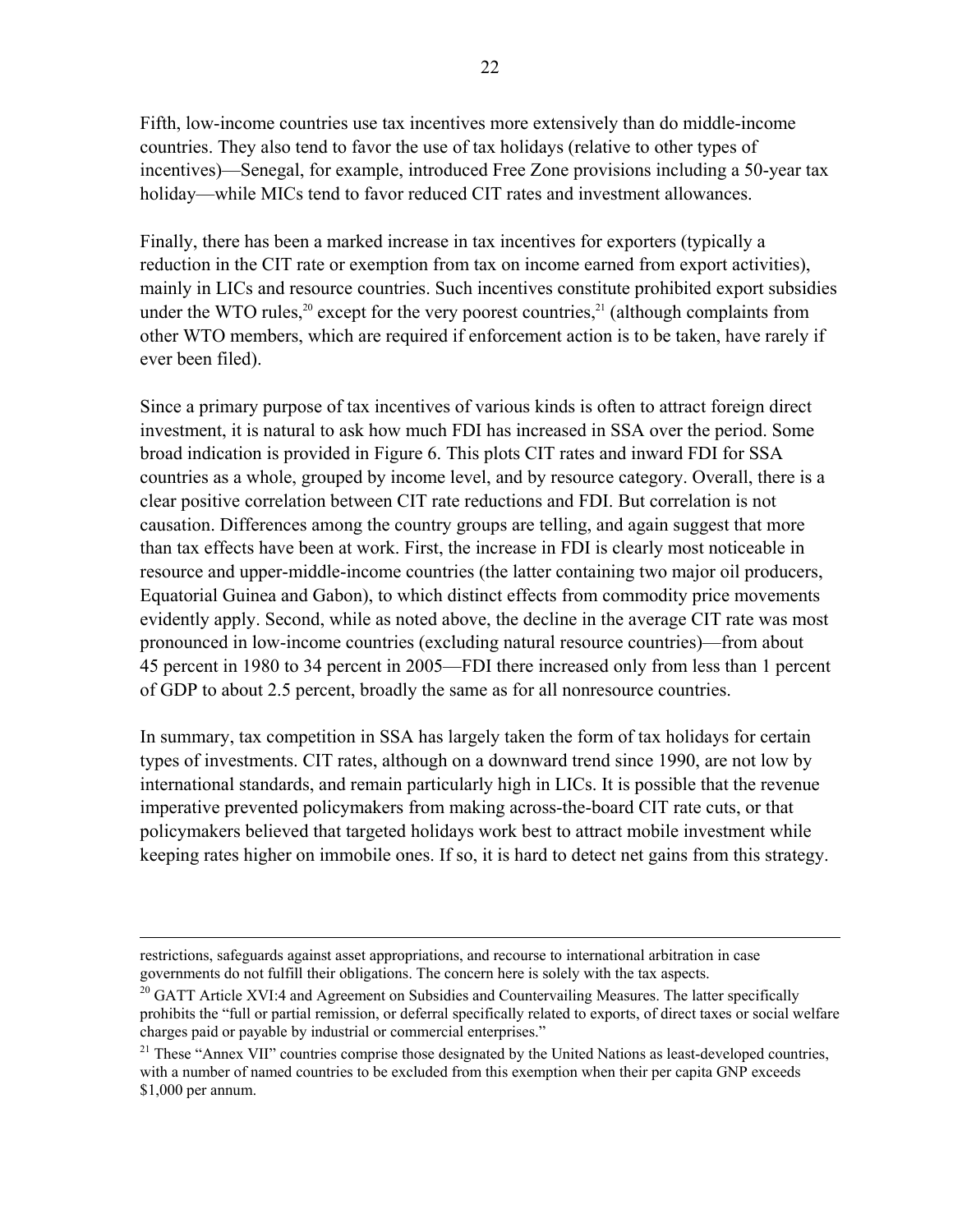Fifth, low-income countries use tax incentives more extensively than do middle-income countries. They also tend to favor the use of tax holidays (relative to other types of incentives)—Senegal, for example, introduced Free Zone provisions including a 50-year tax holiday—while MICs tend to favor reduced CIT rates and investment allowances.

Finally, there has been a marked increase in tax incentives for exporters (typically a reduction in the CIT rate or exemption from tax on income earned from export activities), mainly in LICs and resource countries. Such incentives constitute prohibited export subsidies under the WTO rules,<sup>20</sup> except for the very poorest countries,<sup>21</sup> (although complaints from other WTO members, which are required if enforcement action is to be taken, have rarely if ever been filed).

Since a primary purpose of tax incentives of various kinds is often to attract foreign direct investment, it is natural to ask how much FDI has increased in SSA over the period. Some broad indication is provided in Figure 6. This plots CIT rates and inward FDI for SSA countries as a whole, grouped by income level, and by resource category. Overall, there is a clear positive correlation between CIT rate reductions and FDI. But correlation is not causation. Differences among the country groups are telling, and again suggest that more than tax effects have been at work. First, the increase in FDI is clearly most noticeable in resource and upper-middle-income countries (the latter containing two major oil producers, Equatorial Guinea and Gabon), to which distinct effects from commodity price movements evidently apply. Second, while as noted above, the decline in the average CIT rate was most pronounced in low-income countries (excluding natural resource countries)—from about 45 percent in 1980 to 34 percent in 2005—FDI there increased only from less than 1 percent of GDP to about 2.5 percent, broadly the same as for all nonresource countries.

In summary, tax competition in SSA has largely taken the form of tax holidays for certain types of investments. CIT rates, although on a downward trend since 1990, are not low by international standards, and remain particularly high in LICs. It is possible that the revenue imperative prevented policymakers from making across-the-board CIT rate cuts, or that policymakers believed that targeted holidays work best to attract mobile investment while keeping rates higher on immobile ones. If so, it is hard to detect net gains from this strategy.

restrictions, safeguards against asset appropriations, and recourse to international arbitration in case governments do not fulfill their obligations. The concern here is solely with the tax aspects.

<sup>&</sup>lt;sup>20</sup> GATT Article XVI:4 and Agreement on Subsidies and Countervailing Measures. The latter specifically prohibits the "full or partial remission, or deferral specifically related to exports, of direct taxes or social welfare charges paid or payable by industrial or commercial enterprises."<br><sup>21</sup> These "Annex VII" countries comprise those designated by the United Nations as least-developed countries,

with a number of named countries to be excluded from this exemption when their per capita GNP exceeds \$1,000 per annum.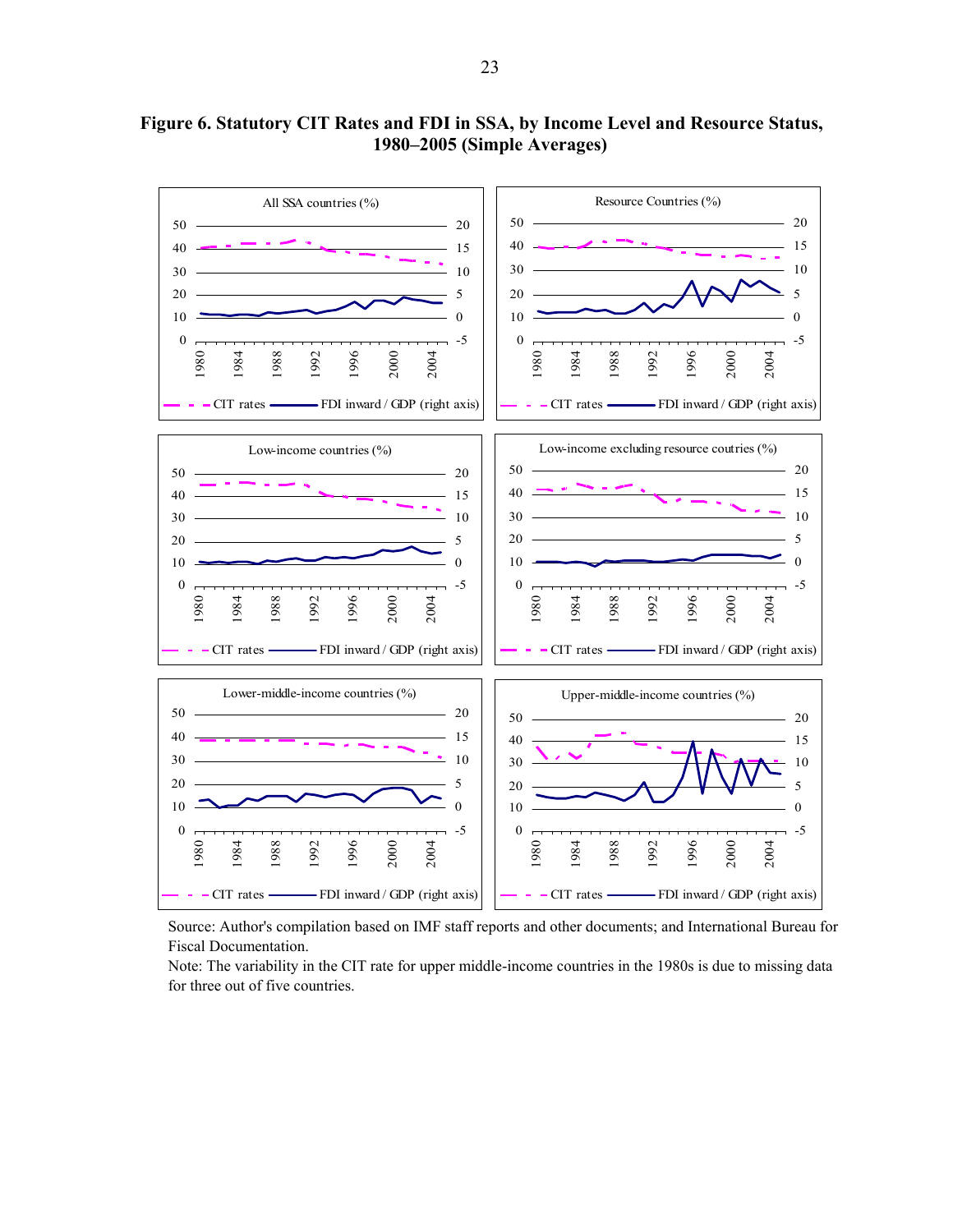

**Figure 6. Statutory CIT Rates and FDI in SSA, by Income Level and Resource Status, 1980–2005 (Simple Averages)**

Source: Author's compilation based on IMF staff reports and other documents; and International Bureau for Fiscal Documentation.

Note: The variability in the CIT rate for upper middle-income countries in the 1980s is due to missing data for three out of five countries.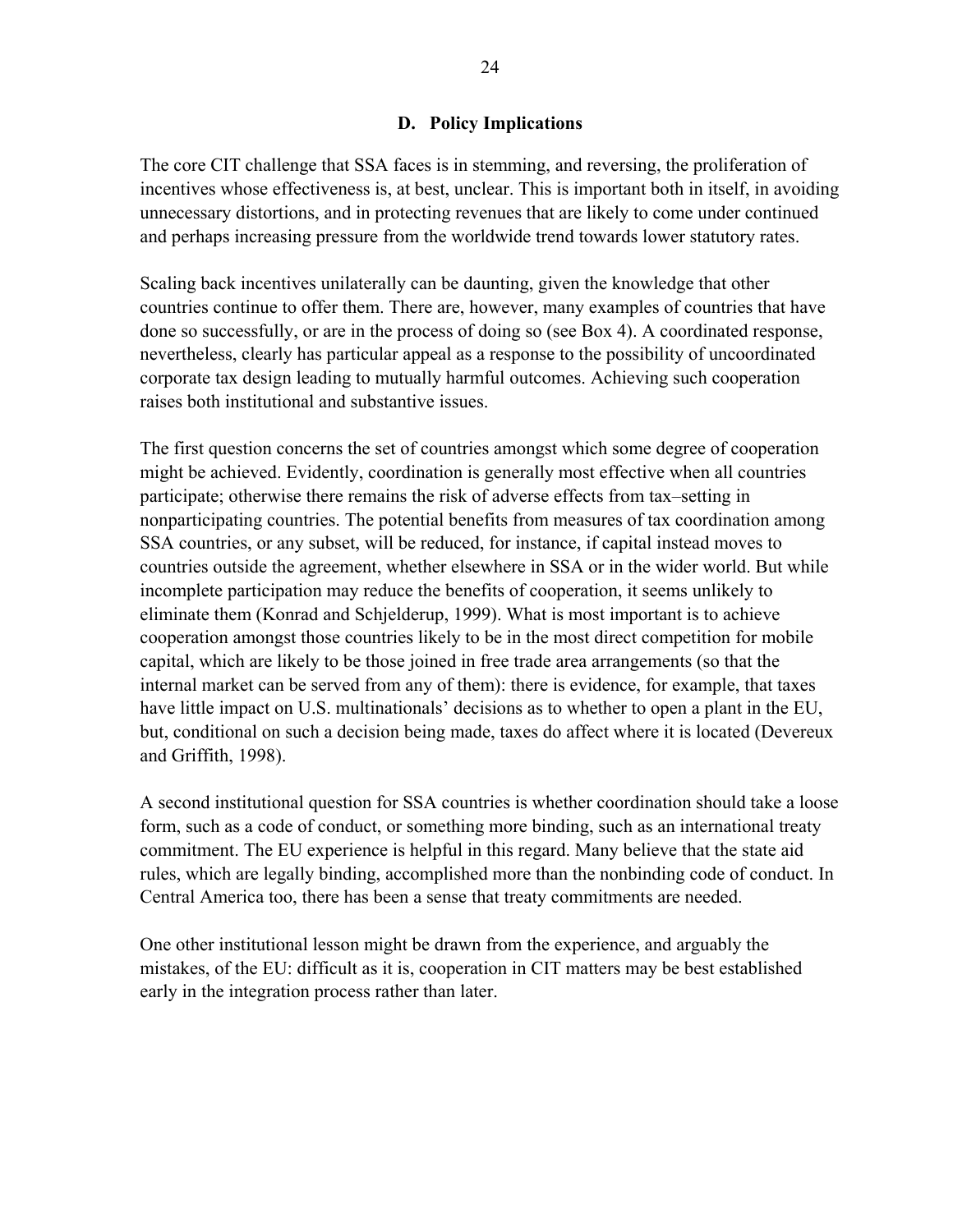#### **D. Policy Implications**

The core CIT challenge that SSA faces is in stemming, and reversing, the proliferation of incentives whose effectiveness is, at best, unclear. This is important both in itself, in avoiding unnecessary distortions, and in protecting revenues that are likely to come under continued and perhaps increasing pressure from the worldwide trend towards lower statutory rates.

Scaling back incentives unilaterally can be daunting, given the knowledge that other countries continue to offer them. There are, however, many examples of countries that have done so successfully, or are in the process of doing so (see Box 4). A coordinated response, nevertheless, clearly has particular appeal as a response to the possibility of uncoordinated corporate tax design leading to mutually harmful outcomes. Achieving such cooperation raises both institutional and substantive issues.

The first question concerns the set of countries amongst which some degree of cooperation might be achieved. Evidently, coordination is generally most effective when all countries participate; otherwise there remains the risk of adverse effects from tax–setting in nonparticipating countries. The potential benefits from measures of tax coordination among SSA countries, or any subset, will be reduced, for instance, if capital instead moves to countries outside the agreement, whether elsewhere in SSA or in the wider world. But while incomplete participation may reduce the benefits of cooperation, it seems unlikely to eliminate them (Konrad and Schjelderup, 1999). What is most important is to achieve cooperation amongst those countries likely to be in the most direct competition for mobile capital, which are likely to be those joined in free trade area arrangements (so that the internal market can be served from any of them): there is evidence, for example, that taxes have little impact on U.S. multinationals' decisions as to whether to open a plant in the EU, but, conditional on such a decision being made, taxes do affect where it is located (Devereux and Griffith, 1998).

A second institutional question for SSA countries is whether coordination should take a loose form, such as a code of conduct, or something more binding, such as an international treaty commitment. The EU experience is helpful in this regard. Many believe that the state aid rules, which are legally binding, accomplished more than the nonbinding code of conduct. In Central America too, there has been a sense that treaty commitments are needed.

One other institutional lesson might be drawn from the experience, and arguably the mistakes, of the EU: difficult as it is, cooperation in CIT matters may be best established early in the integration process rather than later.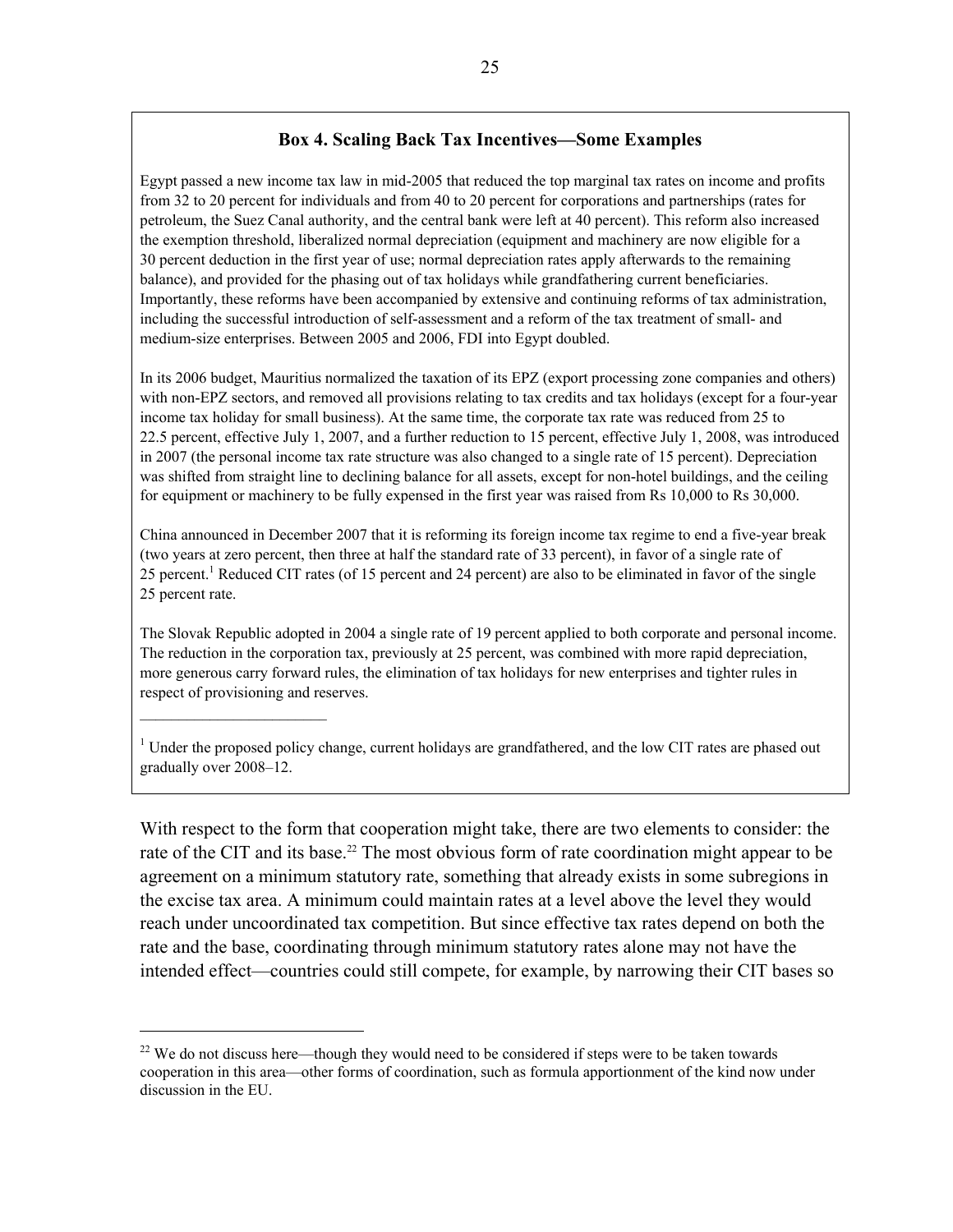#### **Box 4. Scaling Back Tax Incentives—Some Examples**

Egypt passed a new income tax law in mid-2005 that reduced the top marginal tax rates on income and profits from 32 to 20 percent for individuals and from 40 to 20 percent for corporations and partnerships (rates for petroleum, the Suez Canal authority, and the central bank were left at 40 percent). This reform also increased the exemption threshold, liberalized normal depreciation (equipment and machinery are now eligible for a 30 percent deduction in the first year of use; normal depreciation rates apply afterwards to the remaining balance), and provided for the phasing out of tax holidays while grandfathering current beneficiaries. Importantly, these reforms have been accompanied by extensive and continuing reforms of tax administration, including the successful introduction of self-assessment and a reform of the tax treatment of small- and medium-size enterprises. Between 2005 and 2006, FDI into Egypt doubled.

In its 2006 budget, Mauritius normalized the taxation of its EPZ (export processing zone companies and others) with non-EPZ sectors, and removed all provisions relating to tax credits and tax holidays (except for a four-year income tax holiday for small business). At the same time, the corporate tax rate was reduced from 25 to 22.5 percent, effective July 1, 2007, and a further reduction to 15 percent, effective July 1, 2008, was introduced in 2007 (the personal income tax rate structure was also changed to a single rate of 15 percent). Depreciation was shifted from straight line to declining balance for all assets, except for non-hotel buildings, and the ceiling for equipment or machinery to be fully expensed in the first year was raised from Rs 10,000 to Rs 30,000.

China announced in December 2007 that it is reforming its foreign income tax regime to end a five-year break (two years at zero percent, then three at half the standard rate of 33 percent), in favor of a single rate of 25 percent.<sup>1</sup> Reduced CIT rates (of 15 percent and 24 percent) are also to be eliminated in favor of the single 25 percent rate.

The Slovak Republic adopted in 2004 a single rate of 19 percent applied to both corporate and personal income. The reduction in the corporation tax, previously at 25 percent, was combined with more rapid depreciation, more generous carry forward rules, the elimination of tax holidays for new enterprises and tighter rules in respect of provisioning and reserves.

<sup>1</sup> Under the proposed policy change, current holidays are grandfathered, and the low CIT rates are phased out gradually over 2008–12.

With respect to the form that cooperation might take, there are two elements to consider: the rate of the CIT and its base.<sup>22</sup> The most obvious form of rate coordination might appear to be agreement on a minimum statutory rate, something that already exists in some subregions in the excise tax area. A minimum could maintain rates at a level above the level they would reach under uncoordinated tax competition. But since effective tax rates depend on both the rate and the base, coordinating through minimum statutory rates alone may not have the intended effect—countries could still compete, for example, by narrowing their CIT bases so

 $\overline{a}$ 

<sup>&</sup>lt;sup>22</sup> We do not discuss here—though they would need to be considered if steps were to be taken towards cooperation in this area—other forms of coordination, such as formula apportionment of the kind now under discussion in the EU.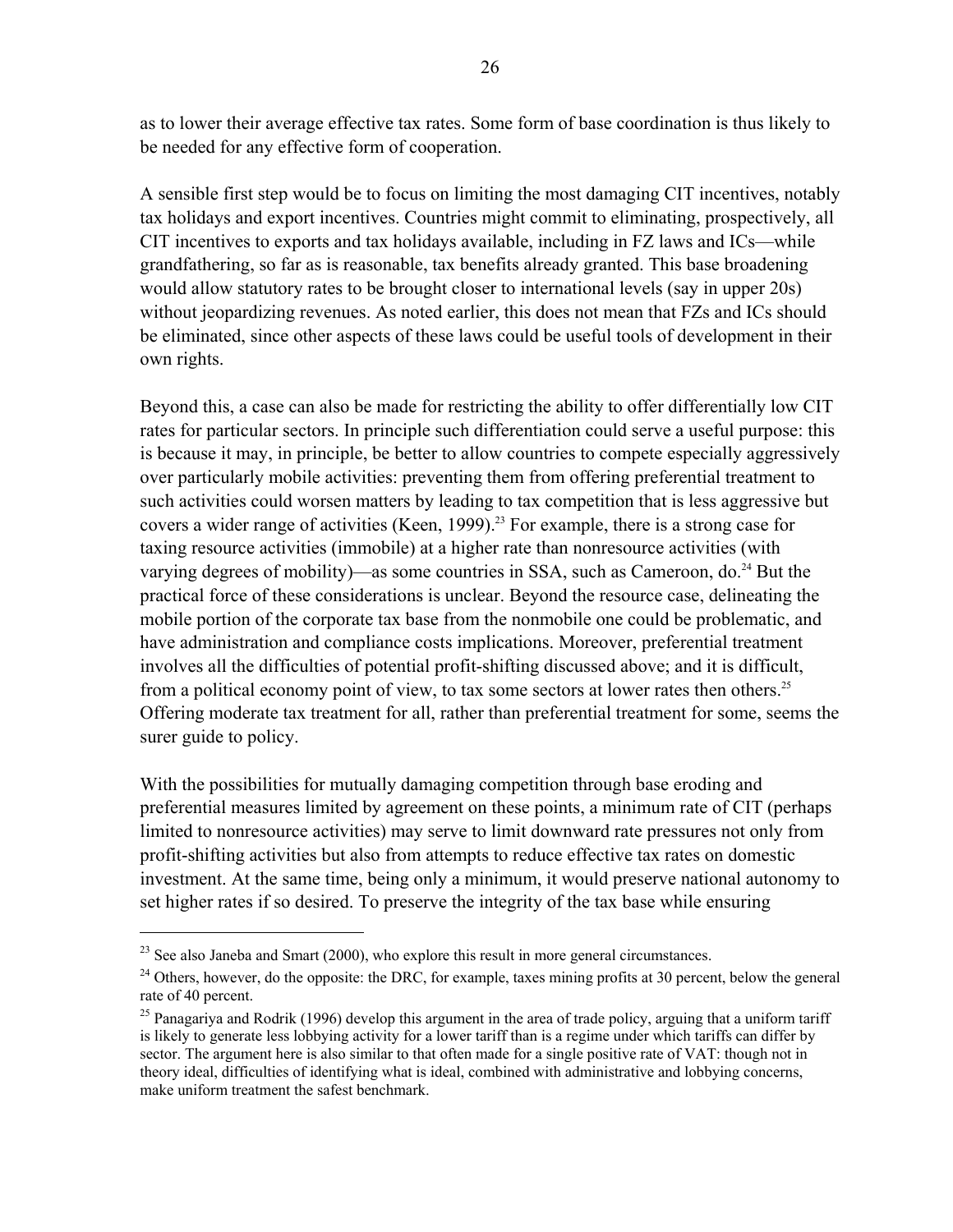as to lower their average effective tax rates. Some form of base coordination is thus likely to be needed for any effective form of cooperation.

A sensible first step would be to focus on limiting the most damaging CIT incentives, notably tax holidays and export incentives. Countries might commit to eliminating, prospectively, all CIT incentives to exports and tax holidays available, including in FZ laws and ICs—while grandfathering, so far as is reasonable, tax benefits already granted. This base broadening would allow statutory rates to be brought closer to international levels (say in upper 20s) without jeopardizing revenues. As noted earlier, this does not mean that FZs and ICs should be eliminated, since other aspects of these laws could be useful tools of development in their own rights.

Beyond this, a case can also be made for restricting the ability to offer differentially low CIT rates for particular sectors. In principle such differentiation could serve a useful purpose: this is because it may, in principle, be better to allow countries to compete especially aggressively over particularly mobile activities: preventing them from offering preferential treatment to such activities could worsen matters by leading to tax competition that is less aggressive but covers a wider range of activities (Keen, 1999).<sup>23</sup> For example, there is a strong case for taxing resource activities (immobile) at a higher rate than nonresource activities (with varying degrees of mobility)—as some countries in SSA, such as Cameroon, do.<sup>24</sup> But the practical force of these considerations is unclear. Beyond the resource case, delineating the mobile portion of the corporate tax base from the nonmobile one could be problematic, and have administration and compliance costs implications. Moreover, preferential treatment involves all the difficulties of potential profit-shifting discussed above; and it is difficult, from a political economy point of view, to tax some sectors at lower rates then others.<sup>25</sup> Offering moderate tax treatment for all, rather than preferential treatment for some, seems the surer guide to policy.

With the possibilities for mutually damaging competition through base eroding and preferential measures limited by agreement on these points, a minimum rate of CIT (perhaps limited to nonresource activities) may serve to limit downward rate pressures not only from profit-shifting activities but also from attempts to reduce effective tax rates on domestic investment. At the same time, being only a minimum, it would preserve national autonomy to set higher rates if so desired. To preserve the integrity of the tax base while ensuring

1

<sup>&</sup>lt;sup>23</sup> See also Janeba and Smart (2000), who explore this result in more general circumstances.<br><sup>24</sup> Others, however, do the opposite: the DRC, for example, taxes mining profits at 30 percent, below the general rate of 40 percent.

<sup>&</sup>lt;sup>25</sup> Panagariya and Rodrik (1996) develop this argument in the area of trade policy, arguing that a uniform tariff is likely to generate less lobbying activity for a lower tariff than is a regime under which tariffs can differ by sector. The argument here is also similar to that often made for a single positive rate of VAT: though not in theory ideal, difficulties of identifying what is ideal, combined with administrative and lobbying concerns, make uniform treatment the safest benchmark.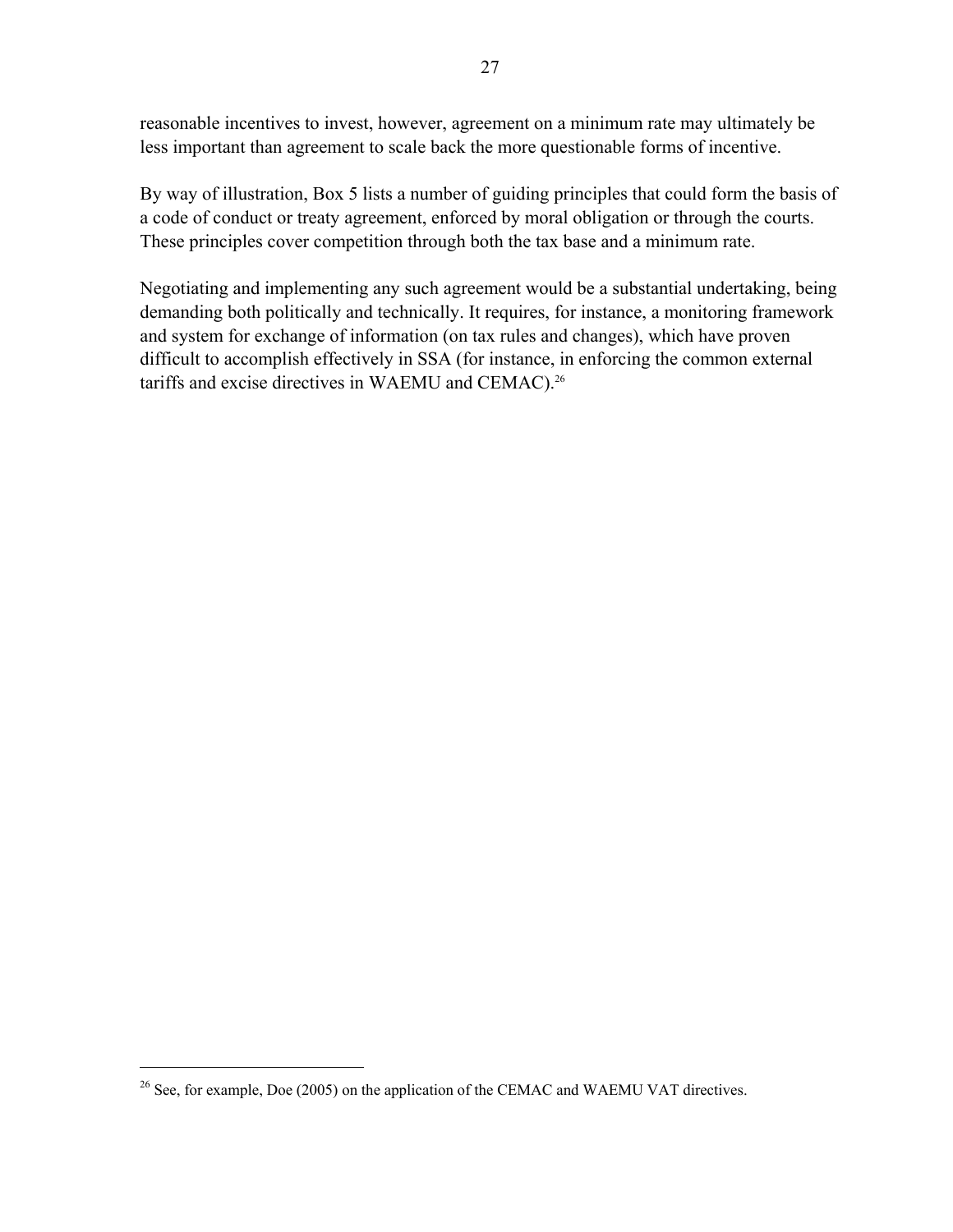reasonable incentives to invest, however, agreement on a minimum rate may ultimately be less important than agreement to scale back the more questionable forms of incentive.

By way of illustration, Box 5 lists a number of guiding principles that could form the basis of a code of conduct or treaty agreement, enforced by moral obligation or through the courts. These principles cover competition through both the tax base and a minimum rate.

Negotiating and implementing any such agreement would be a substantial undertaking, being demanding both politically and technically. It requires, for instance, a monitoring framework and system for exchange of information (on tax rules and changes), which have proven difficult to accomplish effectively in SSA (for instance, in enforcing the common external tariffs and excise directives in WAEMU and CEMAC).<sup>26</sup>

 $\overline{a}$ 

<sup>&</sup>lt;sup>26</sup> See, for example, Doe (2005) on the application of the CEMAC and WAEMU VAT directives.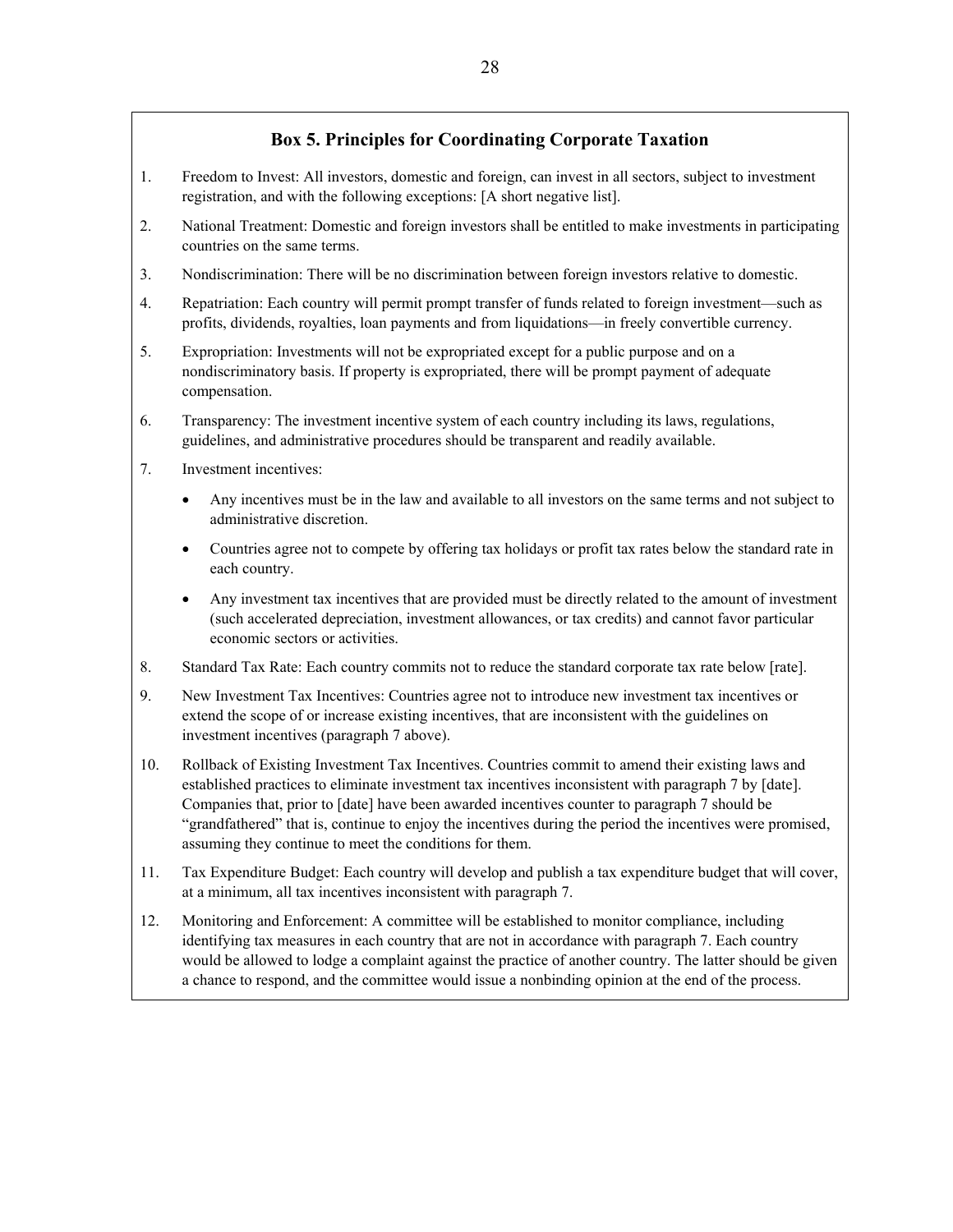#### **Box 5. Principles for Coordinating Corporate Taxation**

- 1. Freedom to Invest: All investors, domestic and foreign, can invest in all sectors, subject to investment registration, and with the following exceptions: [A short negative list].
- 2. National Treatment: Domestic and foreign investors shall be entitled to make investments in participating countries on the same terms.
- 3. Nondiscrimination: There will be no discrimination between foreign investors relative to domestic.
- 4. Repatriation: Each country will permit prompt transfer of funds related to foreign investment—such as profits, dividends, royalties, loan payments and from liquidations—in freely convertible currency.
- 5. Expropriation: Investments will not be expropriated except for a public purpose and on a nondiscriminatory basis. If property is expropriated, there will be prompt payment of adequate compensation.
- 6. Transparency: The investment incentive system of each country including its laws, regulations, guidelines, and administrative procedures should be transparent and readily available.
- 7. Investment incentives:
	- Any incentives must be in the law and available to all investors on the same terms and not subject to administrative discretion.
	- Countries agree not to compete by offering tax holidays or profit tax rates below the standard rate in each country.
	- Any investment tax incentives that are provided must be directly related to the amount of investment (such accelerated depreciation, investment allowances, or tax credits) and cannot favor particular economic sectors or activities.
- 8. Standard Tax Rate: Each country commits not to reduce the standard corporate tax rate below [rate].
- 9. New Investment Tax Incentives: Countries agree not to introduce new investment tax incentives or extend the scope of or increase existing incentives, that are inconsistent with the guidelines on investment incentives (paragraph 7 above).
- 10. Rollback of Existing Investment Tax Incentives. Countries commit to amend their existing laws and established practices to eliminate investment tax incentives inconsistent with paragraph 7 by [date]. Companies that, prior to [date] have been awarded incentives counter to paragraph 7 should be "grandfathered" that is, continue to enjoy the incentives during the period the incentives were promised, assuming they continue to meet the conditions for them.
- 11. Tax Expenditure Budget: Each country will develop and publish a tax expenditure budget that will cover, at a minimum, all tax incentives inconsistent with paragraph 7.
- 12. Monitoring and Enforcement: A committee will be established to monitor compliance, including identifying tax measures in each country that are not in accordance with paragraph 7. Each country would be allowed to lodge a complaint against the practice of another country. The latter should be given a chance to respond, and the committee would issue a nonbinding opinion at the end of the process.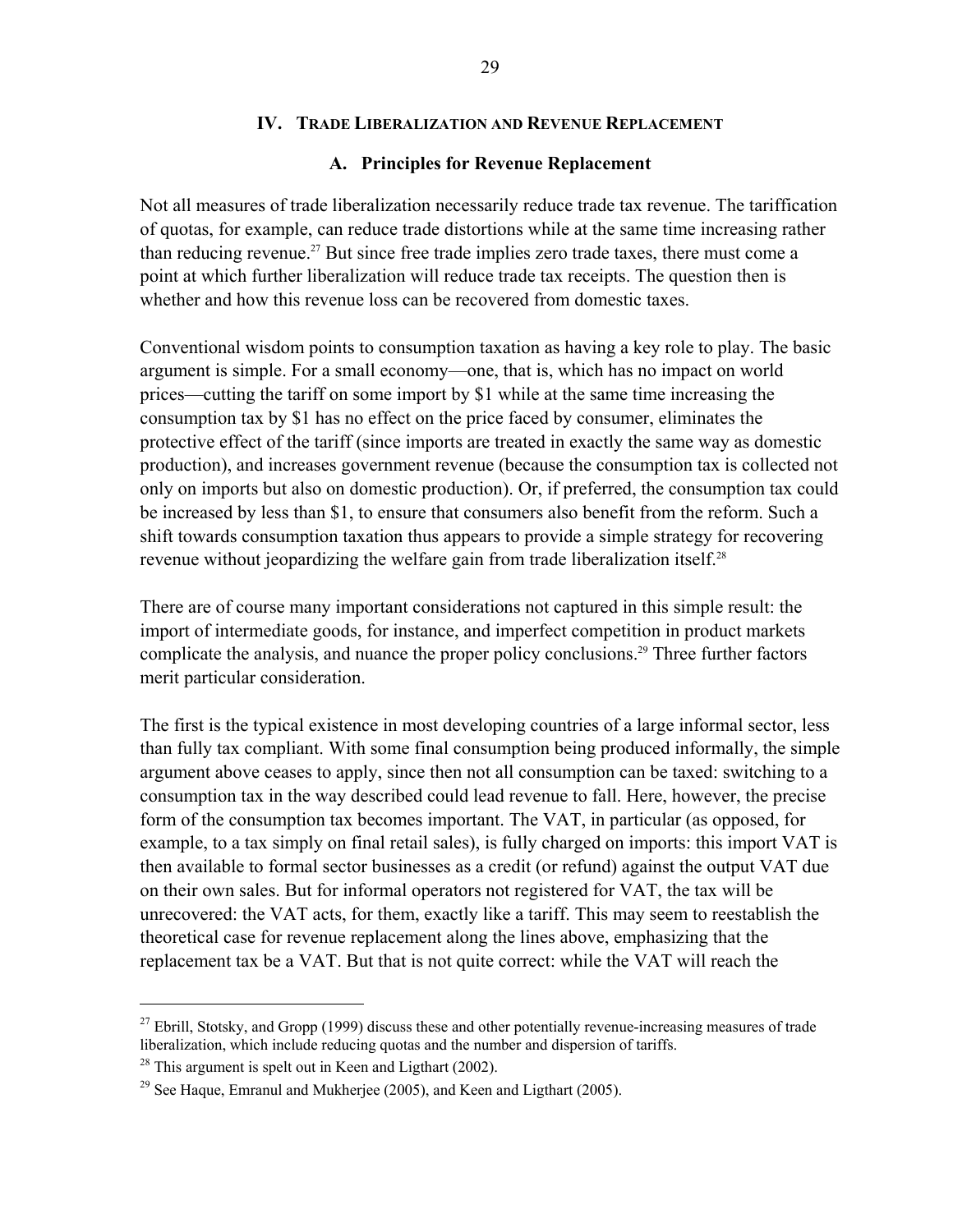#### **IV. TRADE LIBERALIZATION AND REVENUE REPLACEMENT**

#### **A. Principles for Revenue Replacement**

Not all measures of trade liberalization necessarily reduce trade tax revenue. The tariffication of quotas, for example, can reduce trade distortions while at the same time increasing rather than reducing revenue.<sup>27</sup> But since free trade implies zero trade taxes, there must come a point at which further liberalization will reduce trade tax receipts. The question then is whether and how this revenue loss can be recovered from domestic taxes.

Conventional wisdom points to consumption taxation as having a key role to play. The basic argument is simple. For a small economy—one, that is, which has no impact on world prices—cutting the tariff on some import by \$1 while at the same time increasing the consumption tax by \$1 has no effect on the price faced by consumer, eliminates the protective effect of the tariff (since imports are treated in exactly the same way as domestic production), and increases government revenue (because the consumption tax is collected not only on imports but also on domestic production). Or, if preferred, the consumption tax could be increased by less than \$1, to ensure that consumers also benefit from the reform. Such a shift towards consumption taxation thus appears to provide a simple strategy for recovering revenue without jeopardizing the welfare gain from trade liberalization itself.<sup>28</sup>

There are of course many important considerations not captured in this simple result: the import of intermediate goods, for instance, and imperfect competition in product markets complicate the analysis, and nuance the proper policy conclusions.<sup>29</sup> Three further factors merit particular consideration.

The first is the typical existence in most developing countries of a large informal sector, less than fully tax compliant. With some final consumption being produced informally, the simple argument above ceases to apply, since then not all consumption can be taxed: switching to a consumption tax in the way described could lead revenue to fall. Here, however, the precise form of the consumption tax becomes important. The VAT, in particular (as opposed, for example, to a tax simply on final retail sales), is fully charged on imports: this import VAT is then available to formal sector businesses as a credit (or refund) against the output VAT due on their own sales. But for informal operators not registered for VAT, the tax will be unrecovered: the VAT acts, for them, exactly like a tariff. This may seem to reestablish the theoretical case for revenue replacement along the lines above, emphasizing that the replacement tax be a VAT. But that is not quite correct: while the VAT will reach the

1

<sup>&</sup>lt;sup>27</sup> Ebrill, Stotsky, and Gropp (1999) discuss these and other potentially revenue-increasing measures of trade liberalization, which include reducing quotas and the number and dispersion of tariffs.

 $28$  This argument is spelt out in Keen and Ligthart (2002).

<sup>&</sup>lt;sup>29</sup> See Haque, Emranul and Mukheriee (2005), and Keen and Ligthart (2005).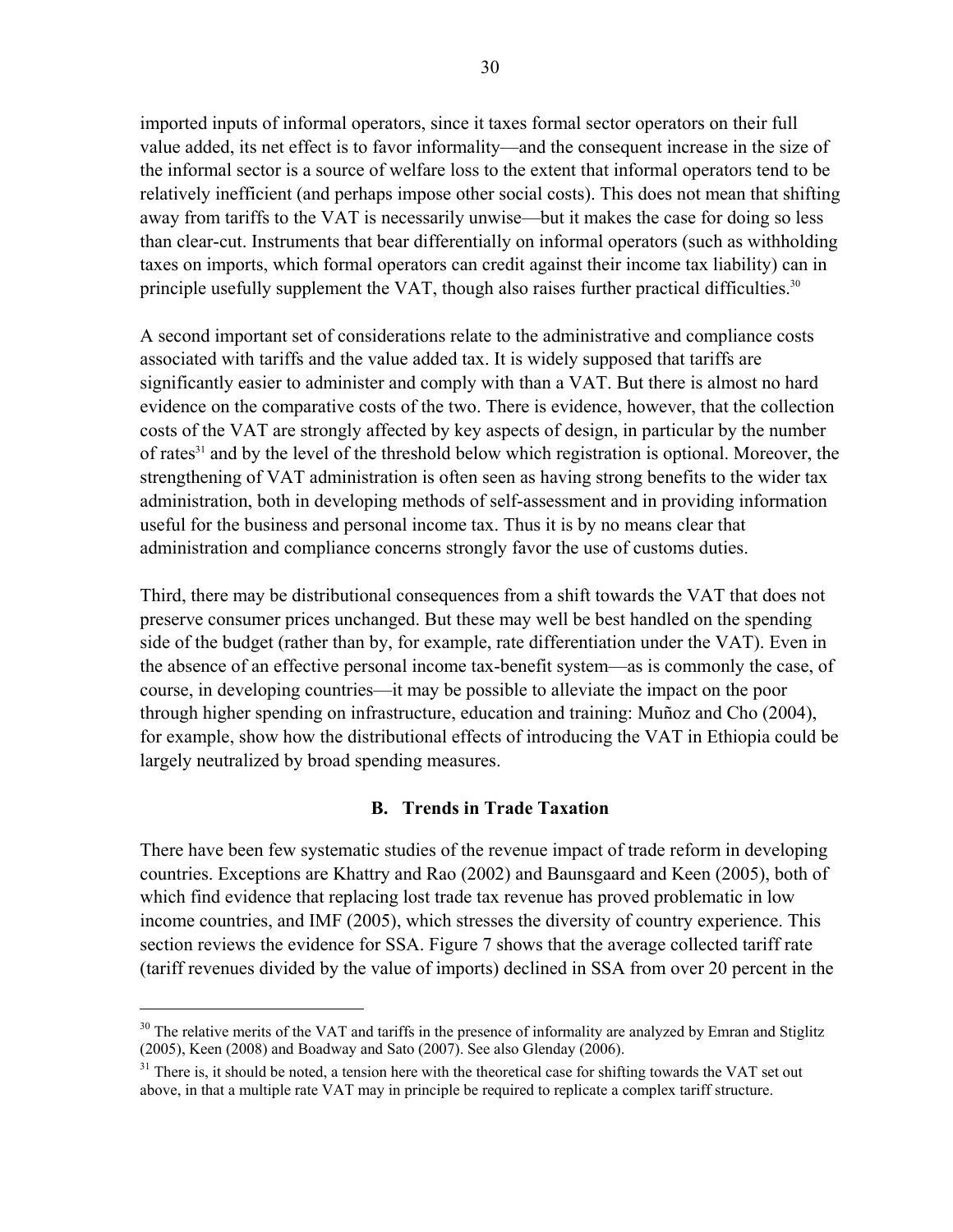imported inputs of informal operators, since it taxes formal sector operators on their full value added, its net effect is to favor informality—and the consequent increase in the size of the informal sector is a source of welfare loss to the extent that informal operators tend to be relatively inefficient (and perhaps impose other social costs). This does not mean that shifting away from tariffs to the VAT is necessarily unwise—but it makes the case for doing so less than clear-cut. Instruments that bear differentially on informal operators (such as withholding taxes on imports, which formal operators can credit against their income tax liability) can in principle usefully supplement the VAT, though also raises further practical difficulties.<sup>30</sup>

A second important set of considerations relate to the administrative and compliance costs associated with tariffs and the value added tax. It is widely supposed that tariffs are significantly easier to administer and comply with than a VAT. But there is almost no hard evidence on the comparative costs of the two. There is evidence, however, that the collection costs of the VAT are strongly affected by key aspects of design, in particular by the number of rates<sup>31</sup> and by the level of the threshold below which registration is optional. Moreover, the strengthening of VAT administration is often seen as having strong benefits to the wider tax administration, both in developing methods of self-assessment and in providing information useful for the business and personal income tax. Thus it is by no means clear that administration and compliance concerns strongly favor the use of customs duties.

Third, there may be distributional consequences from a shift towards the VAT that does not preserve consumer prices unchanged. But these may well be best handled on the spending side of the budget (rather than by, for example, rate differentiation under the VAT). Even in the absence of an effective personal income tax-benefit system—as is commonly the case, of course, in developing countries—it may be possible to alleviate the impact on the poor through higher spending on infrastructure, education and training: Muñoz and Cho (2004), for example, show how the distributional effects of introducing the VAT in Ethiopia could be largely neutralized by broad spending measures.

#### **B. Trends in Trade Taxation**

There have been few systematic studies of the revenue impact of trade reform in developing countries. Exceptions are Khattry and Rao (2002) and Baunsgaard and Keen (2005), both of which find evidence that replacing lost trade tax revenue has proved problematic in low income countries, and IMF (2005), which stresses the diversity of country experience. This section reviews the evidence for SSA. Figure 7 shows that the average collected tariff rate (tariff revenues divided by the value of imports) declined in SSA from over 20 percent in the

1

<sup>&</sup>lt;sup>30</sup> The relative merits of the VAT and tariffs in the presence of informality are analyzed by Emran and Stiglitz (2005), Keen (2008) and Boadway and Sato (2007). See also Glenday (2006).

 $31$  There is, it should be noted, a tension here with the theoretical case for shifting towards the VAT set out above, in that a multiple rate VAT may in principle be required to replicate a complex tariff structure.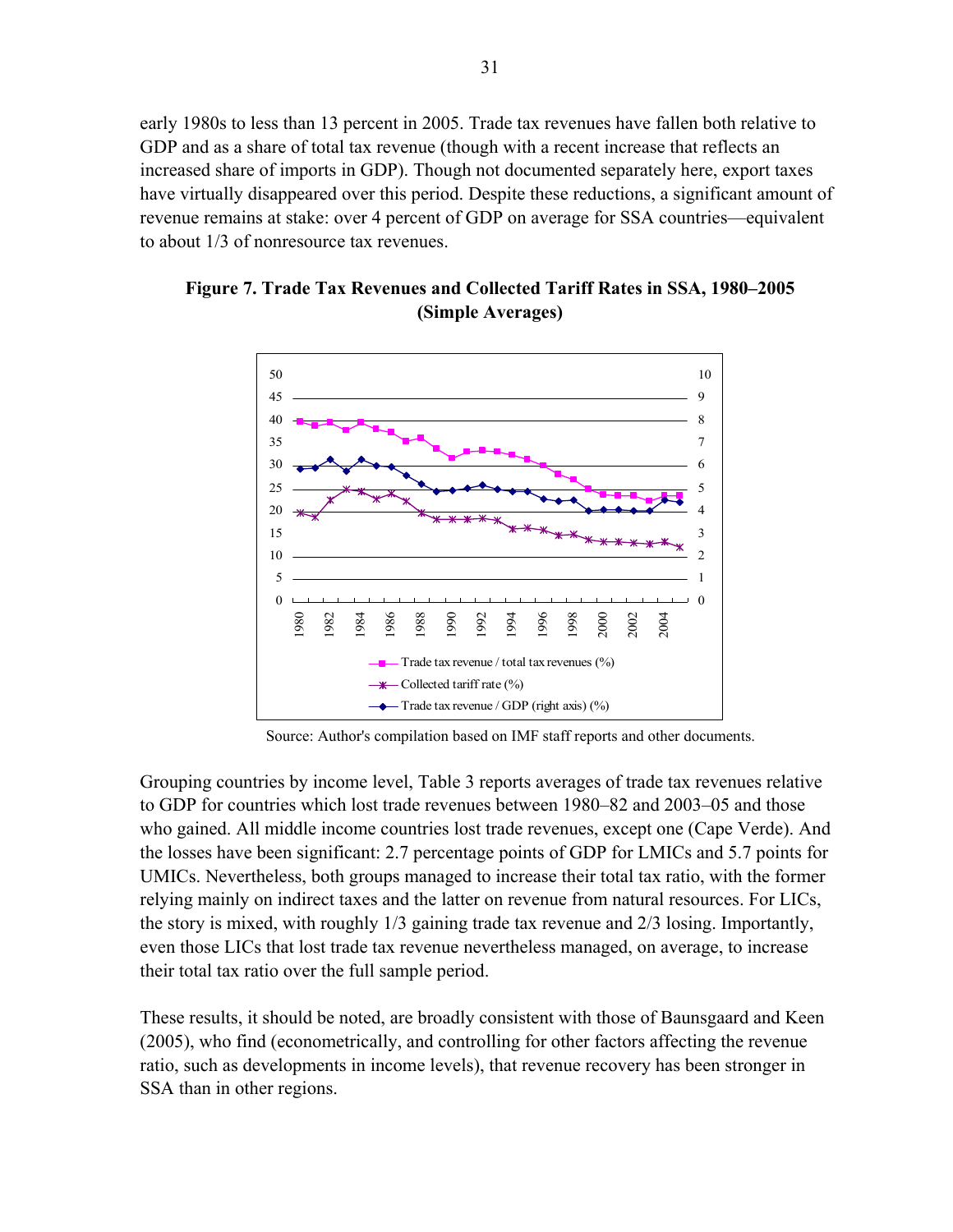early 1980s to less than 13 percent in 2005. Trade tax revenues have fallen both relative to GDP and as a share of total tax revenue (though with a recent increase that reflects an increased share of imports in GDP). Though not documented separately here, export taxes have virtually disappeared over this period. Despite these reductions, a significant amount of revenue remains at stake: over 4 percent of GDP on average for SSA countries—equivalent to about 1/3 of nonresource tax revenues.



#### **Figure 7. Trade Tax Revenues and Collected Tariff Rates in SSA, 1980–2005 (Simple Averages)**

Source: Author's compilation based on IMF staff reports and other documents.

Grouping countries by income level, Table 3 reports averages of trade tax revenues relative to GDP for countries which lost trade revenues between 1980–82 and 2003–05 and those who gained. All middle income countries lost trade revenues, except one (Cape Verde). And the losses have been significant: 2.7 percentage points of GDP for LMICs and 5.7 points for UMICs. Nevertheless, both groups managed to increase their total tax ratio, with the former relying mainly on indirect taxes and the latter on revenue from natural resources. For LICs, the story is mixed, with roughly 1/3 gaining trade tax revenue and 2/3 losing. Importantly, even those LICs that lost trade tax revenue nevertheless managed, on average, to increase their total tax ratio over the full sample period.

These results, it should be noted, are broadly consistent with those of Baunsgaard and Keen (2005), who find (econometrically, and controlling for other factors affecting the revenue ratio, such as developments in income levels), that revenue recovery has been stronger in SSA than in other regions.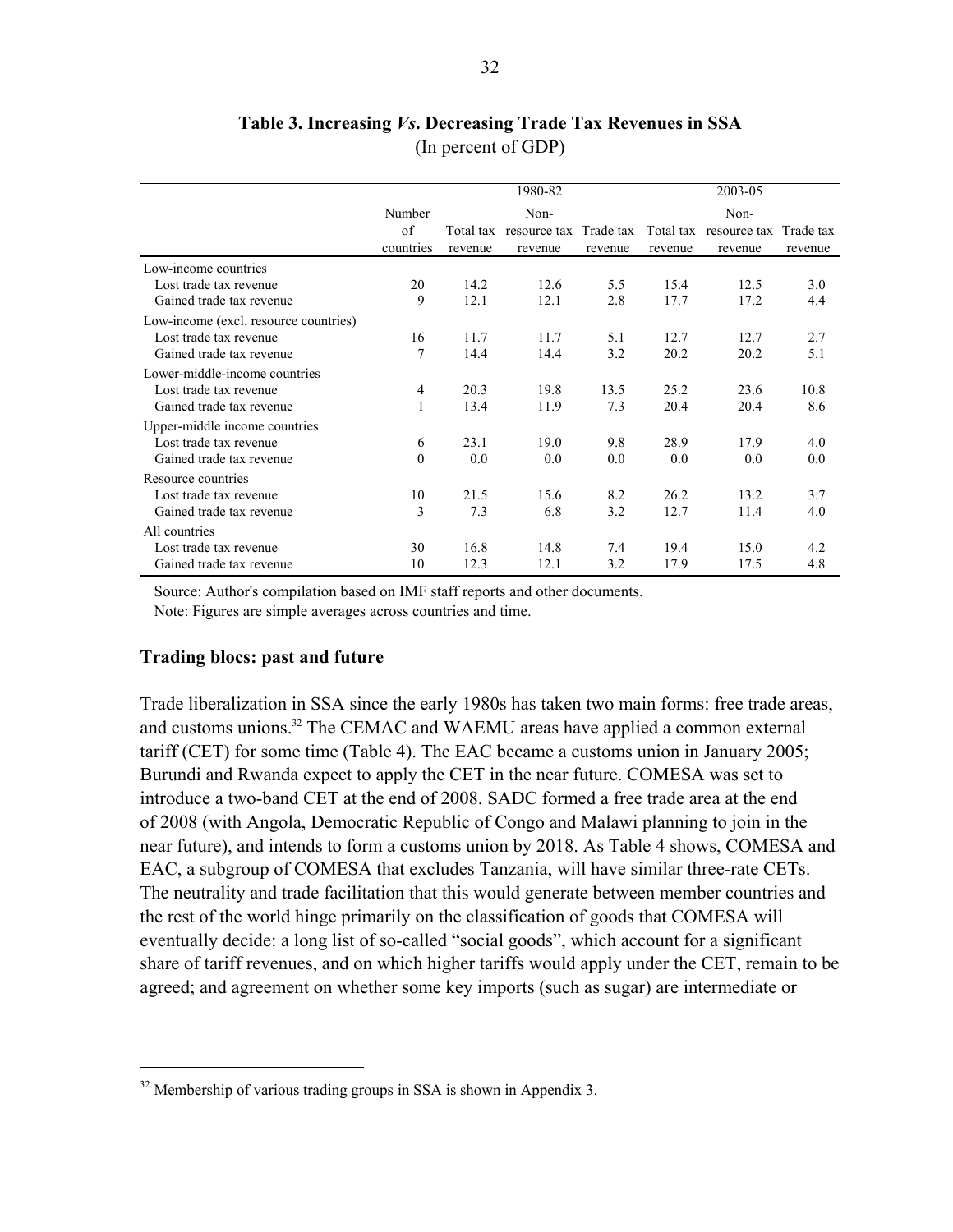#### **Table 3. Increasing** *Vs***. Decreasing Trade Tax Revenues in SSA**  (In percent of GDP)

|                                       |           |           | 1980-82                |         | 2003-05 |                                  |         |  |  |
|---------------------------------------|-----------|-----------|------------------------|---------|---------|----------------------------------|---------|--|--|
|                                       | Number    |           | Non-                   |         |         | Non-                             |         |  |  |
|                                       | of        | Total tax | resource tax Trade tax |         |         | Total tax resource tax Trade tax |         |  |  |
|                                       | countries | revenue   | revenue                | revenue | revenue | revenue                          | revenue |  |  |
| Low-income countries                  |           |           |                        |         |         |                                  |         |  |  |
| Lost trade tax revenue                | 20        | 14.2      | 12.6                   | 5.5     | 15.4    | 12.5                             | 3.0     |  |  |
| Gained trade tax revenue              | 9         | 12.1      | 12.1                   | 2.8     | 17.7    | 17.2                             | 4.4     |  |  |
| Low-income (excl. resource countries) |           |           |                        |         |         |                                  |         |  |  |
| Lost trade tax revenue                | 16        | 11.7      | 11.7                   | 5.1     | 12.7    | 12.7                             | 2.7     |  |  |
| Gained trade tax revenue              | 7         | 14.4      | 14.4                   | 3.2     | 20.2    | 20.2                             | 5.1     |  |  |
| Lower-middle-income countries         |           |           |                        |         |         |                                  |         |  |  |
| Lost trade tax revenue                | 4         | 20.3      | 19.8                   | 13.5    | 25.2    | 23.6                             | 10.8    |  |  |
| Gained trade tax revenue              |           | 13.4      | 11.9                   | 7.3     | 20.4    | 20.4                             | 8.6     |  |  |
| Upper-middle income countries         |           |           |                        |         |         |                                  |         |  |  |
| Lost trade tax revenue                | 6         | 23.1      | 19.0                   | 9.8     | 28.9    | 17.9                             | 4.0     |  |  |
| Gained trade tax revenue              | $\Omega$  | 0.0       | 0.0                    | 0.0     | 0.0     | 0.0                              | 0.0     |  |  |
| Resource countries                    |           |           |                        |         |         |                                  |         |  |  |
| Lost trade tax revenue                | 10        | 21.5      | 15.6                   | 8.2     | 26.2    | 13.2                             | 3.7     |  |  |
| Gained trade tax revenue              | 3         | 7.3       | 6.8                    | 3.2     | 12.7    | 11.4                             | 4.0     |  |  |
| All countries                         |           |           |                        |         |         |                                  |         |  |  |
| Lost trade tax revenue                | 30        | 16.8      | 14.8                   | 7.4     | 19.4    | 15.0                             | 4.2     |  |  |
| Gained trade tax revenue              | 10        | 12.3      | 12.1                   | 3.2     | 17.9    | 17.5                             | 4.8     |  |  |

Source: Author's compilation based on IMF staff reports and other documents. Note: Figures are simple averages across countries and time.

#### **Trading blocs: past and future**

 $\overline{a}$ 

Trade liberalization in SSA since the early 1980s has taken two main forms: free trade areas, and customs unions.32 The CEMAC and WAEMU areas have applied a common external tariff (CET) for some time (Table 4). The EAC became a customs union in January 2005; Burundi and Rwanda expect to apply the CET in the near future. COMESA was set to introduce a two-band CET at the end of 2008. SADC formed a free trade area at the end of 2008 (with Angola, Democratic Republic of Congo and Malawi planning to join in the near future), and intends to form a customs union by 2018. As Table 4 shows, COMESA and EAC, a subgroup of COMESA that excludes Tanzania, will have similar three-rate CETs. The neutrality and trade facilitation that this would generate between member countries and the rest of the world hinge primarily on the classification of goods that COMESA will eventually decide: a long list of so-called "social goods", which account for a significant share of tariff revenues, and on which higher tariffs would apply under the CET, remain to be agreed; and agreement on whether some key imports (such as sugar) are intermediate or

 $32$  Membership of various trading groups in SSA is shown in Appendix 3.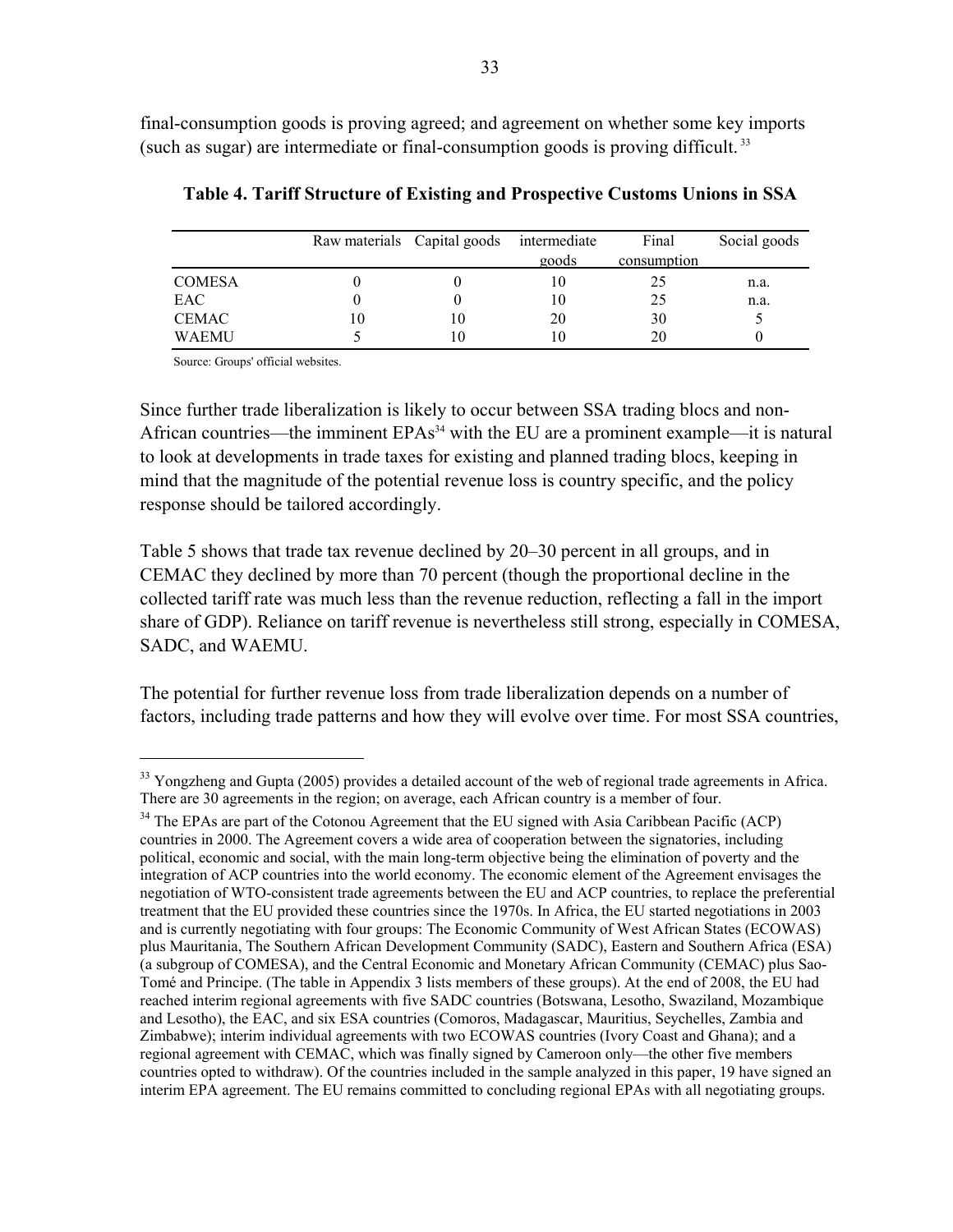final-consumption goods is proving agreed; and agreement on whether some key imports (such as sugar) are intermediate or final-consumption goods is proving difficult. 33

|               |    | Raw materials Capital goods | intermediate<br>goods | Final<br>consumption | Social goods |
|---------------|----|-----------------------------|-----------------------|----------------------|--------------|
| <b>COMESA</b> |    |                             | 10                    | 25                   | n.a.         |
| EAC           |    |                             | 10                    | 25                   | n.a.         |
| <b>CEMAC</b>  | 10 | 10                          | 20                    | 30                   |              |
| WAEMU         |    | 10                          |                       | 20                   |              |

**Table 4. Tariff Structure of Existing and Prospective Customs Unions in SSA** 

Source: Groups' official websites.

<u>.</u>

Since further trade liberalization is likely to occur between SSA trading blocs and non-African countries—the imminent  $EPAs<sup>34</sup>$  with the EU are a prominent example—it is natural to look at developments in trade taxes for existing and planned trading blocs, keeping in mind that the magnitude of the potential revenue loss is country specific, and the policy response should be tailored accordingly.

Table 5 shows that trade tax revenue declined by 20–30 percent in all groups, and in CEMAC they declined by more than 70 percent (though the proportional decline in the collected tariff rate was much less than the revenue reduction, reflecting a fall in the import share of GDP). Reliance on tariff revenue is nevertheless still strong, especially in COMESA, SADC, and WAEMU.

The potential for further revenue loss from trade liberalization depends on a number of factors, including trade patterns and how they will evolve over time. For most SSA countries,

<sup>&</sup>lt;sup>33</sup> Yongzheng and Gupta (2005) provides a detailed account of the web of regional trade agreements in Africa.<br>There are 30 agreements in the region; on average, each African country is a member of four.

 $34$  The EPAs are part of the Cotonou Agreement that the EU signed with Asia Caribbean Pacific (ACP) countries in 2000. The Agreement covers a wide area of cooperation between the signatories, including political, economic and social, with the main long-term objective being the elimination of poverty and the integration of ACP countries into the world economy. The economic element of the Agreement envisages the negotiation of WTO-consistent trade agreements between the EU and ACP countries, to replace the preferential treatment that the EU provided these countries since the 1970s. In Africa, the EU started negotiations in 2003 and is currently negotiating with four groups: The Economic Community of West African States (ECOWAS) plus Mauritania, The Southern African Development Community (SADC), Eastern and Southern Africa (ESA) (a subgroup of COMESA), and the Central Economic and Monetary African Community (CEMAC) plus Sao-Tomé and Principe. (The table in Appendix 3 lists members of these groups). At the end of 2008, the EU had reached interim regional agreements with five SADC countries (Botswana, Lesotho, Swaziland, Mozambique and Lesotho), the EAC, and six ESA countries (Comoros, Madagascar, Mauritius, Seychelles, Zambia and Zimbabwe); interim individual agreements with two ECOWAS countries (Ivory Coast and Ghana); and a regional agreement with CEMAC, which was finally signed by Cameroon only—the other five members countries opted to withdraw). Of the countries included in the sample analyzed in this paper, 19 have signed an interim EPA agreement. The EU remains committed to concluding regional EPAs with all negotiating groups.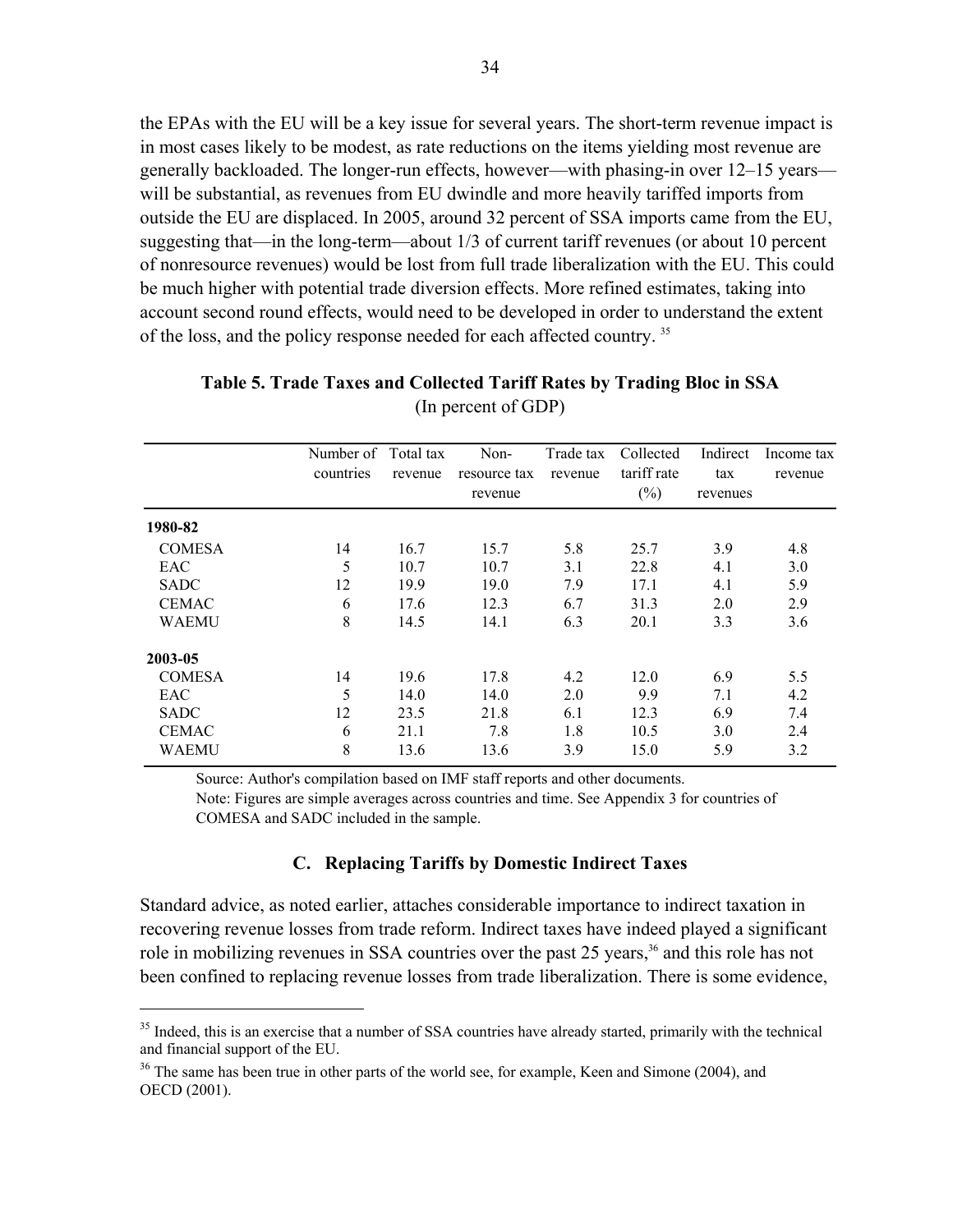the EPAs with the EU will be a key issue for several years. The short-term revenue impact is in most cases likely to be modest, as rate reductions on the items yielding most revenue are generally backloaded. The longer-run effects, however—with phasing-in over 12–15 years will be substantial, as revenues from EU dwindle and more heavily tariffed imports from outside the EU are displaced. In 2005, around 32 percent of SSA imports came from the EU, suggesting that—in the long-term—about 1/3 of current tariff revenues (or about 10 percent of nonresource revenues) would be lost from full trade liberalization with the EU. This could be much higher with potential trade diversion effects. More refined estimates, taking into account second round effects, would need to be developed in order to understand the extent of the loss, and the policy response needed for each affected country. 35

|               | Number of Total tax |         | Non-         | Trade tax | Collected   | Indirect | Income tax |
|---------------|---------------------|---------|--------------|-----------|-------------|----------|------------|
|               | countries           | revenue | resource tax | revenue   | tariff rate | tax      | revenue    |
|               |                     |         | revenue      |           | $(\%)$      | revenues |            |
| 1980-82       |                     |         |              |           |             |          |            |
| <b>COMESA</b> | 14                  | 16.7    | 15.7         | 5.8       | 25.7        | 3.9      | 4.8        |
| EAC           | 5                   | 10.7    | 10.7         | 3.1       | 22.8        | 4.1      | 3.0        |
| <b>SADC</b>   | 12                  | 19.9    | 19.0         | 7.9       | 17.1        | 4.1      | 5.9        |
| <b>CEMAC</b>  | 6                   | 17.6    | 12.3         | 6.7       | 31.3        | 2.0      | 2.9        |
| <b>WAEMU</b>  | 8                   | 14.5    | 14.1         | 6.3       | 20.1        | 3.3      | 3.6        |
| 2003-05       |                     |         |              |           |             |          |            |
| <b>COMESA</b> | 14                  | 19.6    | 17.8         | 4.2       | 12.0        | 6.9      | 5.5        |
| EAC           | 5                   | 14.0    | 14.0         | 2.0       | 9.9         | 7.1      | 4.2        |
| <b>SADC</b>   | 12                  | 23.5    | 21.8         | 6.1       | 12.3        | 6.9      | 7.4        |
| <b>CEMAC</b>  | 6                   | 21.1    | 7.8          | 1.8       | 10.5        | 3.0      | 2.4        |
| <b>WAEMU</b>  | 8                   | 13.6    | 13.6         | 3.9       | 15.0        | 5.9      | 3.2        |

#### **Table 5. Trade Taxes and Collected Tariff Rates by Trading Bloc in SSA**  (In percent of GDP)

Source: Author's compilation based on IMF staff reports and other documents.

Note: Figures are simple averages across countries and time. See Appendix 3 for countries of COMESA and SADC included in the sample.

#### **C. Replacing Tariffs by Domestic Indirect Taxes**

Standard advice, as noted earlier, attaches considerable importance to indirect taxation in recovering revenue losses from trade reform. Indirect taxes have indeed played a significant role in mobilizing revenues in SSA countries over the past 25 years,<sup>36</sup> and this role has not been confined to replacing revenue losses from trade liberalization. There is some evidence,

 $\overline{a}$ 

<sup>&</sup>lt;sup>35</sup> Indeed, this is an exercise that a number of SSA countries have already started, primarily with the technical and financial support of the EU.

 $36$  The same has been true in other parts of the world see, for example, Keen and Simone (2004), and OECD (2001).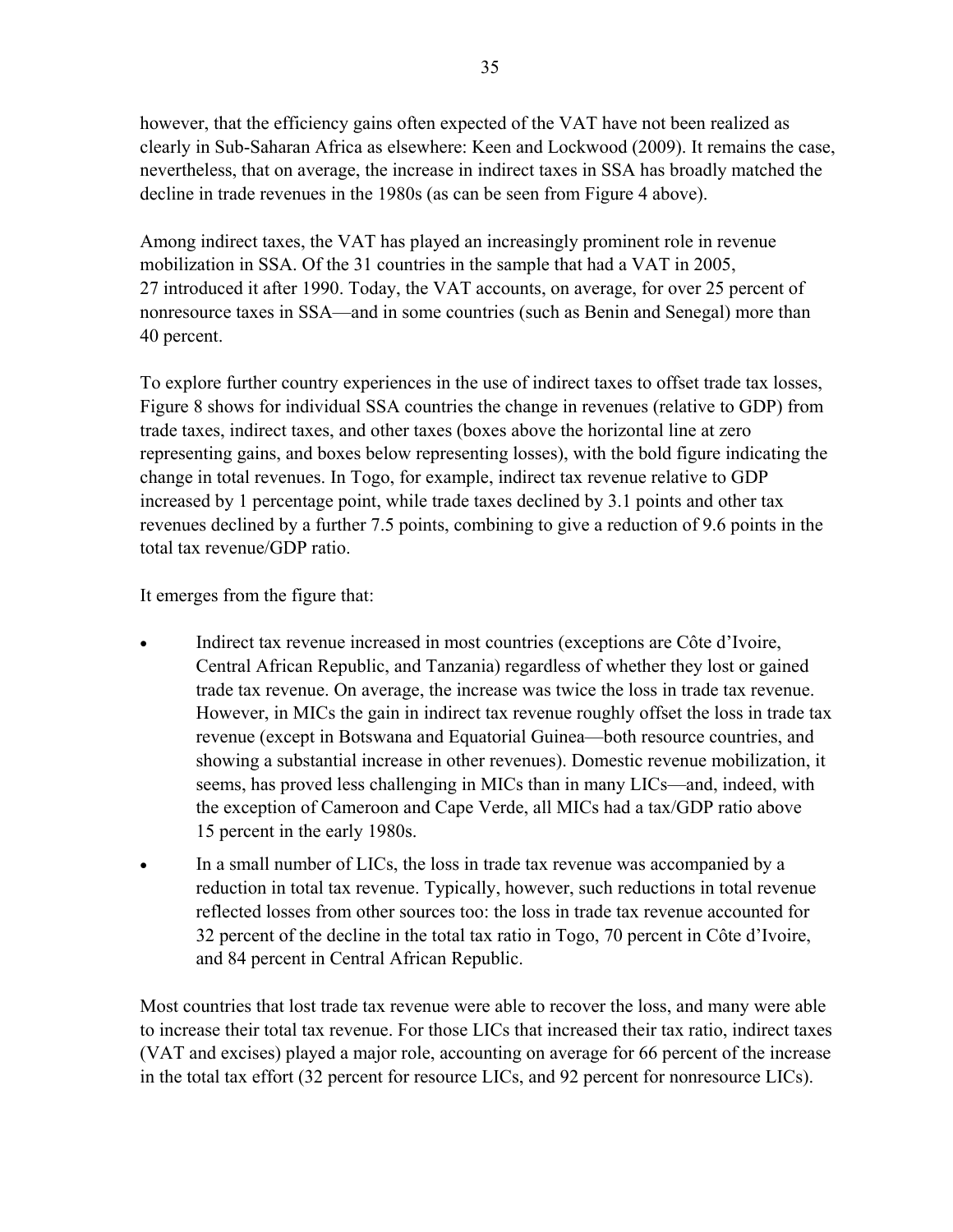however, that the efficiency gains often expected of the VAT have not been realized as clearly in Sub-Saharan Africa as elsewhere: Keen and Lockwood (2009). It remains the case, nevertheless, that on average, the increase in indirect taxes in SSA has broadly matched the decline in trade revenues in the 1980s (as can be seen from Figure 4 above).

Among indirect taxes, the VAT has played an increasingly prominent role in revenue mobilization in SSA. Of the 31 countries in the sample that had a VAT in 2005, 27 introduced it after 1990. Today, the VAT accounts, on average, for over 25 percent of nonresource taxes in SSA—and in some countries (such as Benin and Senegal) more than 40 percent.

To explore further country experiences in the use of indirect taxes to offset trade tax losses, Figure 8 shows for individual SSA countries the change in revenues (relative to GDP) from trade taxes, indirect taxes, and other taxes (boxes above the horizontal line at zero representing gains, and boxes below representing losses), with the bold figure indicating the change in total revenues. In Togo, for example, indirect tax revenue relative to GDP increased by 1 percentage point, while trade taxes declined by 3.1 points and other tax revenues declined by a further 7.5 points, combining to give a reduction of 9.6 points in the total tax revenue/GDP ratio.

It emerges from the figure that:

- Indirect tax revenue increased in most countries (exceptions are Côte d'Ivoire, Central African Republic, and Tanzania) regardless of whether they lost or gained trade tax revenue. On average, the increase was twice the loss in trade tax revenue. However, in MICs the gain in indirect tax revenue roughly offset the loss in trade tax revenue (except in Botswana and Equatorial Guinea—both resource countries, and showing a substantial increase in other revenues). Domestic revenue mobilization, it seems, has proved less challenging in MICs than in many LICs—and, indeed, with the exception of Cameroon and Cape Verde, all MICs had a tax/GDP ratio above 15 percent in the early 1980s.
- In a small number of LICs, the loss in trade tax revenue was accompanied by a reduction in total tax revenue. Typically, however, such reductions in total revenue reflected losses from other sources too: the loss in trade tax revenue accounted for 32 percent of the decline in the total tax ratio in Togo, 70 percent in Côte d'Ivoire, and 84 percent in Central African Republic.

Most countries that lost trade tax revenue were able to recover the loss, and many were able to increase their total tax revenue. For those LICs that increased their tax ratio, indirect taxes (VAT and excises) played a major role, accounting on average for 66 percent of the increase in the total tax effort (32 percent for resource LICs, and 92 percent for nonresource LICs).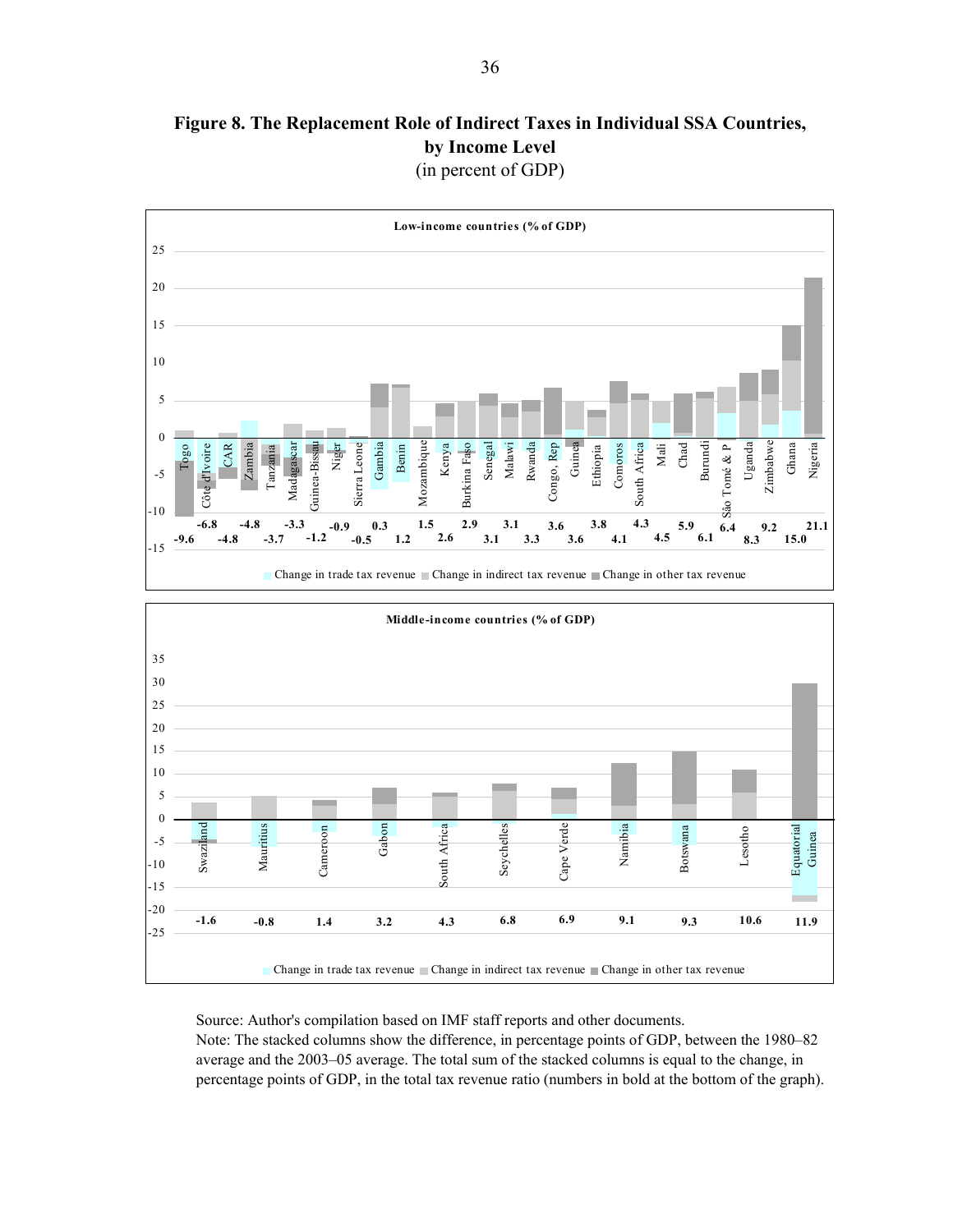**Figure 8. The Replacement Role of Indirect Taxes in Individual SSA Countries, by Income Level** (in percent of GDP)



Source: Author's compilation based on IMF staff reports and other documents. Note: The stacked columns show the difference, in percentage points of GDP, between the 1980–82 average and the 2003–05 average. The total sum of the stacked columns is equal to the change, in percentage points of GDP, in the total tax revenue ratio (numbers in bold at the bottom of the graph).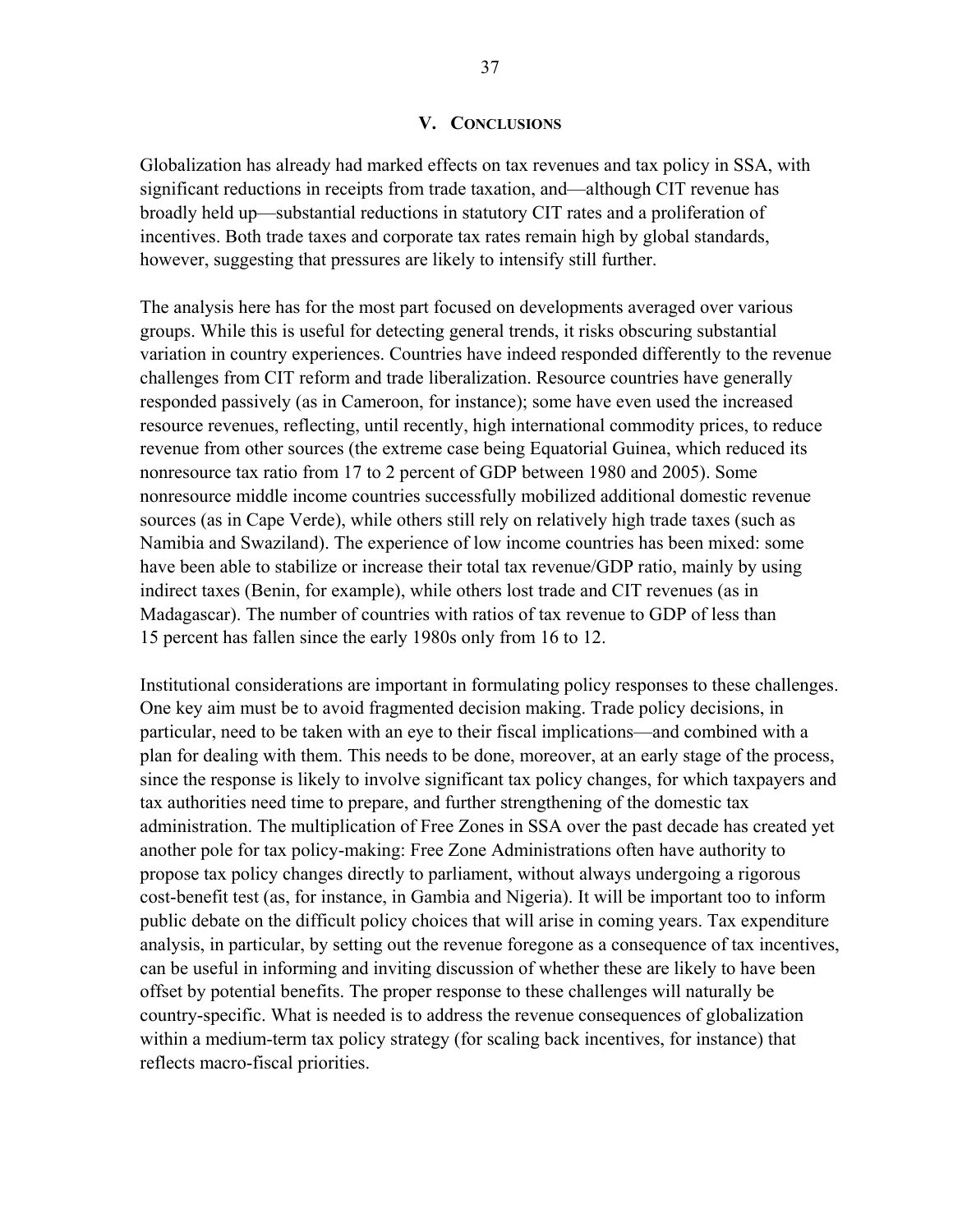#### **V. CONCLUSIONS**

Globalization has already had marked effects on tax revenues and tax policy in SSA, with significant reductions in receipts from trade taxation, and—although CIT revenue has broadly held up—substantial reductions in statutory CIT rates and a proliferation of incentives. Both trade taxes and corporate tax rates remain high by global standards, however, suggesting that pressures are likely to intensify still further.

The analysis here has for the most part focused on developments averaged over various groups. While this is useful for detecting general trends, it risks obscuring substantial variation in country experiences. Countries have indeed responded differently to the revenue challenges from CIT reform and trade liberalization. Resource countries have generally responded passively (as in Cameroon, for instance); some have even used the increased resource revenues, reflecting, until recently, high international commodity prices, to reduce revenue from other sources (the extreme case being Equatorial Guinea, which reduced its nonresource tax ratio from 17 to 2 percent of GDP between 1980 and 2005). Some nonresource middle income countries successfully mobilized additional domestic revenue sources (as in Cape Verde), while others still rely on relatively high trade taxes (such as Namibia and Swaziland). The experience of low income countries has been mixed: some have been able to stabilize or increase their total tax revenue/GDP ratio, mainly by using indirect taxes (Benin, for example), while others lost trade and CIT revenues (as in Madagascar). The number of countries with ratios of tax revenue to GDP of less than 15 percent has fallen since the early 1980s only from 16 to 12.

Institutional considerations are important in formulating policy responses to these challenges. One key aim must be to avoid fragmented decision making. Trade policy decisions, in particular, need to be taken with an eye to their fiscal implications—and combined with a plan for dealing with them. This needs to be done, moreover, at an early stage of the process, since the response is likely to involve significant tax policy changes, for which taxpayers and tax authorities need time to prepare, and further strengthening of the domestic tax administration. The multiplication of Free Zones in SSA over the past decade has created yet another pole for tax policy-making: Free Zone Administrations often have authority to propose tax policy changes directly to parliament, without always undergoing a rigorous cost-benefit test (as, for instance, in Gambia and Nigeria). It will be important too to inform public debate on the difficult policy choices that will arise in coming years. Tax expenditure analysis, in particular, by setting out the revenue foregone as a consequence of tax incentives, can be useful in informing and inviting discussion of whether these are likely to have been offset by potential benefits. The proper response to these challenges will naturally be country-specific. What is needed is to address the revenue consequences of globalization within a medium-term tax policy strategy (for scaling back incentives, for instance) that reflects macro-fiscal priorities.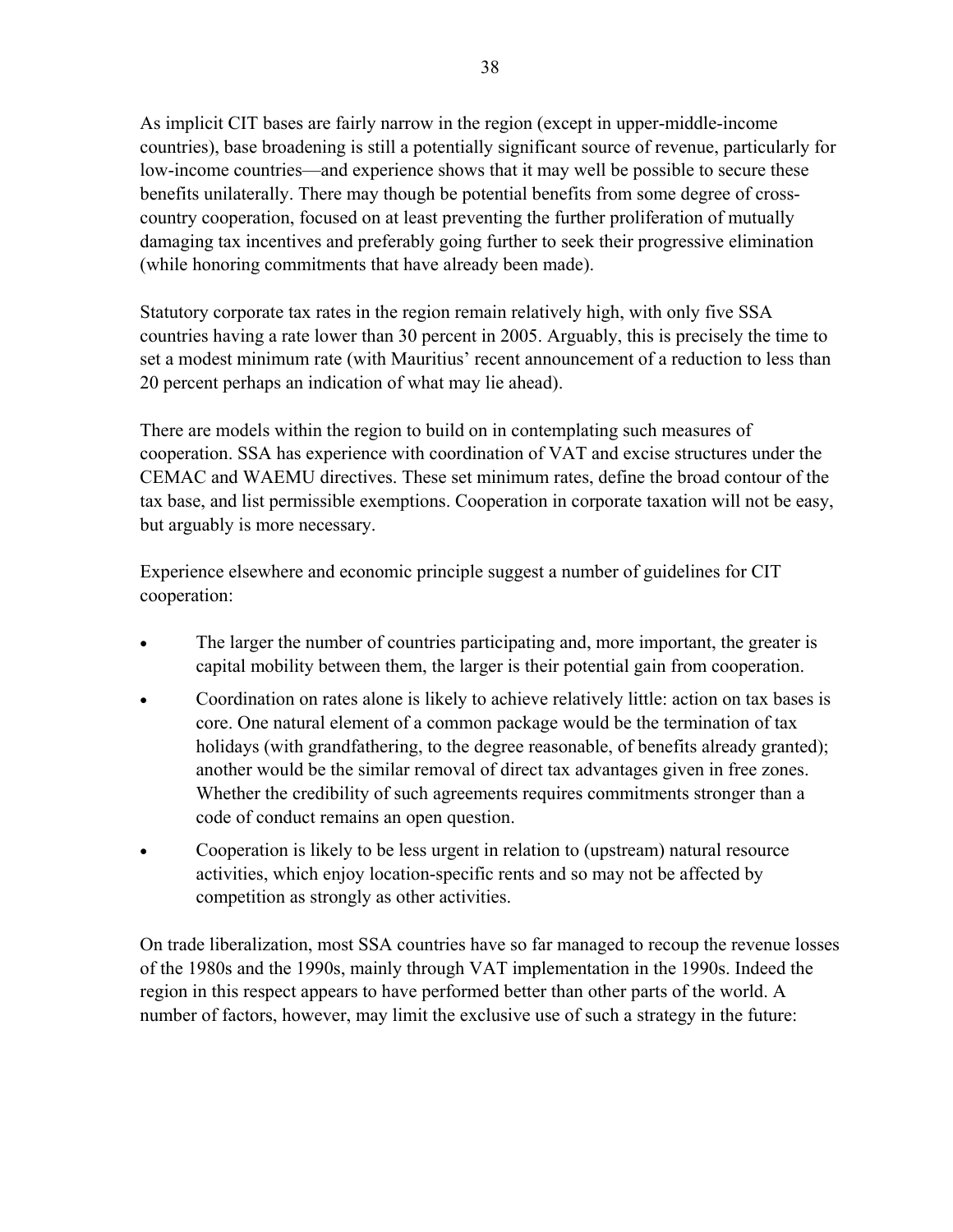As implicit CIT bases are fairly narrow in the region (except in upper-middle-income countries), base broadening is still a potentially significant source of revenue, particularly for low-income countries—and experience shows that it may well be possible to secure these benefits unilaterally. There may though be potential benefits from some degree of crosscountry cooperation, focused on at least preventing the further proliferation of mutually damaging tax incentives and preferably going further to seek their progressive elimination (while honoring commitments that have already been made).

Statutory corporate tax rates in the region remain relatively high, with only five SSA countries having a rate lower than 30 percent in 2005. Arguably, this is precisely the time to set a modest minimum rate (with Mauritius' recent announcement of a reduction to less than 20 percent perhaps an indication of what may lie ahead).

There are models within the region to build on in contemplating such measures of cooperation. SSA has experience with coordination of VAT and excise structures under the CEMAC and WAEMU directives. These set minimum rates, define the broad contour of the tax base, and list permissible exemptions. Cooperation in corporate taxation will not be easy, but arguably is more necessary.

Experience elsewhere and economic principle suggest a number of guidelines for CIT cooperation:

- The larger the number of countries participating and, more important, the greater is capital mobility between them, the larger is their potential gain from cooperation.
- Coordination on rates alone is likely to achieve relatively little: action on tax bases is core. One natural element of a common package would be the termination of tax holidays (with grandfathering, to the degree reasonable, of benefits already granted); another would be the similar removal of direct tax advantages given in free zones. Whether the credibility of such agreements requires commitments stronger than a code of conduct remains an open question.
- Cooperation is likely to be less urgent in relation to (upstream) natural resource activities, which enjoy location-specific rents and so may not be affected by competition as strongly as other activities.

On trade liberalization, most SSA countries have so far managed to recoup the revenue losses of the 1980s and the 1990s, mainly through VAT implementation in the 1990s. Indeed the region in this respect appears to have performed better than other parts of the world. A number of factors, however, may limit the exclusive use of such a strategy in the future: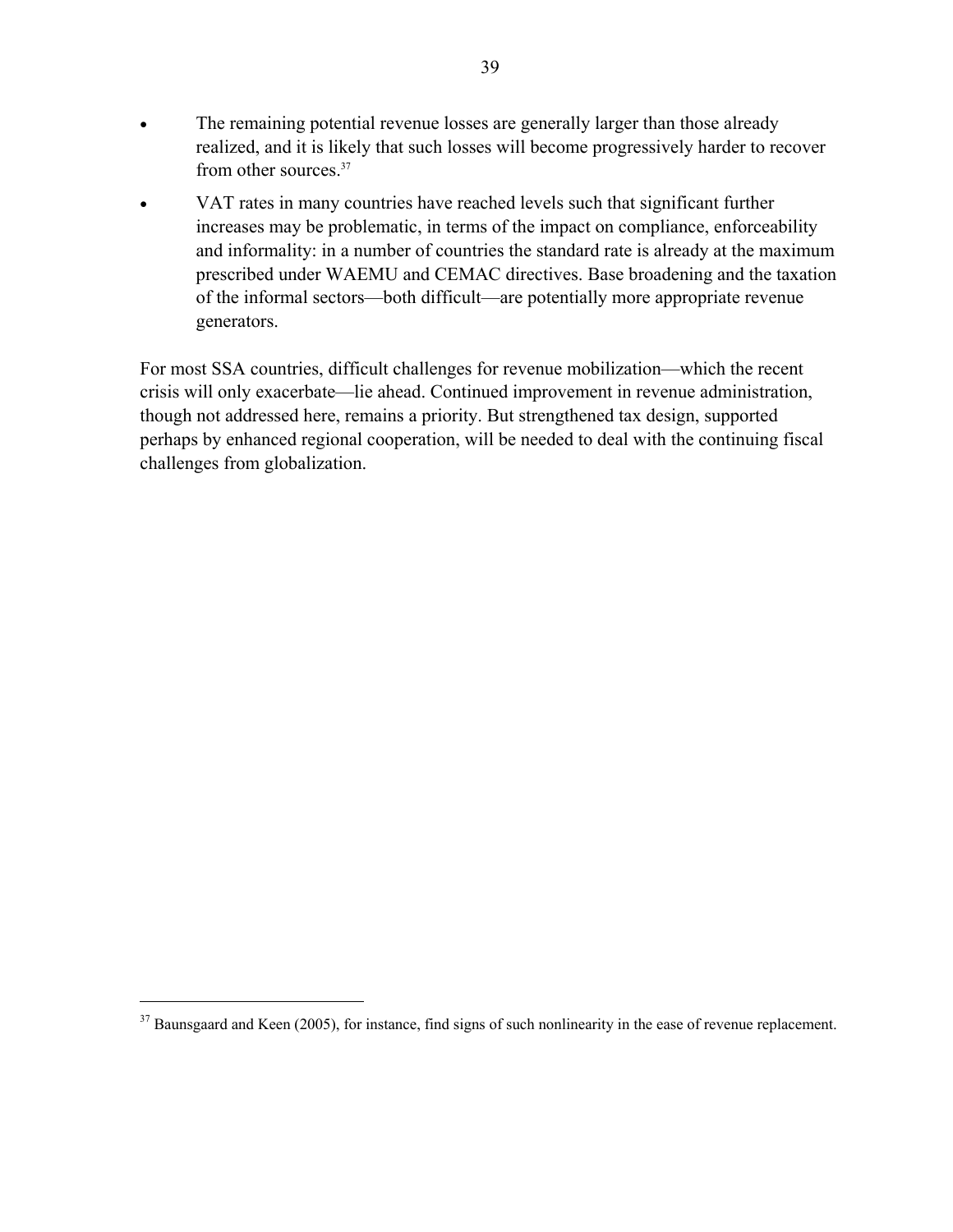- The remaining potential revenue losses are generally larger than those already realized, and it is likely that such losses will become progressively harder to recover from other sources.37
- VAT rates in many countries have reached levels such that significant further increases may be problematic, in terms of the impact on compliance, enforceability and informality: in a number of countries the standard rate is already at the maximum prescribed under WAEMU and CEMAC directives. Base broadening and the taxation of the informal sectors—both difficult—are potentially more appropriate revenue generators.

For most SSA countries, difficult challenges for revenue mobilization—which the recent crisis will only exacerbate—lie ahead. Continued improvement in revenue administration, though not addressed here, remains a priority. But strengthened tax design, supported perhaps by enhanced regional cooperation, will be needed to deal with the continuing fiscal challenges from globalization.

<u>.</u>

<sup>&</sup>lt;sup>37</sup> Baunsgaard and Keen (2005), for instance, find signs of such nonlinearity in the ease of revenue replacement.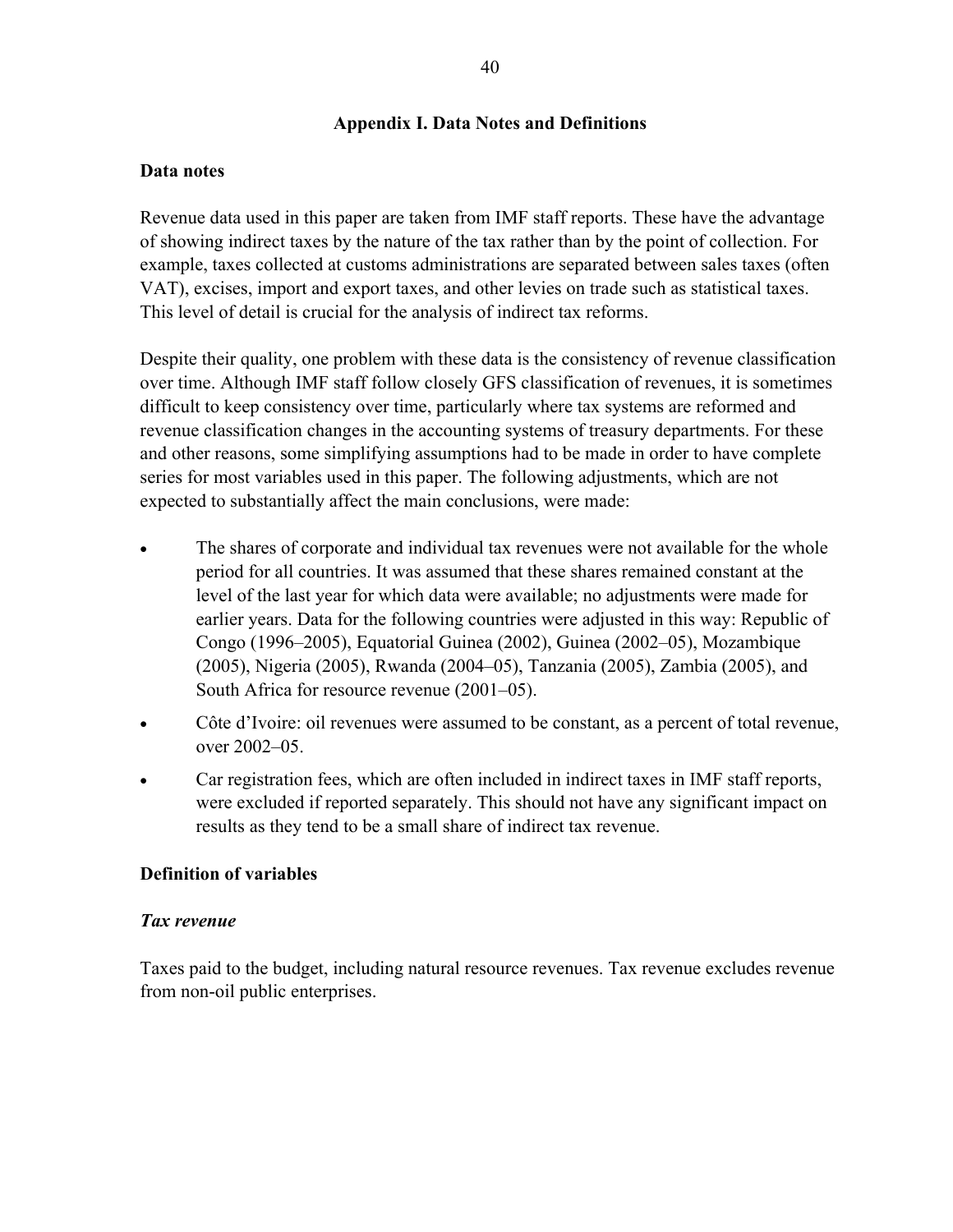#### **Appendix I. Data Notes and Definitions**

#### **Data notes**

Revenue data used in this paper are taken from IMF staff reports. These have the advantage of showing indirect taxes by the nature of the tax rather than by the point of collection. For example, taxes collected at customs administrations are separated between sales taxes (often VAT), excises, import and export taxes, and other levies on trade such as statistical taxes. This level of detail is crucial for the analysis of indirect tax reforms.

Despite their quality, one problem with these data is the consistency of revenue classification over time. Although IMF staff follow closely GFS classification of revenues, it is sometimes difficult to keep consistency over time, particularly where tax systems are reformed and revenue classification changes in the accounting systems of treasury departments. For these and other reasons, some simplifying assumptions had to be made in order to have complete series for most variables used in this paper. The following adjustments, which are not expected to substantially affect the main conclusions, were made:

- The shares of corporate and individual tax revenues were not available for the whole period for all countries. It was assumed that these shares remained constant at the level of the last year for which data were available; no adjustments were made for earlier years. Data for the following countries were adjusted in this way: Republic of Congo (1996–2005), Equatorial Guinea (2002), Guinea (2002–05), Mozambique (2005), Nigeria (2005), Rwanda (2004–05), Tanzania (2005), Zambia (2005), and South Africa for resource revenue (2001–05).
- Côte d'Ivoire: oil revenues were assumed to be constant, as a percent of total revenue, over 2002–05.
- Car registration fees, which are often included in indirect taxes in IMF staff reports, were excluded if reported separately. This should not have any significant impact on results as they tend to be a small share of indirect tax revenue.

#### **Definition of variables**

#### *Tax revenue*

Taxes paid to the budget, including natural resource revenues. Tax revenue excludes revenue from non-oil public enterprises.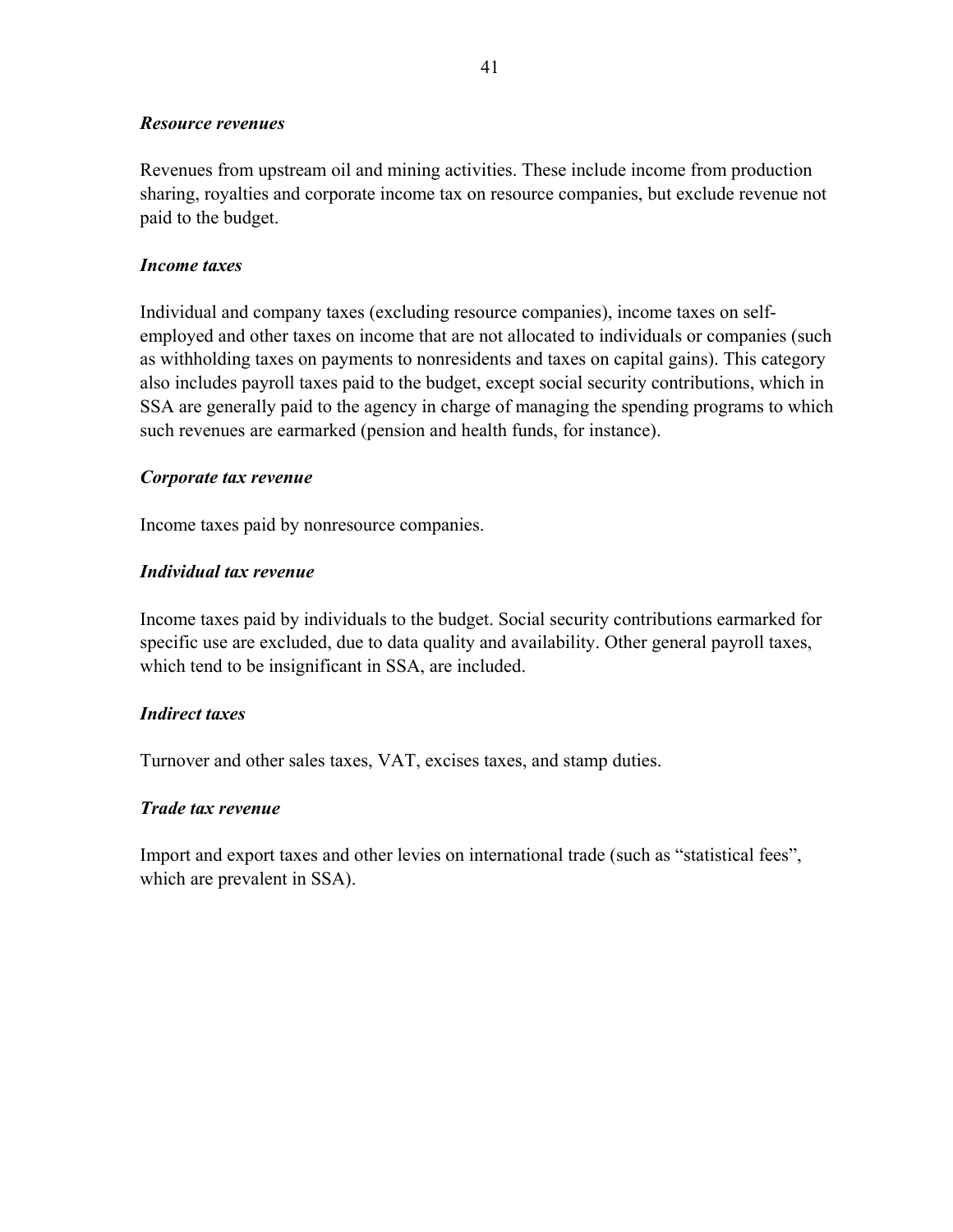#### *Resource revenues*

Revenues from upstream oil and mining activities. These include income from production sharing, royalties and corporate income tax on resource companies, but exclude revenue not paid to the budget.

#### *Income taxes*

Individual and company taxes (excluding resource companies), income taxes on selfemployed and other taxes on income that are not allocated to individuals or companies (such as withholding taxes on payments to nonresidents and taxes on capital gains). This category also includes payroll taxes paid to the budget, except social security contributions, which in SSA are generally paid to the agency in charge of managing the spending programs to which such revenues are earmarked (pension and health funds, for instance).

#### *Corporate tax revenue*

Income taxes paid by nonresource companies.

#### *Individual tax revenue*

Income taxes paid by individuals to the budget. Social security contributions earmarked for specific use are excluded, due to data quality and availability. Other general payroll taxes, which tend to be insignificant in SSA, are included.

#### *Indirect taxes*

Turnover and other sales taxes, VAT, excises taxes, and stamp duties.

#### *Trade tax revenue*

Import and export taxes and other levies on international trade (such as "statistical fees", which are prevalent in SSA).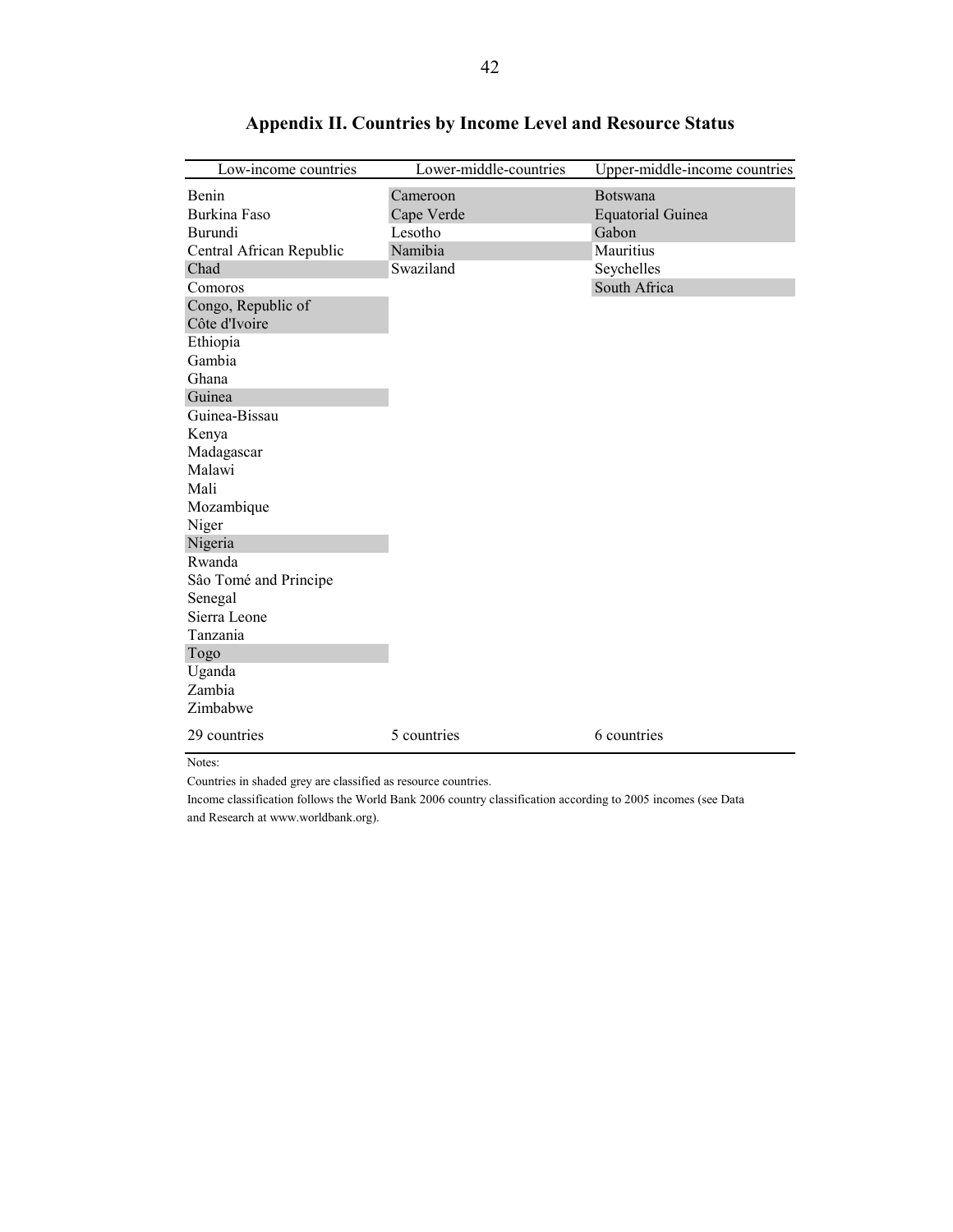| Low-income countries                | Lower-middle-countries | Upper-middle-income countries               |
|-------------------------------------|------------------------|---------------------------------------------|
| <b>Benin</b><br><b>Burkina Faso</b> | Cameroon<br>Cape Verde | <b>Botswana</b><br><b>Equatorial Guinea</b> |
| Burundi                             | Lesotho                | Gabon                                       |
| Central African Republic            | Namibia                | Mauritius                                   |
| Chad                                | Swaziland              | Seychelles                                  |
| Comoros                             |                        | South Africa                                |
| Congo, Republic of<br>Côte d'Ivoire |                        |                                             |
| Ethiopia                            |                        |                                             |
| Gambia                              |                        |                                             |
| Ghana                               |                        |                                             |
| Guinea                              |                        |                                             |
| Guinea-Bissau                       |                        |                                             |
| Kenya                               |                        |                                             |
| Madagascar                          |                        |                                             |
| Malawi                              |                        |                                             |
| Mali                                |                        |                                             |
| Mozambique                          |                        |                                             |
| Niger                               |                        |                                             |
| Nigeria                             |                        |                                             |
| Rwanda                              |                        |                                             |
| São Tomé and Principe               |                        |                                             |
| Senegal                             |                        |                                             |
| Sierra Leone                        |                        |                                             |
| Tanzania                            |                        |                                             |
| Togo                                |                        |                                             |
| Uganda                              |                        |                                             |
| Zambia                              |                        |                                             |
| Zimbabwe                            |                        |                                             |
| 29 countries                        | 5 countries            | 6 countries                                 |

## **Appendix II. Countries by Income Level and Resource Status**

Notes:

Countries in shaded grey are classified as resource countries.

Income classification follows the World Bank 2006 country classification according to 2005 incomes (see Data and Research at www.worldbank.org).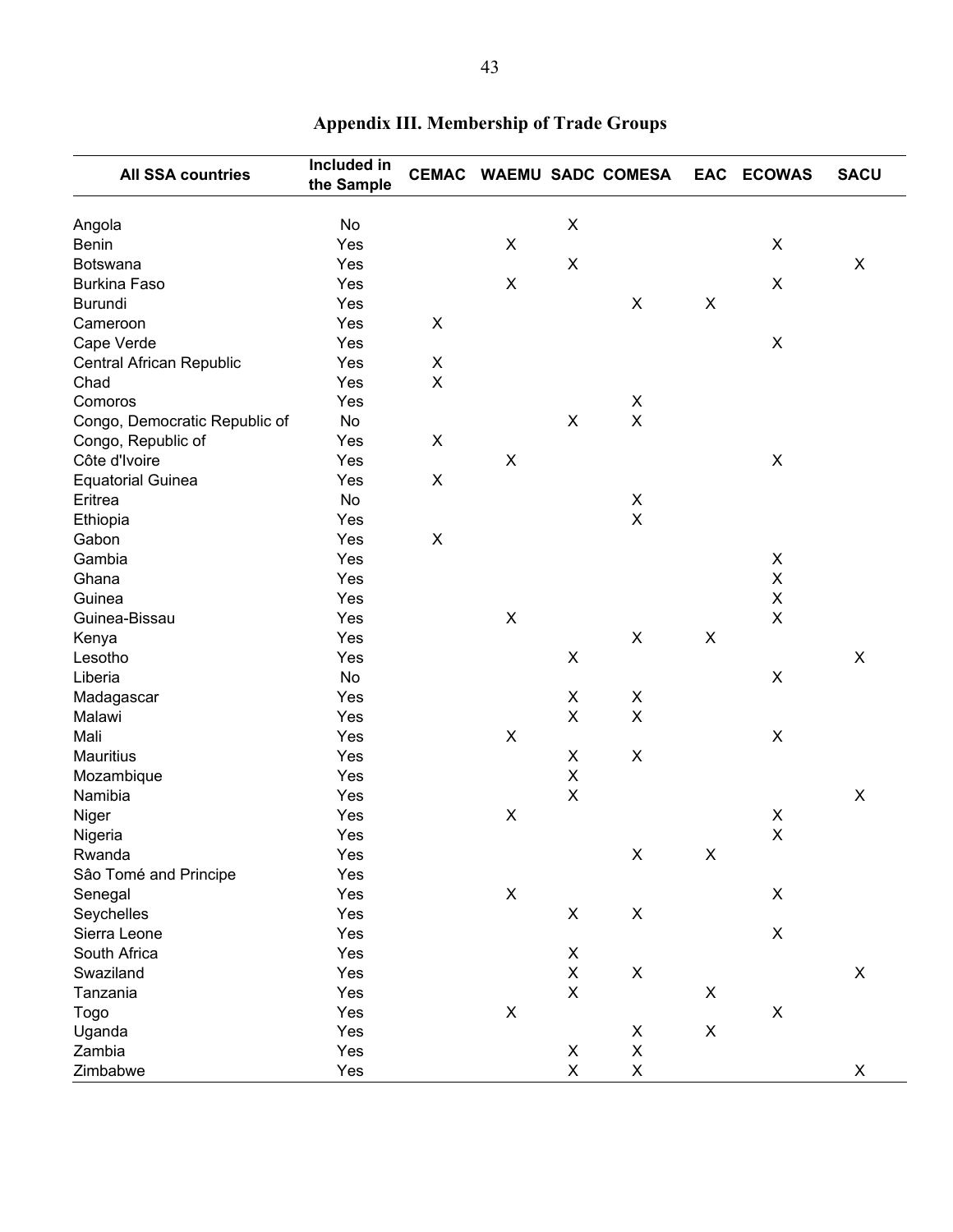| <b>All SSA countries</b>      | Included in<br>the Sample | <b>CEMAC</b>   |                           |                           | <b>WAEMU SADC COMESA</b> |                | EAC ECOWAS         | <b>SACU</b>    |
|-------------------------------|---------------------------|----------------|---------------------------|---------------------------|--------------------------|----------------|--------------------|----------------|
| Angola                        | No                        |                |                           | $\pmb{\times}$            |                          |                |                    |                |
| <b>Benin</b>                  | Yes                       |                | X                         |                           |                          |                | X                  |                |
| Botswana                      | Yes                       |                |                           | $\pmb{\times}$            |                          |                |                    | X              |
| <b>Burkina Faso</b>           | Yes                       |                | X                         |                           |                          |                | X                  |                |
| Burundi                       | Yes                       |                |                           |                           | $\mathsf X$              | X              |                    |                |
| Cameroon                      | Yes                       | $\pmb{\times}$ |                           |                           |                          |                |                    |                |
| Cape Verde                    | Yes                       |                |                           |                           |                          |                | X                  |                |
| Central African Republic      | Yes                       | $\mathsf X$    |                           |                           |                          |                |                    |                |
| Chad                          | Yes                       | $\mathsf X$    |                           |                           |                          |                |                    |                |
| Comoros                       | Yes                       |                |                           |                           | $\mathsf X$              |                |                    |                |
| Congo, Democratic Republic of | No                        |                |                           | X                         | $\mathsf X$              |                |                    |                |
| Congo, Republic of            | Yes                       | X              |                           |                           |                          |                |                    |                |
| Côte d'Ivoire                 | Yes                       |                | $\pmb{\times}$            |                           |                          |                | X                  |                |
| <b>Equatorial Guinea</b>      | Yes                       | $\pmb{\times}$ |                           |                           |                          |                |                    |                |
| Eritrea                       | No                        |                |                           |                           | X                        |                |                    |                |
| Ethiopia                      | Yes                       |                |                           |                           | $\mathsf X$              |                |                    |                |
| Gabon                         | Yes                       | $\pmb{\times}$ |                           |                           |                          |                |                    |                |
| Gambia                        | Yes                       |                |                           |                           |                          |                | X                  |                |
| Ghana                         | Yes                       |                |                           |                           |                          |                | $\mathsf X$        |                |
| Guinea                        | Yes                       |                |                           |                           |                          |                | $\pmb{\mathsf{X}}$ |                |
| Guinea-Bissau                 | Yes                       |                | X                         |                           |                          |                | X                  |                |
| Kenya                         | Yes                       |                |                           |                           | $\mathsf X$              | $\pmb{\times}$ |                    |                |
| Lesotho                       | Yes                       |                |                           | $\mathsf X$               |                          |                |                    | X              |
| Liberia                       | No                        |                |                           |                           |                          |                | X                  |                |
| Madagascar                    | Yes                       |                |                           | X                         | X                        |                |                    |                |
| Malawi                        | Yes                       |                |                           | $\mathsf X$               | $\mathsf X$              |                |                    |                |
| Mali                          | Yes                       |                | $\mathsf X$               |                           |                          |                | $\mathsf X$        |                |
| Mauritius                     | Yes                       |                |                           | X                         | $\pmb{\mathsf{X}}$       |                |                    |                |
| Mozambique                    | Yes                       |                |                           | X                         |                          |                |                    |                |
| Namibia                       | Yes                       |                |                           | $\pmb{\times}$            |                          |                |                    | $\pmb{\times}$ |
| Niger                         | Yes                       |                | X                         |                           |                          |                | X                  |                |
| Nigeria                       | Yes                       |                |                           |                           |                          |                | $\sf X$            |                |
| Rwanda                        | Yes                       |                |                           |                           | Χ                        | X              |                    |                |
| Sâo Tomé and Principe         | Yes                       |                |                           |                           |                          |                |                    |                |
| Senegal                       | Yes                       |                | $\boldsymbol{\mathsf{X}}$ |                           |                          |                | X                  |                |
| Seychelles                    | Yes                       |                |                           | X                         | $\mathsf X$              |                |                    |                |
| Sierra Leone                  | Yes                       |                |                           |                           |                          |                | $\mathsf X$        |                |
| South Africa                  | Yes                       |                |                           | X                         |                          |                |                    |                |
| Swaziland                     | Yes                       |                |                           | $\boldsymbol{\mathsf{X}}$ | $\pmb{\times}$           |                |                    | $\mathsf X$    |
| Tanzania                      | Yes                       |                |                           | $\boldsymbol{\mathsf{X}}$ |                          | X              |                    |                |
| Togo                          | Yes                       |                | $\pmb{\times}$            |                           |                          |                | X                  |                |
| Uganda                        | Yes                       |                |                           |                           | X                        | X              |                    |                |
| Zambia                        | Yes                       |                |                           | X                         | $\pmb{\mathsf{X}}$       |                |                    |                |
| Zimbabwe                      | Yes                       |                |                           | $\mathsf X$               | $\mathsf X$              |                |                    | X              |

## **Appendix III. Membership of Trade Groups**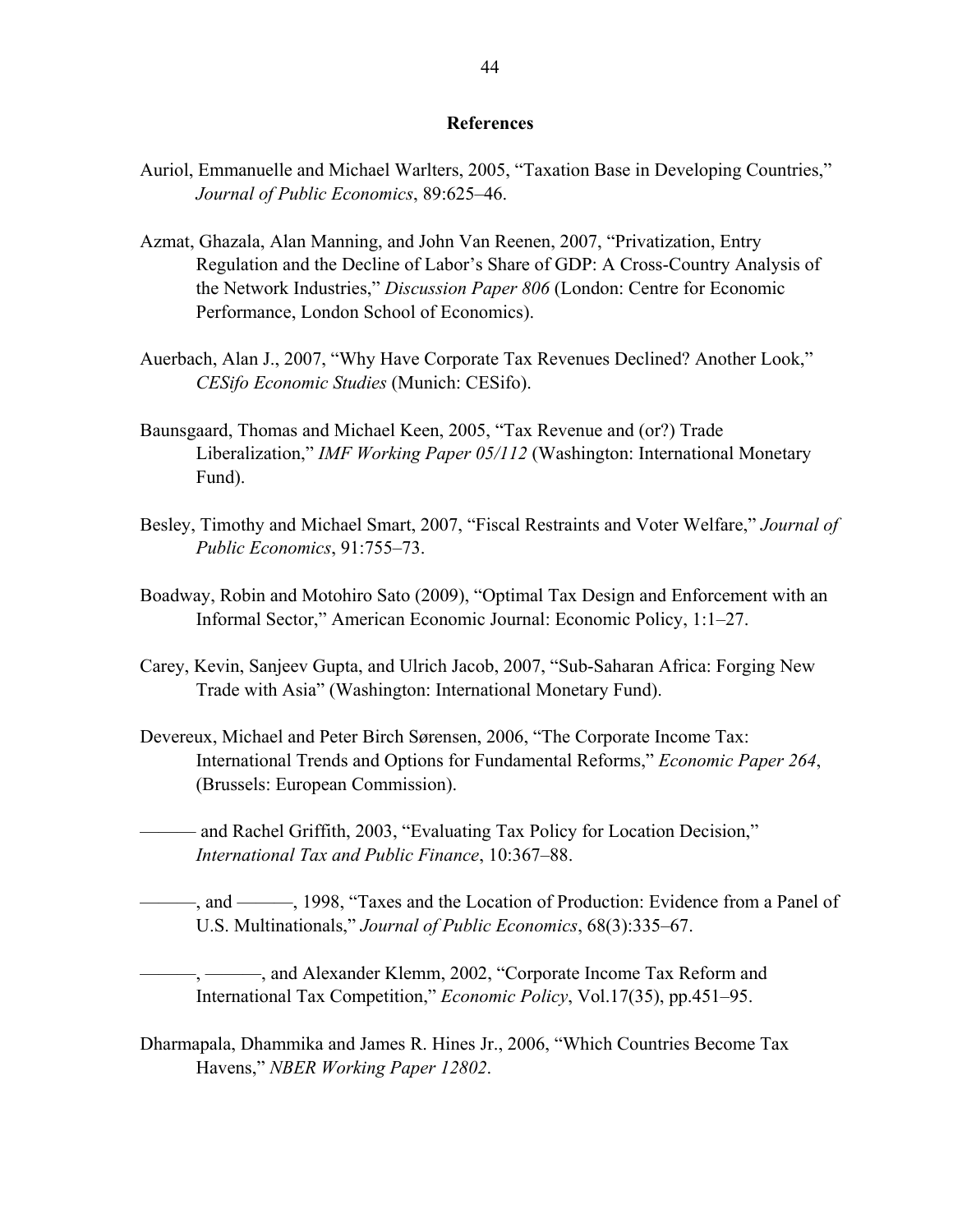#### **References**

- Auriol, Emmanuelle and Michael Warlters, 2005, "Taxation Base in Developing Countries," *Journal of Public Economics*, 89:625–46.
- Azmat, Ghazala, Alan Manning, and John Van Reenen, 2007, "Privatization, Entry Regulation and the Decline of Labor's Share of GDP: A Cross-Country Analysis of the Network Industries," *Discussion Paper 806* (London: Centre for Economic Performance, London School of Economics).
- Auerbach, Alan J., 2007, "Why Have Corporate Tax Revenues Declined? Another Look," *CESifo Economic Studies* (Munich: CESifo).
- Baunsgaard, Thomas and Michael Keen, 2005, "Tax Revenue and (or?) Trade Liberalization," *IMF Working Paper 05/112* (Washington: International Monetary Fund).
- Besley, Timothy and Michael Smart, 2007, "Fiscal Restraints and Voter Welfare," *Journal of Public Economics*, 91:755–73.
- Boadway, Robin and Motohiro Sato (2009), "Optimal Tax Design and Enforcement with an Informal Sector," American Economic Journal: Economic Policy, 1:1–27.
- Carey, Kevin, Sanjeev Gupta, and Ulrich Jacob, 2007, "Sub-Saharan Africa: Forging New Trade with Asia" (Washington: International Monetary Fund).
- Devereux, Michael and Peter Birch Sørensen, 2006, "The Corporate Income Tax: International Trends and Options for Fundamental Reforms," *Economic Paper 264*, (Brussels: European Commission).
- ——— and Rachel Griffith, 2003, "Evaluating Tax Policy for Location Decision," *International Tax and Public Finance*, 10:367–88.
- ———, and ———, 1998, "Taxes and the Location of Production: Evidence from a Panel of U.S. Multinationals," *Journal of Public Economics*, 68(3):335–67.
	- -, ———, and Alexander Klemm, 2002, "Corporate Income Tax Reform and International Tax Competition," *Economic Policy*, Vol.17(35), pp.451–95.
- Dharmapala, Dhammika and James R. Hines Jr., 2006, "Which Countries Become Tax Havens," *NBER Working Paper 12802*.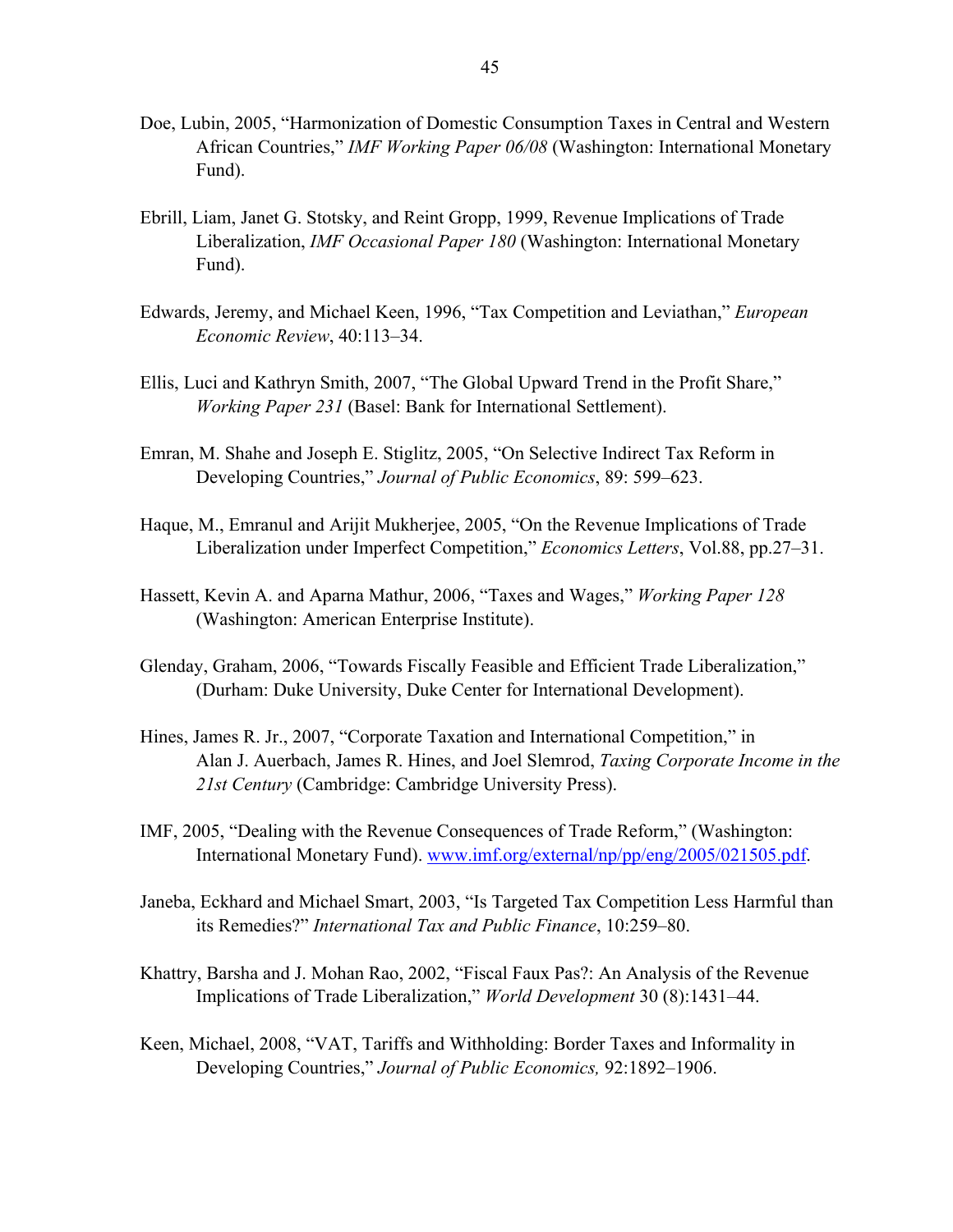- Doe, Lubin, 2005, "Harmonization of Domestic Consumption Taxes in Central and Western African Countries," *IMF Working Paper 06/08* (Washington: International Monetary Fund).
- Ebrill, Liam, Janet G. Stotsky, and Reint Gropp, 1999, Revenue Implications of Trade Liberalization, *IMF Occasional Paper 180* (Washington: International Monetary Fund).
- Edwards, Jeremy, and Michael Keen, 1996, "Tax Competition and Leviathan," *European Economic Review*, 40:113–34.
- Ellis, Luci and Kathryn Smith, 2007, "The Global Upward Trend in the Profit Share," *Working Paper 231* (Basel: Bank for International Settlement).
- Emran, M. Shahe and Joseph E. Stiglitz, 2005, "On Selective Indirect Tax Reform in Developing Countries," *Journal of Public Economics*, 89: 599–623.
- Haque, M., Emranul and Arijit Mukherjee, 2005, "On the Revenue Implications of Trade Liberalization under Imperfect Competition," *Economics Letters*, Vol.88, pp.27–31.
- Hassett, Kevin A. and Aparna Mathur, 2006, "Taxes and Wages," *Working Paper 128* (Washington: American Enterprise Institute).
- Glenday, Graham, 2006, "Towards Fiscally Feasible and Efficient Trade Liberalization," (Durham: Duke University, Duke Center for International Development).
- Hines, James R. Jr., 2007, "Corporate Taxation and International Competition," in Alan J. Auerbach, James R. Hines, and Joel Slemrod, *Taxing Corporate Income in the 21st Century* (Cambridge: Cambridge University Press).
- IMF, 2005, "Dealing with the Revenue Consequences of Trade Reform," (Washington: International Monetary Fund). www.imf.org/external/np/pp/eng/2005/021505.pdf.
- Janeba, Eckhard and Michael Smart, 2003, "Is Targeted Tax Competition Less Harmful than its Remedies?" *International Tax and Public Finance*, 10:259–80.
- Khattry, Barsha and J. Mohan Rao, 2002, "Fiscal Faux Pas?: An Analysis of the Revenue Implications of Trade Liberalization," *World Development* 30 (8):1431–44.
- Keen, Michael, 2008, "VAT, Tariffs and Withholding: Border Taxes and Informality in Developing Countries," *Journal of Public Economics,* 92:1892–1906.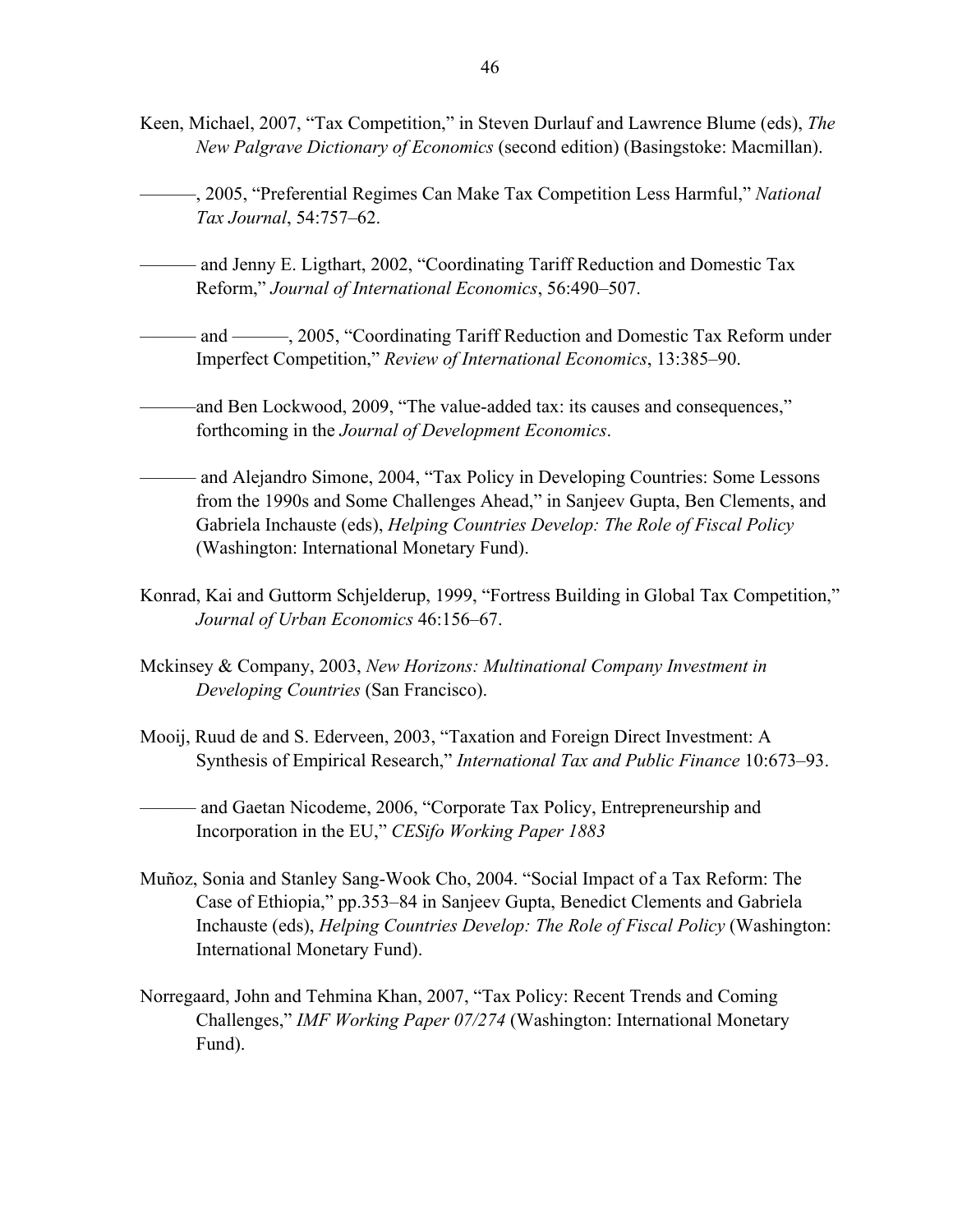- Keen, Michael, 2007, "Tax Competition," in Steven Durlauf and Lawrence Blume (eds), *The New Palgrave Dictionary of Economics* (second edition) (Basingstoke: Macmillan).
	- ———, 2005, "Preferential Regimes Can Make Tax Competition Less Harmful," *National Tax Journal*, 54:757–62.
- ——— and Jenny E. Ligthart, 2002, "Coordinating Tariff Reduction and Domestic Tax Reform," *Journal of International Economics*, 56:490–507.
- and ———, 2005, "Coordinating Tariff Reduction and Domestic Tax Reform under Imperfect Competition," *Review of International Economics*, 13:385–90.
- ———and Ben Lockwood, 2009, "The value-added tax: its causes and consequences," forthcoming in the *Journal of Development Economics*.
- ——— and Alejandro Simone, 2004, "Tax Policy in Developing Countries: Some Lessons from the 1990s and Some Challenges Ahead," in Sanjeev Gupta, Ben Clements, and Gabriela Inchauste (eds), *Helping Countries Develop: The Role of Fiscal Policy* (Washington: International Monetary Fund).
- Konrad, Kai and Guttorm Schjelderup, 1999, "Fortress Building in Global Tax Competition," *Journal of Urban Economics* 46:156–67.
- Mckinsey & Company, 2003, *New Horizons: Multinational Company Investment in Developing Countries* (San Francisco).
- Mooij, Ruud de and S. Ederveen, 2003, "Taxation and Foreign Direct Investment: A Synthesis of Empirical Research," *International Tax and Public Finance* 10:673–93.

——— and Gaetan Nicodeme, 2006, "Corporate Tax Policy, Entrepreneurship and Incorporation in the EU," *CESifo Working Paper 1883*

- Muñoz, Sonia and Stanley Sang-Wook Cho, 2004. "Social Impact of a Tax Reform: The Case of Ethiopia," pp.353–84 in Sanjeev Gupta, Benedict Clements and Gabriela Inchauste (eds), *Helping Countries Develop: The Role of Fiscal Policy* (Washington: International Monetary Fund).
- Norregaard, John and Tehmina Khan, 2007, "Tax Policy: Recent Trends and Coming Challenges," *IMF Working Paper 07/274* (Washington: International Monetary Fund).